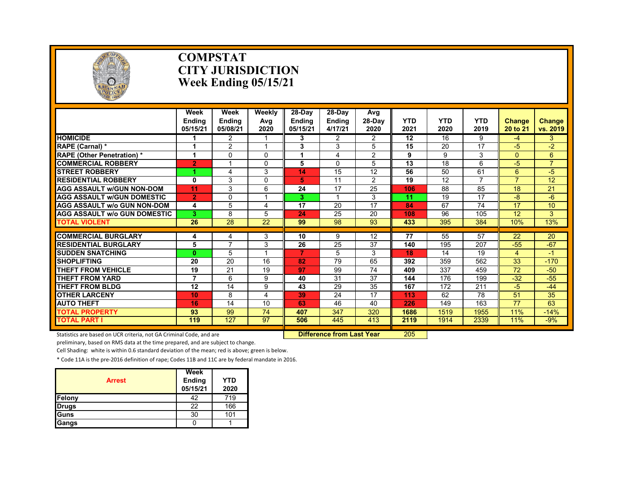

#### **COMPSTAT CITY JURISDICTION Week Ending 05/15/21**

|                                     | Week<br><b>Endina</b><br>05/15/21 | Week<br><b>Ending</b><br>05/08/21 | Weekly<br>Avg<br>2020 | $28-Day$<br><b>Ending</b><br>05/15/21 | 28-Day<br><b>Ending</b><br>4/17/21 | Avg<br>$28-Dav$<br>2020 | <b>YTD</b><br>2021 | <b>YTD</b><br>2020 | <b>YTD</b><br>2019 | <b>Change</b><br>20 to 21 | <b>Change</b><br>vs. 2019 |
|-------------------------------------|-----------------------------------|-----------------------------------|-----------------------|---------------------------------------|------------------------------------|-------------------------|--------------------|--------------------|--------------------|---------------------------|---------------------------|
| <b>HOMICIDE</b>                     |                                   | $\overline{2}$                    |                       | 3                                     | $\overline{2}$                     | $\overline{2}$          | 12                 | 16                 | 9                  | -4                        | 3                         |
| <b>RAPE (Carnal) *</b>              | 1                                 | $\overline{2}$                    |                       | 3                                     | 3                                  | 5                       | 15                 | 20                 | 17                 | $-5$                      | $-2$                      |
| <b>RAPE (Other Penetration)</b> *   | 1                                 | 0                                 | $\Omega$              |                                       | 4                                  | 2                       | 9                  | 9                  | 3                  | $\Omega$                  | 6                         |
| <b>COMMERCIAL ROBBERY</b>           | $\overline{2}$                    | 1                                 | $\Omega$              | 5                                     | $\Omega$                           | 5                       | 13                 | 18                 | 6                  | $-5$                      | $\overline{7}$            |
| <b>STREET ROBBERY</b>               | и                                 | 4                                 | 3                     | 14                                    | 15                                 | 12                      | 56                 | 50                 | 61                 | 6                         | $-5$                      |
| <b>RESIDENTIAL ROBBERY</b>          | 0                                 | 3                                 | $\Omega$              | 5.                                    | 11                                 | 2                       | 19                 | 12                 |                    | $\overline{7}$            | 12                        |
| <b>AGG ASSAULT w/GUN NON-DOM</b>    | 11                                | 3                                 | 6                     | 24                                    | 17                                 | 25                      | 106                | 88                 | 85                 | 18                        | 21                        |
| <b>AGG ASSAULT w/GUN DOMESTIC</b>   | $\overline{2}$                    | 0                                 |                       | 3                                     |                                    | 3                       | 11                 | 19                 | 17                 | -8                        | $-6$                      |
| <b>AGG ASSAULT w/o GUN NON-DOM</b>  | 4                                 | 5                                 | 4                     | 17                                    | 20                                 | 17                      | 84                 | 67                 | 74                 | 17                        | 10                        |
| <b>AGG ASSAULT w/o GUN DOMESTIC</b> | 3                                 | 8                                 | 5                     | 24                                    | 25                                 | 20                      | 108                | 96                 | 105                | 12                        | 3                         |
| <b>TOTAL VIOLENT</b>                | 26                                | 28                                | 22                    | 99                                    | 98                                 | 93                      | 433                | 395                | 384                | 10%                       | 13%                       |
|                                     |                                   |                                   |                       |                                       |                                    |                         |                    |                    |                    |                           |                           |
| <b>COMMERCIAL BURGLARY</b>          | 4                                 | 4<br>7                            | 3                     | 10                                    | 9                                  | 12                      | 77                 | 55                 | 57                 | 22                        | 20                        |
| <b>RESIDENTIAL BURGLARY</b>         | 5                                 |                                   | 3                     | 26                                    | 25                                 | 37                      | 140                | 195                | 207                | $-55$                     | $-67$                     |
| <b>SUDDEN SNATCHING</b>             | 0                                 | 5                                 |                       |                                       | 5                                  | 3                       | 18                 | 14                 | 19                 | 4                         | $-1$                      |
| <b>SHOPLIFTING</b>                  | 20                                | 20                                | 16                    | 82                                    | 79                                 | 65                      | 392                | 359                | 562                | 33                        | $-170$                    |
| <b>THEFT FROM VEHICLE</b>           | 19                                | 21                                | 19                    | 97                                    | 99                                 | 74                      | 409                | 337                | 459                | 72                        | $-50$                     |
| <b>THEFT FROM YARD</b>              | 7                                 | 6                                 | 9                     | 40                                    | 31                                 | 37                      | 144                | 176                | 199                | $-32$                     | $-55$                     |
| THEFT FROM BLDG                     | 12                                | 14                                | 9                     | 43                                    | 29                                 | 35                      | 167                | 172                | 211                | $-5$                      | $-44$                     |
| <b>OTHER LARCENY</b>                | 10                                | 8                                 | 4                     | 39                                    | 24                                 | 17                      | 113                | 62                 | 78                 | 51                        | 35                        |
| <b>AUTO THEFT</b>                   | 16                                | 14                                | 10                    | 63                                    | 46                                 | 40                      | 226                | 149                | 163                | 77                        | 63                        |
| <b>TOTAL PROPERTY</b>               | 93                                | 99                                | 74                    | 407                                   | 347                                | 320                     | 1686               | 1519               | 1955               | 11%                       | $-14%$                    |
| <b>TOTAL PART I</b>                 | 119                               | 127                               | 97                    | 506                                   | 445                                | 413                     | 2119               | 1914               | 2339               | 11%                       | $-9%$                     |

Statistics are based on UCR criteria, not GA Criminal Code, and are **Difference from Last Year** 205

preliminary, based on RMS data at the time prepared, and are subject to change.

Cell Shading: white is within 0.6 standard deviation of the mean; red is above; green is below.

| <b>Arrest</b> | Week<br>Ending<br>05/15/21 | YTD<br>2020 |
|---------------|----------------------------|-------------|
| Felony        | 42                         | 719         |
| <b>Drugs</b>  | 22                         | 166         |
| Guns          | 30                         | 101         |
| <b>Gangs</b>  |                            |             |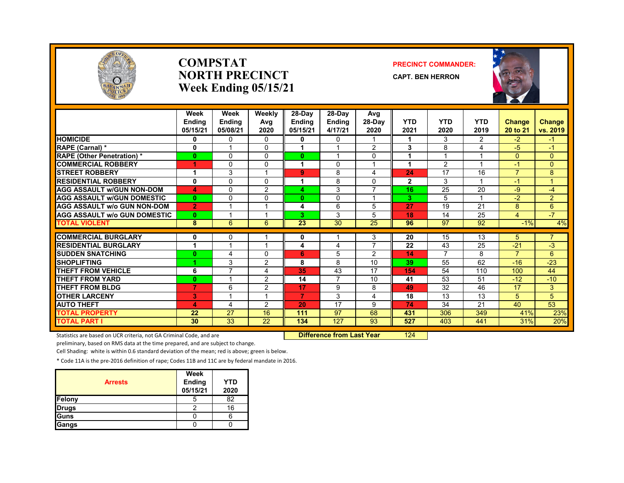

#### **COMPSTATNORTH PRECINCTWeek Ending 05/15/21**

#### **PRECINCT COMMANDER:**

**CAPT. BEN HERRON**



|                                     | Week<br><b>Endina</b><br>05/15/21 | Week<br><b>Endina</b><br>05/08/21 | Weekly<br>Avg<br>2020 | 28-Day<br>Endina<br>05/15/21 | 28-Day<br><b>Ending</b><br>4/17/21 | Avg<br>28-Day<br>2020 | <b>YTD</b><br>2021 | <b>YTD</b><br>2020 | <b>YTD</b><br>2019 | Change<br>20 to 21 | <b>Change</b><br>vs. 2019 |
|-------------------------------------|-----------------------------------|-----------------------------------|-----------------------|------------------------------|------------------------------------|-----------------------|--------------------|--------------------|--------------------|--------------------|---------------------------|
| <b>HOMICIDE</b>                     | 0                                 | 0                                 | $\Omega$              | 0                            | 0                                  |                       |                    | 3                  | $\overline{2}$     | $-2$               | $-1$                      |
| <b>RAPE (Carnal) *</b>              | 0                                 |                                   | $\Omega$              |                              |                                    | 2                     | 3                  | 8                  | 4                  | $-5$               | $-1$                      |
| <b>RAPE (Other Penetration)</b> *   | $\bf{0}$                          | $\Omega$                          | $\Omega$              | $\mathbf{0}$                 |                                    | $\Omega$              | 1                  |                    |                    | $\Omega$           | $\mathbf{0}$              |
| <b>COMMERCIAL ROBBERY</b>           |                                   | $\Omega$                          | $\Omega$              |                              | 0                                  |                       |                    | 2                  |                    | $-1$               | $\overline{0}$            |
| <b>STREET ROBBERY</b>               |                                   | 3                                 |                       | 9                            | 8                                  | 4                     | 24                 | 17                 | 16                 | $\overline{7}$     | 8                         |
| <b>RESIDENTIAL ROBBERY</b>          | $\mathbf 0$                       | $\mathbf{0}$                      | $\Omega$              |                              | 8                                  | $\Omega$              | $\mathbf{2}$       | 3                  |                    | $-1$               | 1.                        |
| <b>AGG ASSAULT W/GUN NON-DOM</b>    | 4                                 | $\mathbf{0}$                      | 2                     | 4                            | 3                                  | $\overline{7}$        | 16                 | 25                 | 20                 | $-9$               | $-4$                      |
| <b>AGG ASSAULT W/GUN DOMESTIC</b>   | $\mathbf{0}$                      | $\mathbf{0}$                      | $\Omega$              | $\mathbf{0}$                 | $\Omega$                           | 1                     | 3                  | 5                  |                    | $-2$               | $\overline{2}$            |
| <b>AGG ASSAULT w/o GUN NON-DOM</b>  | $\overline{2}$                    | 1                                 | 1                     | 4                            | 6                                  | 5                     | 27                 | 19                 | 21                 | 8                  | 6                         |
| <b>AGG ASSAULT W/o GUN DOMESTIC</b> | $\bf{0}$                          |                                   | 1                     | 3                            | 3                                  | 5                     | 18                 | 14                 | 25                 | $\overline{4}$     | $-7$                      |
| <b>TOTAL VIOLENT</b>                | 8                                 | 6                                 | 6                     | 23                           | 30                                 | 25                    | 96                 | 97                 | 92                 | $-1%$              | 4%                        |
|                                     |                                   |                                   |                       |                              |                                    |                       |                    |                    |                    |                    |                           |
| <b>COMMERCIAL BURGLARY</b>          | 0                                 | 0                                 |                       | 0                            |                                    | 3                     | 20                 | 15                 | 13                 | 5                  | $\overline{7}$            |
| <b>RESIDENTIAL BURGLARY</b>         | 1                                 |                                   |                       | 4                            | 4                                  | 7                     | 22                 | 43                 | 25                 | $-21$              | $-3$                      |
| <b>SUDDEN SNATCHING</b>             | 0                                 | 4                                 | $\Omega$              | 6                            | 5                                  | 2                     | 14                 | $\overline{7}$     | 8                  | $\overline{7}$     | 6                         |
| <b>SHOPLIFTING</b>                  | 1                                 | 3                                 | 2                     | 8                            | 8                                  | 10                    | 39                 | 55                 | 62                 | $-16$              | $-23$                     |
| THEFT FROM VEHICLE                  | 6                                 | 7                                 | 4                     | 35                           | 43                                 | 17                    | 154                | 54                 | 110                | 100                | 44                        |
| <b>THEFT FROM YARD</b>              | $\bf{0}$                          |                                   | 2                     | 14                           | 7                                  | 10                    | 41                 | 53                 | 51                 | $-12$              | $-10$                     |
| <b>THEFT FROM BLDG</b>              | $\overline{7}$                    | 6                                 | $\overline{2}$        | 17                           | 9                                  | 8                     | 49                 | 32                 | 46                 | 17                 | 3                         |
| <b>OTHER LARCENY</b>                | 3                                 |                                   | 1                     | $\overline{7}$               | 3                                  | 4                     | 18                 | 13                 | 13                 | 5                  | 5                         |
| <b>AUTO THEFT</b>                   | 4                                 | 4                                 | 2                     | 20                           | 17                                 | 9                     | 74                 | 34                 | 21                 | 40                 | 53                        |
| <b>TOTAL PROPERTY</b>               | 22                                | 27                                | 16                    | 111                          | 97                                 | 68                    | 431                | 306                | 349                | 41%                | 23%                       |
| <b>TOTAL PART I</b>                 | 30                                | 33                                | 22                    | 134                          | 127                                | 93                    | 527                | 403                | 441                | 31%                | 20%                       |

Statistics are based on UCR criteria, not GA Criminal Code, and are **Difference from Last Year** 124

preliminary, based on RMS data at the time prepared, and are subject to change.

Cell Shading: white is within 0.6 standard deviation of the mean; red is above; green is below.

| <b>Arrests</b> | Week<br>Ending<br>05/15/21 | <b>YTD</b><br>2020 |
|----------------|----------------------------|--------------------|
| <b>Felony</b>  | ა                          | 82                 |
| <b>Drugs</b>   |                            | 16                 |
| Guns           |                            |                    |
| <b>Gangs</b>   |                            |                    |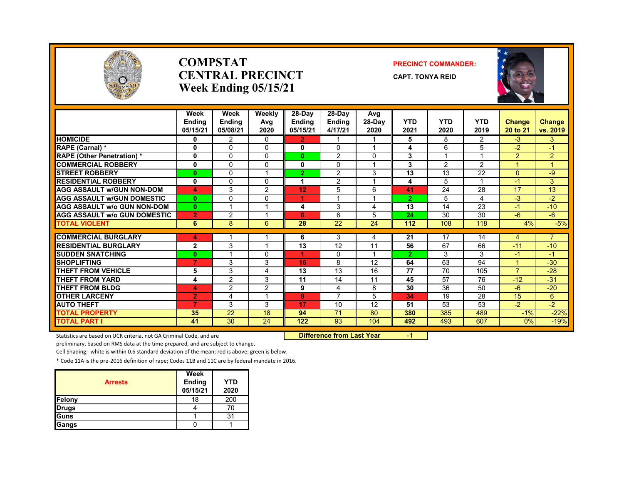

#### **COMPSTATCENTRAL PRECINCTWeek Ending 05/15/21**

#### **PRECINCT COMMANDER:**

**CAPT. TONYA REID**



|                                     | Week<br><b>Endina</b><br>05/15/21 | Week<br>Ending<br>05/08/21 | Weekly<br>Avg<br>2020 | $28-Day$<br><b>Ending</b><br>05/15/21 | $28-Dav$<br><b>Ending</b><br>4/17/21 | Avg<br>28-Day<br>2020   | <b>YTD</b><br>2021 | <b>YTD</b><br>2020 | <b>YTD</b><br>2019 | <b>Change</b><br>20 to 21 | Change<br>vs. 2019 |
|-------------------------------------|-----------------------------------|----------------------------|-----------------------|---------------------------------------|--------------------------------------|-------------------------|--------------------|--------------------|--------------------|---------------------------|--------------------|
| <b>HOMICIDE</b>                     | 0                                 | $\overline{2}$             | $\Omega$              | $\overline{2}$                        |                                      |                         | 5                  | 8                  | $\overline{2}$     | $-3$                      | 3                  |
| RAPE (Carnal) *                     | $\mathbf{0}$                      | $\Omega$                   | $\Omega$              | 0                                     | $\Omega$                             | $\overline{\mathbf{A}}$ | 4                  | 6                  | 5                  | $-2$                      | $-1$               |
| <b>RAPE (Other Penetration) *</b>   | 0                                 | $\Omega$                   | $\Omega$              | $\mathbf{0}$                          | 2                                    | $\Omega$                | 3                  | 1                  |                    | $\overline{2}$            | $\overline{2}$     |
| <b>COMMERCIAL ROBBERY</b>           | 0                                 | $\Omega$                   | 0                     | $\mathbf{0}$                          | $\Omega$                             |                         | 3                  | $\overline{2}$     | $\overline{2}$     | 1                         | $\mathbf{1}$       |
| <b>STREET ROBBERY</b>               | $\bf{0}$                          | $\Omega$                   |                       | 2.                                    | $\overline{2}$                       | 3                       | 13                 | 13                 | 22                 | $\mathbf{0}$              | -9                 |
| <b>RESIDENTIAL ROBBERY</b>          | 0                                 | $\Omega$                   | $\Omega$              | 1                                     | $\overline{2}$                       |                         | 4                  | 5                  |                    | $-1$                      | 3                  |
| <b>AGG ASSAULT W/GUN NON-DOM</b>    | 4                                 | 3                          | 2                     | 12                                    | 5                                    | 6                       | 41                 | 24                 | 28                 | 17                        | 13                 |
| <b>AGG ASSAULT W/GUN DOMESTIC</b>   | $\bf{0}$                          | $\Omega$                   | $\Omega$              | 1                                     | 4                                    | $\overline{A}$          | $\overline{2}$     | 5                  | 4                  | $-3$                      | $-2$               |
| <b>AGG ASSAULT w/o GUN NON-DOM</b>  | $\bf{0}$                          | 1                          |                       | 4                                     | 3                                    | 4                       | 13                 | 14                 | 23                 | 4                         | $-10$              |
| <b>AGG ASSAULT W/o GUN DOMESTIC</b> | $\overline{2}$                    | $\overline{2}$             |                       | 6                                     | 6                                    | 5                       | 24                 | 30                 | 30                 | $-6$                      | -6                 |
| <b>TOTAL VIOLENT</b>                | 6                                 | 8                          | 6                     | 28                                    | 22                                   | 24                      | 112                | 108                | 118                | 4%                        | $-5%$              |
| <b>COMMERCIAL BURGLARY</b>          | 4                                 |                            |                       | 6                                     | 3                                    | 4                       | 21                 | 17                 | 14                 | 4                         | $\overline{7}$     |
| <b>RESIDENTIAL BURGLARY</b>         | $\mathbf{2}$                      | 3                          |                       | 13                                    | 12                                   | 11                      | 56                 | 67                 | 66                 | $-11$                     | $-10$              |
| <b>SUDDEN SNATCHING</b>             | $\bf{0}$                          |                            | $\Omega$              | 4                                     | 0                                    |                         | $\overline{2}$     | 3                  | 3                  | $-1$                      | $-1$               |
| <b>SHOPLIFTING</b>                  | 7                                 | 3                          | 3                     | 16                                    | 8                                    | 12                      | 64                 | 63                 | 94                 | 1                         | $-30$              |
| <b>THEFT FROM VEHICLE</b>           | 5                                 | 3                          | 4                     | 13                                    | 13                                   | 16                      | 77                 | 70                 | 105                | $\overline{7}$            | $-28$              |
| <b>THEFT FROM YARD</b>              | 4                                 | $\overline{2}$             | 3                     | 11                                    | 14                                   | 11                      | 45                 | 57                 | 76                 | $-12$                     | $-31$              |
| <b>THEFT FROM BLDG</b>              | 4                                 | 2                          | 2                     | 9                                     | 4                                    | 8                       | 30                 | 36                 | 50                 | $-6$                      | $-20$              |
| <b>OTHER LARCENY</b>                | $\overline{2}$                    | 4                          |                       | 8                                     | 7                                    | 5                       | 34                 | 19                 | 28                 | 15                        | $6^{\circ}$        |
| <b>AUTO THEFT</b>                   | 7                                 | 3                          | 3                     | 17                                    | 10                                   | 12                      | 51                 | 53                 | 53                 | $-2$                      | $-2$               |
| <b>TOTAL PROPERTY</b>               | 35                                | 22                         | 18                    | 94                                    | 71                                   | 80                      | 380                | 385                | 489                | $-1%$                     | $-22%$             |
| <b>TOTAL PART I</b>                 | 41                                | 30                         | 24                    | 122                                   | 93                                   | 104                     | 492                | 493                | 607                | 0%                        | $-19%$             |

Statistics are based on UCR criteria, not GA Criminal Code, and are **Difference from Last Year 50 Fear** 6 -1

preliminary, based on RMS data at the time prepared, and are subject to change.

Cell Shading: white is within 0.6 standard deviation of the mean; red is above; green is below.

|                | Week     |            |
|----------------|----------|------------|
| <b>Arrests</b> | Ending   | <b>YTD</b> |
|                | 05/15/21 | 2020       |
| Felony         | 18       | 200        |
| <b>Drugs</b>   |          | 70         |
| Guns           |          |            |
| Gangs          |          |            |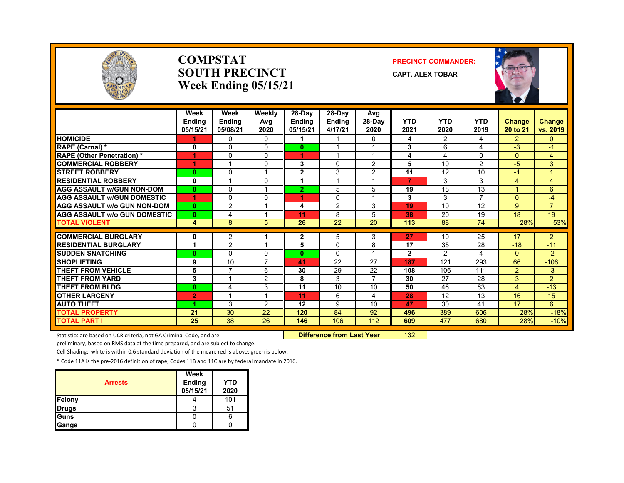

#### **COMPSTATSOUTH PRECINCTWeek Ending 05/15/21**

#### **PRECINCT COMMANDER:**

**CAPT. ALEX TOBAR**



|                                     | Week<br><b>Endina</b><br>05/15/21 | Week<br><b>Ending</b><br>05/08/21 | Weekly<br>Avg<br>2020 | 28-Day<br><b>Ending</b><br>05/15/21 | 28-Day<br><b>Ending</b><br>4/17/21 | Avg<br>$28-Dav$<br>2020 | <b>YTD</b><br>2021 | <b>YTD</b><br>2020 | <b>YTD</b><br>2019 | Change<br>20 to 21 | <b>Change</b><br>vs. 2019 |
|-------------------------------------|-----------------------------------|-----------------------------------|-----------------------|-------------------------------------|------------------------------------|-------------------------|--------------------|--------------------|--------------------|--------------------|---------------------------|
| <b>HOMICIDE</b>                     |                                   | 0                                 | 0                     |                                     |                                    | 0                       | 4                  | 2                  | 4                  | $\overline{2}$     | $\mathbf{0}$              |
| RAPE (Carnal) *                     | $\mathbf 0$                       | $\Omega$                          | $\Omega$              | $\mathbf{0}$                        |                                    | $\overline{A}$          | 3                  | 6                  | 4                  | $-3$               | $-1$                      |
| <b>RAPE (Other Penetration)*</b>    | 1                                 | $\Omega$                          | $\Omega$              | 4.                                  |                                    | $\overline{\mathbf{A}}$ | 4                  | 4                  | $\Omega$           | $\mathbf{0}$       | $\overline{4}$            |
| <b>COMMERCIAL ROBBERY</b>           | 1                                 |                                   | 0                     | 3                                   | $\Omega$                           | $\overline{2}$          | 5                  | 10                 | $\overline{2}$     | $-5$               | 3                         |
| <b>STREET ROBBERY</b>               | $\bf{0}$                          | $\Omega$                          |                       | $\mathbf{2}$                        | 3                                  | $\overline{2}$          | 11                 | 12                 | 10                 | $-1$               | 4                         |
| <b>RESIDENTIAL ROBBERY</b>          | 0                                 |                                   | $\Omega$              | 1                                   |                                    |                         | 7                  | 3                  | 3                  | 4                  | $\overline{4}$            |
| <b>AGG ASSAULT W/GUN NON-DOM</b>    | $\bf{0}$                          | $\mathbf 0$                       |                       | $\overline{2}$                      | 5                                  | 5                       | 19                 | 18                 | 13                 |                    | 6                         |
| <b>AGG ASSAULT W/GUN DOMESTIC</b>   | 1                                 | $\mathbf{0}$                      | $\Omega$              | 4                                   | $\Omega$                           | $\overline{A}$          | 3                  | 3                  | $\overline{7}$     | $\Omega$           | $-4$                      |
| <b>AGG ASSAULT w/o GUN NON-DOM</b>  | $\mathbf{0}$                      | 2                                 |                       | 4                                   | 2                                  | 3                       | 19                 | 10                 | 12                 | 9                  | $\overline{7}$            |
| <b>AGG ASSAULT w/o GUN DOMESTIC</b> | $\mathbf{0}$                      | 4                                 |                       | 11                                  | 8                                  | 5                       | 38                 | 20                 | 19                 | 18                 | 19                        |
| <b>TOTAL VIOLENT</b>                | 4                                 | 8                                 | 5                     | 26                                  | 22                                 | 20                      | 113                | 88                 | 74                 | 28%                | 53%                       |
| <b>COMMERCIAL BURGLARY</b>          | 0                                 |                                   |                       |                                     | 5                                  | 3                       | 27                 | 10                 | 25                 | 17                 | $\overline{2}$            |
| <b>RESIDENTIAL BURGLARY</b>         | $\overline{\mathbf{A}}$           | 2<br>2                            |                       | 2<br>5                              | $\Omega$                           | 8                       | 17                 | 35                 | 28                 | $-18$              | $-11$                     |
| <b>SUDDEN SNATCHING</b>             | $\bf{0}$                          | $\Omega$                          | $\Omega$              | $\mathbf{0}$                        | $\Omega$                           |                         | $\mathbf{2}$       | $\overline{2}$     | 4                  | $\Omega$           | $-2$                      |
| <b>SHOPLIFTING</b>                  | 9                                 | 10                                |                       | 41                                  | 22                                 | 27                      | 187                | 121                | 293                | 66                 | $-106$                    |
| <b>THEFT FROM VEHICLE</b>           | 5                                 | 7                                 | 6                     | 30                                  | 29                                 | 22                      | 108                | 106                | 111                | 2                  | $-3$                      |
| <b>THEFT FROM YARD</b>              | 3                                 |                                   | 2                     | 8                                   | 3                                  | $\overline{7}$          | 30                 | 27                 | 28                 | 3                  | $\overline{2}$            |
| <b>THEFT FROM BLDG</b>              | $\bf{0}$                          | 4                                 | 3                     | 11                                  | 10                                 | 10                      | 50                 | 46                 | 63                 | 4                  | $-13$                     |
| <b>OTHER LARCENY</b>                | $\overline{2}$                    |                                   |                       | 11                                  | 6                                  | 4                       | 28                 | 12                 | 13                 | 16                 | 15                        |
| <b>AUTO THEFT</b>                   | 4                                 | 3                                 | $\mathcal{P}$         | 12                                  | 9                                  | 10                      | 47                 | 30                 | 41                 | 17                 | 6                         |
| <b>TOTAL PROPERTY</b>               | 21                                | 30                                | 22                    | 120                                 | 84                                 | 92                      | 496                | 389                | 606                | 28%                | $-18%$                    |
| <b>TOTAL PART I</b>                 | 25                                | 38                                | 26                    | 146                                 | 106                                | 112                     | 609                | 477                | 680                | 28%                | $-10%$                    |

Statistics are based on UCR criteria, not GA Criminal Code, and are **Dublee 18 and Luis Code, 132 Difference from Last Year** 132

preliminary, based on RMS data at the time prepared, and are subject to change.

Cell Shading: white is within 0.6 standard deviation of the mean; red is above; green is below.

| <b>Arrests</b> | Week<br>Ending<br>05/15/21 | <b>YTD</b><br>2020 |
|----------------|----------------------------|--------------------|
| Felony         |                            | 101                |
| <b>Drugs</b>   |                            | 51                 |
| Guns           |                            |                    |
| Gangs          |                            |                    |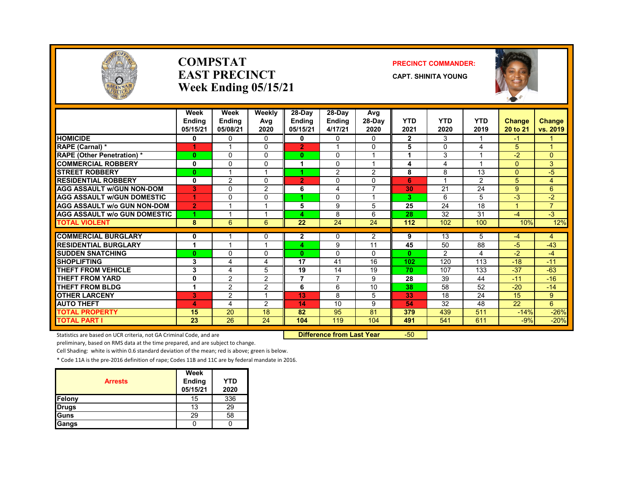

#### **COMPSTATEAST PRECINCTWeek Ending 05/15/21**

#### **PRECINCT COMMANDER:**

**CAPT. SHINITA YOUNG**



|                                     | Week           | Week           | Weekly                   | $28-Dav$       | 28-Day         | Avg            |                |               |                         |          |                |
|-------------------------------------|----------------|----------------|--------------------------|----------------|----------------|----------------|----------------|---------------|-------------------------|----------|----------------|
|                                     | <b>Ending</b>  | <b>Ending</b>  | Avg                      | <b>Ending</b>  | <b>Ending</b>  | 28-Day         | <b>YTD</b>     | <b>YTD</b>    | <b>YTD</b>              | Change   | <b>Change</b>  |
|                                     | 05/15/21       | 05/08/21       | 2020                     | 05/15/21       | 4/17/21        | 2020           | 2021           | 2020          | 2019                    | 20 to 21 | vs. 2019       |
| <b>HOMICIDE</b>                     | $\bf{0}$       | 0              | $\Omega$                 | 0              | 0              | 0              | $\overline{2}$ | 3             |                         | -1       |                |
| RAPE (Carnal) *                     | 1              |                | $\Omega$                 | $\overline{2}$ |                | 0              | 5              | $\Omega$      | 4                       | 5        |                |
| <b>RAPE (Other Penetration) *</b>   | $\bf{0}$       | $\Omega$       | $\Omega$                 | $\mathbf{0}$   | $\Omega$       | 1              | 1              | 3             | $\overline{\mathbf{A}}$ | $-2$     | $\Omega$       |
| <b>COMMERCIAL ROBBERY</b>           | 0              | 0              | $\Omega$                 |                | 0              | 1              | 4              | 4             |                         | $\Omega$ | 3              |
| <b>STREET ROBBERY</b>               | $\bf{0}$       |                |                          |                | $\overline{2}$ | 2              | 8              | 8             | 13                      | $\Omega$ | $-5$           |
| <b>RESIDENTIAL ROBBERY</b>          | 0              | $\overline{2}$ | $\Omega$                 | $\overline{2}$ | 0              | $\Omega$       | 6              |               | $\overline{2}$          | 5        | 4              |
| <b>AGG ASSAULT W/GUN NON-DOM</b>    | 3              | $\mathbf{0}$   | $\overline{2}$           | 6              | 4              | $\overline{7}$ | 30             | 21            | 24                      | 9        | 6              |
| <b>AGG ASSAULT W/GUN DOMESTIC</b>   | 1              | 0              | $\Omega$                 |                | 0              | 1              | 3              | 6             | 5                       | $-3$     | $-2$           |
| <b>AGG ASSAULT w/o GUN NON-DOM</b>  | $\overline{2}$ | 1              |                          | 5              | 9              | 5              | 25             | 24            | 18                      |          | $\overline{7}$ |
| <b>AGG ASSAULT w/o GUN DOMESTIC</b> | 4.             | 1              |                          | 4              | 8              | 6              | 28             | 32            | 31                      | $-4$     | $-3$           |
| <b>TOTAL VIOLENT</b>                | 8              | 6              | 6                        | 22             | 24             | 24             | 112            | 102           | 100                     | 10%      | 12%            |
|                                     |                |                |                          |                |                |                |                |               |                         |          |                |
| <b>COMMERCIAL BURGLARY</b>          | 0              | 1              | 0                        | $\mathbf{2}$   | 0              | $\overline{2}$ | 9              | 13            | 5                       | $-4$     | 4              |
| <b>RESIDENTIAL BURGLARY</b>         | 1              | 1              | и                        | 4              | 9              | 11             | 45             | 50            | 88                      | $-5$     | $-43$          |
| <b>SUDDEN SNATCHING</b>             | $\bf{0}$       | 0              | $\Omega$                 | $\mathbf{0}$   | $\Omega$       | $\Omega$       | $\mathbf{0}$   | $\mathcal{P}$ | 4                       | $-2$     | -4             |
| <b>SHOPLIFTING</b>                  | 3              | 4              | 4                        | 17             | 41             | 16             | 102            | 120           | 113                     | $-18$    | $-11$          |
| <b>THEFT FROM VEHICLE</b>           | 3              | 4              | 5                        | 19             | 14             | 19             | 70             | 107           | 133                     | $-37$    | $-63$          |
| <b>THEFT FROM YARD</b>              | 0              | $\overline{2}$ | 2                        | $\overline{7}$ | 7              | 9              | 28             | 39            | 44                      | $-11$    | $-16$          |
| <b>THEFT FROM BLDG</b>              | 1              | $\overline{2}$ | 2                        | 6              | 6              | 10             | 38             | 58            | 52                      | $-20$    | $-14$          |
| <b>OTHER LARCENY</b>                | 3              | 2              | $\overline{\phantom{a}}$ | 13             | 8              | 5              | 33             | 18            | 24                      | 15       | 9              |
| <b>AUTO THEFT</b>                   | 4              | 4              | 2                        | 14             | 10             | 9              | 54             | 32            | 48                      | 22       | 6              |
| <b>TOTAL PROPERTY</b>               | 15             | 20             | 18                       | 82             | 95             | 81             | 379            | 439           | 511                     | $-14%$   | $-26%$         |
| <b>TOTAL PART I</b>                 | 23             | 26             | 24                       | 104            | 119            | 104            | 491            | 541           | 611                     | $-9%$    | $-20%$         |

Statistics are based on UCR criteria, not GA Criminal Code, and are **Dublee 18th Luis Code Code, 19th Control Difference from Last Year** 19th 150

preliminary, based on RMS data at the time prepared, and are subject to change.

Cell Shading: white is within 0.6 standard deviation of the mean; red is above; green is below.

| <b>Arrests</b> | Week<br>Ending<br>05/15/21 | YTD<br>2020 |
|----------------|----------------------------|-------------|
| Felony         | 15                         | 336         |
| <b>Drugs</b>   | 13                         | 29          |
| Guns           | 29                         | 58          |
| Gangs          |                            |             |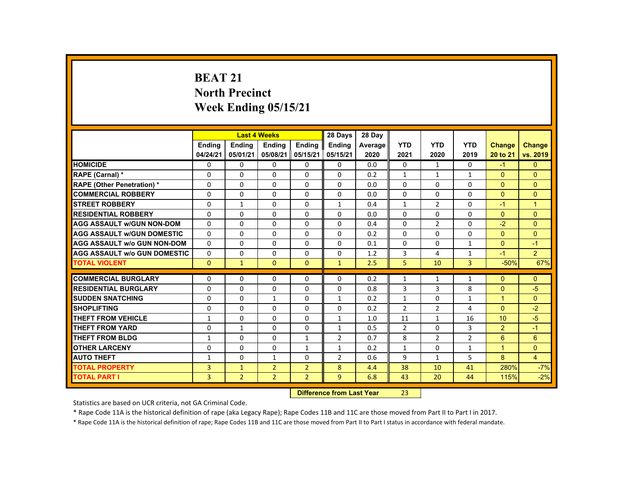# **BEAT 21 North Precinct Week Ending 05/15/21**

|                                     |                |                | <b>Last 4 Weeks</b> |                | 28 Days                   | 28 Day  |                |                |                |                |                |
|-------------------------------------|----------------|----------------|---------------------|----------------|---------------------------|---------|----------------|----------------|----------------|----------------|----------------|
|                                     | <b>Endina</b>  | <b>Ending</b>  | <b>Ending</b>       | Ending         | <b>Endina</b>             | Average | <b>YTD</b>     | <b>YTD</b>     | <b>YTD</b>     | <b>Change</b>  | <b>Change</b>  |
|                                     | 04/24/21       | 05/01/21       | 05/08/21            | 05/15/21       | 05/15/21                  | 2020    | 2021           | 2020           | 2019           | 20 to 21       | vs. 2019       |
| <b>HOMICIDE</b>                     | $\Omega$       | $\Omega$       | $\Omega$            | $\Omega$       | 0                         | 0.0     | 0              | $\mathbf{1}$   | $\Omega$       | $-1$           | $\mathbf{0}$   |
| RAPE (Carnal) *                     | $\mathbf{0}$   | $\Omega$       | $\Omega$            | $\Omega$       | $\Omega$                  | 0.2     | $\mathbf{1}$   | 1              | $\mathbf{1}$   | $\Omega$       | $\Omega$       |
| <b>RAPE (Other Penetration) *</b>   | $\Omega$       | $\Omega$       | $\Omega$            | $\Omega$       | $\Omega$                  | 0.0     | $\Omega$       | $\Omega$       | $\Omega$       | $\Omega$       | $\Omega$       |
| <b>COMMERCIAL ROBBERY</b>           | $\mathbf{0}$   | $\Omega$       | $\Omega$            | $\Omega$       | $\Omega$                  | 0.0     | $\Omega$       | $\Omega$       | $\Omega$       | $\Omega$       | $\Omega$       |
| <b>STREET ROBBERY</b>               | $\Omega$       | $\mathbf{1}$   | $\Omega$            | $\Omega$       | $\mathbf{1}$              | 0.4     | $\mathbf{1}$   | $\overline{2}$ | $\Omega$       | $-1$           | $\mathbf{1}$   |
| <b>RESIDENTIAL ROBBERY</b>          | $\mathbf{0}$   | $\Omega$       | $\mathbf{0}$        | $\mathbf{0}$   | 0                         | 0.0     | $\Omega$       | $\Omega$       | $\Omega$       | $\Omega$       | $\Omega$       |
| <b>AGG ASSAULT W/GUN NON-DOM</b>    | $\Omega$       | $\Omega$       | $\Omega$            | $\Omega$       | $\Omega$                  | 0.4     | $\Omega$       | $\overline{2}$ | $\Omega$       | $-2$           | $\Omega$       |
| <b>AGG ASSAULT W/GUN DOMESTIC</b>   | $\Omega$       | $\Omega$       | $\Omega$            | $\Omega$       | $\Omega$                  | 0.2     | $\Omega$       | $\Omega$       | $\Omega$       | $\Omega$       | $\Omega$       |
| <b>AGG ASSAULT w/o GUN NON-DOM</b>  | $\Omega$       | $\Omega$       | $\Omega$            | $\Omega$       | $\Omega$                  | 0.1     | $\Omega$       | $\Omega$       | $\mathbf{1}$   | $\Omega$       | $-1$           |
| <b>AGG ASSAULT W/o GUN DOMESTIC</b> | $\Omega$       | $\Omega$       | $\mathbf{0}$        | $\Omega$       | $\Omega$                  | 1.2     | 3              | 4              | $\mathbf{1}$   | $-1$           | 2 <sup>1</sup> |
| <b>TOTAL VIOLENT</b>                | $\mathbf{0}$   | $\mathbf{1}$   | $\mathbf{0}$        | $\mathbf{0}$   | $\mathbf{1}$              | 2.5     | 5              | 10             | $\overline{3}$ | $-50%$         | 67%            |
| <b>COMMERCIAL BURGLARY</b>          | $\Omega$       | $\Omega$       | $\Omega$            | $\Omega$       | $\Omega$                  | 0.2     | $\mathbf{1}$   | $\mathbf{1}$   | $\mathbf{1}$   | $\Omega$       | $\Omega$       |
| <b>RESIDENTIAL BURGLARY</b>         | $\Omega$       | $\Omega$       | $\Omega$            | $\Omega$       | $\Omega$                  | 0.8     | 3              | 3              | 8              | $\Omega$       | $-5$           |
| <b>SUDDEN SNATCHING</b>             | $\Omega$       | $\mathbf{0}$   | 1                   | $\Omega$       | 1                         | 0.2     | $\mathbf{1}$   | $\Omega$       | $\mathbf{1}$   | $\mathbf{1}$   | $\Omega$       |
| <b>SHOPLIFTING</b>                  | $\Omega$       | $\Omega$       | $\Omega$            | $\Omega$       | $\Omega$                  | 0.2     | $\overline{2}$ | $\overline{2}$ | 4              | $\Omega$       | $-2$           |
| <b>THEFT FROM VEHICLE</b>           | $\mathbf{1}$   | $\Omega$       | $\Omega$            | $\Omega$       | $\mathbf{1}$              | 1.0     | 11             | $\mathbf{1}$   | 16             | 10             | $-5$           |
| <b>THEFT FROM YARD</b>              | $\mathbf{0}$   | $\mathbf{1}$   | $\Omega$            | $\Omega$       | $\mathbf{1}$              | 0.5     | $\overline{2}$ | $\Omega$       | 3              | $\overline{2}$ | $-1$           |
| <b>THEFT FROM BLDG</b>              | $\mathbf{1}$   | $\Omega$       | $\Omega$            | $\mathbf{1}$   | $\overline{2}$            | 0.7     | 8              | $\overline{2}$ | $\overline{2}$ | 6              | 6              |
| <b>OTHER LARCENY</b>                | $\Omega$       | $\Omega$       | $\Omega$            | $\mathbf{1}$   | $\mathbf{1}$              | 0.2     | $\mathbf{1}$   | 0              | $\mathbf{1}$   | $\overline{1}$ | $\overline{0}$ |
| <b>AUTO THEFT</b>                   | $\mathbf{1}$   | $\Omega$       | $\mathbf{1}$        | $\Omega$       | $\overline{2}$            | 0.6     | 9              | $\mathbf{1}$   | 5              | 8              | $\overline{4}$ |
| <b>TOTAL PROPERTY</b>               | $\overline{3}$ | $\mathbf{1}$   | $\overline{2}$      | $\overline{2}$ | 8                         | 4.4     | 38             | 10             | 41             | 280%           | $-7%$          |
| <b>TOTAL PART I</b>                 | $\overline{3}$ | $\overline{2}$ | $\overline{2}$      | $\overline{2}$ | $\overline{9}$            | 6.8     | 43             | 20             | 44             | 115%           | $-2%$          |
|                                     |                |                |                     |                | Difference from Last Voor |         | າາ             |                |                |                |                |

 **Difference from Last Year**r 23

Statistics are based on UCR criteria, not GA Criminal Code.

\* Rape Code 11A is the historical definition of rape (aka Legacy Rape); Rape Codes 11B and 11C are those moved from Part II to Part I in 2017.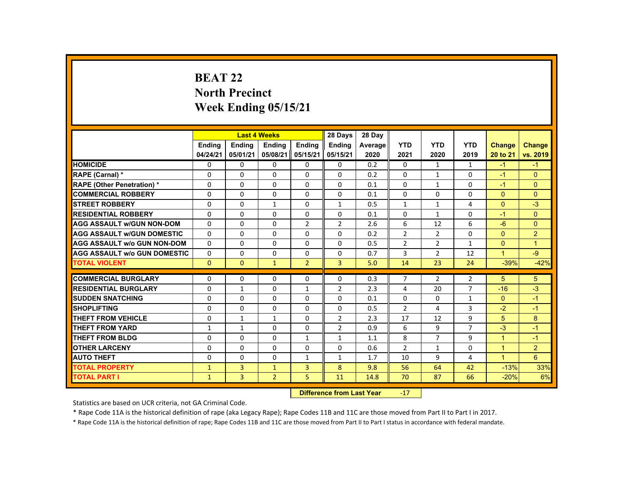# **BEAT 22 North Precinct Week Ending 05/15/21**

|                                     |               |                           | <b>Last 4 Weeks</b> |                | 28 Days        | 28 Day  |                |                |                |                      |                |
|-------------------------------------|---------------|---------------------------|---------------------|----------------|----------------|---------|----------------|----------------|----------------|----------------------|----------------|
|                                     | <b>Endina</b> | <b>Endina</b>             | <b>Ending</b>       | <b>Endina</b>  | <b>Endina</b>  | Average | <b>YTD</b>     | <b>YTD</b>     | <b>YTD</b>     | Change               | <b>Change</b>  |
|                                     | 04/24/21      | 05/01/21                  | 05/08/21            | 05/15/21       | 05/15/21       | 2020    | 2021           | 2020           | 2019           | 20 to 21             | vs. 2019       |
| <b>HOMICIDE</b>                     | 0             | $\Omega$                  | 0                   | $\Omega$       | 0              | 0.2     | $\mathbf{0}$   | $\mathbf{1}$   | $\mathbf{1}$   | $-1$                 | $-1$           |
| <b>RAPE (Carnal) *</b>              | $\mathbf{0}$  | $\mathbf{0}$              | 0                   | $\Omega$       | $\Omega$       | 0.2     | $\Omega$       | $\mathbf{1}$   | 0              | $-1$                 | $\Omega$       |
| <b>RAPE (Other Penetration) *</b>   | $\Omega$      | $\Omega$                  | $\Omega$            | $\Omega$       | $\Omega$       | 0.1     | $\Omega$       | $\mathbf{1}$   | $\Omega$       | $-1$                 | $\Omega$       |
| <b>COMMERCIAL ROBBERY</b>           | $\Omega$      | $\Omega$                  | $\Omega$            | 0              | 0              | 0.1     | $\mathbf 0$    | 0              | $\Omega$       | $\mathbf{0}$         | $\mathbf{0}$   |
| <b>STREET ROBBERY</b>               | $\Omega$      | $\Omega$                  | $\mathbf{1}$        | $\Omega$       | $\mathbf{1}$   | 0.5     | $\mathbf{1}$   | $\mathbf{1}$   | 4              | $\Omega$             | $-3$           |
| <b>RESIDENTIAL ROBBERY</b>          | 0             | $\mathbf{0}$              | 0                   | 0              | 0              | 0.1     | 0              | $\mathbf{1}$   | 0              | $-1$                 | $\mathbf{0}$   |
| <b>AGG ASSAULT W/GUN NON-DOM</b>    | $\Omega$      | $\Omega$                  | $\Omega$            | $\overline{2}$ | $\overline{2}$ | 2.6     | 6              | 12             | 6              | $-6$                 | $\Omega$       |
| <b>AGG ASSAULT W/GUN DOMESTIC</b>   | $\Omega$      | $\Omega$                  | $\Omega$            | $\Omega$       | $\Omega$       | 0.2     | $\overline{2}$ | $\overline{2}$ | $\Omega$       | $\Omega$             | $\overline{2}$ |
| <b>AGG ASSAULT W/o GUN NON-DOM</b>  | $\Omega$      | $\Omega$                  | $\Omega$            | $\Omega$       | $\Omega$       | 0.5     | $\overline{2}$ | $\overline{2}$ | $\mathbf{1}$   | $\Omega$             | $\overline{1}$ |
| <b>AGG ASSAULT W/o GUN DOMESTIC</b> | 0             | $\mathbf{0}$              | 0                   | $\Omega$       | 0              | 0.7     | 3              | $\overline{2}$ | 12             | $\mathbf{1}$         | -9             |
| <b>TOTAL VIOLENT</b>                | $\mathbf{0}$  | $\mathbf{0}$              | $\mathbf{1}$        | $\overline{2}$ | $\overline{3}$ | 5.0     | 14             | 23             | 24             | $-39%$               | $-42%$         |
| <b>COMMERCIAL BURGLARY</b>          | $\Omega$      | $\Omega$                  | $\Omega$            | $\Omega$       | $\Omega$       | 0.3     | $\overline{7}$ | $\overline{2}$ | $\overline{2}$ | 5                    | 5              |
| <b>RESIDENTIAL BURGLARY</b>         | 0             | $\mathbf{1}$              | 0                   | 1              | 2              | 2.3     | 4              | 20             | $\overline{7}$ | $-16$                | $-3$           |
| <b>SUDDEN SNATCHING</b>             | $\Omega$      | $\Omega$                  | $\Omega$            | $\Omega$       | $\Omega$       | 0.1     | $\Omega$       | 0              | $\mathbf{1}$   | $\mathbf{0}$         | $-1$           |
| <b>SHOPLIFTING</b>                  | $\Omega$      | $\Omega$                  | $\Omega$            | $\Omega$       | $\Omega$       | 0.5     | $\overline{2}$ | 4              | 3              | $-2$                 | $-1$           |
| <b>THEFT FROM VEHICLE</b>           | $\Omega$      | $\mathbf{1}$              | $\mathbf{1}$        | $\Omega$       | $\overline{2}$ | 2.3     | 17             | 12             | 9              | 5                    | 8              |
| <b>THEFT FROM YARD</b>              | $\mathbf{1}$  | $\mathbf{1}$              | $\Omega$            | $\Omega$       | $\overline{2}$ | 0.9     | 6              | 9              | $\overline{7}$ | $-3$                 | $-1$           |
| <b>THEFT FROM BLDG</b>              | $\mathbf{0}$  | $\mathbf{0}$              | 0                   | $\mathbf{1}$   | $\mathbf{1}$   | 1.1     | 8              | $\overline{7}$ | 9              | $\mathbf{1}$         | $-1$           |
| <b>OTHER LARCENY</b>                | $\Omega$      | $\Omega$                  | $\Omega$            | $\Omega$       | $\Omega$       | 0.6     | $\overline{2}$ | $\mathbf{1}$   | $\Omega$       | $\mathbf{1}$         | $\overline{2}$ |
| <b>AUTO THEFT</b>                   | $\Omega$      | $\Omega$                  | $\Omega$            | $\mathbf{1}$   | $\mathbf{1}$   | 1.7     | 10             | 9              | 4              | $\blacktriangleleft$ | 6              |
| <b>TOTAL PROPERTY</b>               | $\mathbf{1}$  | 3                         | $\mathbf{1}$        | $\overline{3}$ | 8              | 9.8     | 56             | 64             | 42             | $-13%$               | 33%            |
| <b>TOTAL PART I</b>                 | $\mathbf{1}$  | 3                         | $\overline{2}$      | 5              | 11             | 14.8    | 70             | 87             | 66             | $-20%$               | 6%             |
|                                     |               | Difference from Loot Voor |                     | 17             |                |         |                |                |                |                      |                |

 **Difference from Last Year** $17$ 

Statistics are based on UCR criteria, not GA Criminal Code.

\* Rape Code 11A is the historical definition of rape (aka Legacy Rape); Rape Codes 11B and 11C are those moved from Part II to Part I in 2017.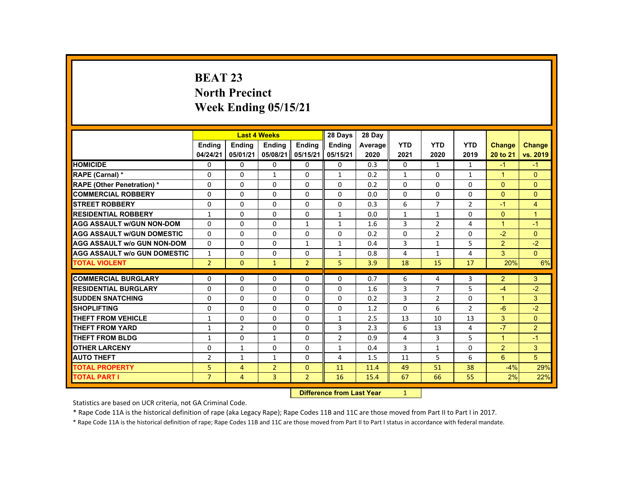# **BEAT 23 North Precinct Week Ending 05/15/21**

|                                     |                | <b>Last 4 Weeks</b> |                                  |                | 28 Days        | 28 Day  |              |                |                |                |                |
|-------------------------------------|----------------|---------------------|----------------------------------|----------------|----------------|---------|--------------|----------------|----------------|----------------|----------------|
|                                     | Ending         | Ending              | <b>Ending</b>                    | Ending         | <b>Ending</b>  | Average | <b>YTD</b>   | <b>YTD</b>     | <b>YTD</b>     | Change         | <b>Change</b>  |
|                                     | 04/24/21       | 05/01/21            | 05/08/21                         | 05/15/21       | 05/15/21       | 2020    | 2021         | 2020           | 2019           | 20 to 21       | vs. 2019       |
| <b>HOMICIDE</b>                     | 0              | 0                   | $\mathbf{0}$                     | $\Omega$       | 0              | 0.3     | 0            | $\mathbf{1}$   | $\mathbf{1}$   | $-1$           | $-1$           |
| RAPE (Carnal) *                     | $\Omega$       | $\Omega$            | $\mathbf{1}$                     | $\Omega$       | $\mathbf{1}$   | 0.2     | $\mathbf{1}$ | $\Omega$       | $\mathbf{1}$   | $\mathbf{1}$   | $\Omega$       |
| <b>RAPE (Other Penetration) *</b>   | $\mathbf 0$    | $\Omega$            | $\Omega$                         | $\Omega$       | $\Omega$       | 0.2     | $\Omega$     | $\Omega$       | $\Omega$       | $\Omega$       | $\overline{0}$ |
| <b>COMMERCIAL ROBBERY</b>           | $\Omega$       | $\Omega$            | $\Omega$                         | $\Omega$       | $\Omega$       | 0.0     | $\Omega$     | $\Omega$       | $\Omega$       | $\Omega$       | $\mathbf{0}$   |
| <b>STREET ROBBERY</b>               | $\Omega$       | $\Omega$            | $\Omega$                         | $\Omega$       | $\Omega$       | 0.3     | 6            | $\overline{7}$ | $\overline{2}$ | $-1$           | 4              |
| <b>RESIDENTIAL ROBBERY</b>          | $\mathbf{1}$   | $\Omega$            | $\Omega$                         | $\Omega$       | $\mathbf{1}$   | 0.0     | $\mathbf{1}$ | $\mathbf{1}$   | $\Omega$       | $\Omega$       | $\overline{1}$ |
| <b>AGG ASSAULT w/GUN NON-DOM</b>    | $\Omega$       | $\Omega$            | $\Omega$                         | $\mathbf{1}$   | $\mathbf{1}$   | 1.6     | 3            | $\overline{2}$ | 4              | $\mathbf{1}$   | $-1$           |
| <b>AGG ASSAULT W/GUN DOMESTIC</b>   | $\Omega$       | $\Omega$            | $\Omega$                         | $\Omega$       | $\Omega$       | 0.2     | $\Omega$     | $\overline{2}$ | $\Omega$       | $-2$           | $\Omega$       |
| <b>AGG ASSAULT w/o GUN NON-DOM</b>  | $\Omega$       | $\mathbf{0}$        | $\mathbf{0}$                     | 1              | $\mathbf{1}$   | 0.4     | 3            | $\mathbf{1}$   | 5              | $\overline{2}$ | $-2$           |
| <b>AGG ASSAULT W/o GUN DOMESTIC</b> | $\mathbf{1}$   | $\Omega$            | $\Omega$                         | $\Omega$       | 1              | 0.8     | 4            | $\mathbf{1}$   | 4              | 3              | $\mathbf{0}$   |
| <b>TOTAL VIOLENT</b>                | 2 <sup>1</sup> | $\mathbf{0}$        | $\mathbf{1}$                     | $\overline{2}$ | 5              | 3.9     | 18           | 15             | 17             | 20%            | 6%             |
| <b>COMMERCIAL BURGLARY</b>          | $\Omega$       | $\mathbf{0}$        | $\Omega$                         | 0              | $\Omega$       | 0.7     | 6            | 4              | 3              | $\overline{2}$ | 3              |
| <b>RESIDENTIAL BURGLARY</b>         | $\Omega$       | $\Omega$            | $\Omega$                         | $\Omega$       | $\Omega$       | 1.6     | 3            | $\overline{7}$ | 5              | $-4$           | $-2$           |
| <b>SUDDEN SNATCHING</b>             | $\Omega$       | $\Omega$            | $\Omega$                         | $\Omega$       | $\Omega$       | 0.2     | 3            | $\overline{2}$ | $\Omega$       | $\mathbf{1}$   | 3              |
| <b>SHOPLIFTING</b>                  | 0              | $\Omega$            | $\Omega$                         | $\Omega$       | 0              | 1.2     | 0            | 6              | $\overline{2}$ | $-6$           | $-2$           |
| THEFT FROM VEHICLE                  | $\mathbf{1}$   | $\Omega$            | $\Omega$                         | $\Omega$       | $\mathbf{1}$   | 2.5     | 13           | 10             | 13             | 3              | $\Omega$       |
| <b>THEFT FROM YARD</b>              | $\mathbf{1}$   | $\overline{2}$      | $\Omega$                         | $\Omega$       | 3              | 2.3     | 6            | 13             | 4              | $-7$           | $\overline{2}$ |
| <b>THEFT FROM BLDG</b>              | $\mathbf{1}$   | $\Omega$            | $\mathbf{1}$                     | $\Omega$       | $\overline{2}$ | 0.9     | 4            | 3              | 5              | $\mathbf{1}$   | $-1$           |
| <b>OTHER LARCENY</b>                | $\Omega$       | $\mathbf{1}$        | $\Omega$                         | $\Omega$       | $\mathbf{1}$   | 0.4     | 3            | $\mathbf{1}$   | 0              | $\overline{2}$ | 3              |
| <b>AUTO THEFT</b>                   | $\overline{2}$ | $\mathbf{1}$        | 1                                | $\mathbf{0}$   | 4              | 1.5     | 11           | 5              | 6              | 6              | 5              |
| <b>TOTAL PROPERTY</b>               | 5              | $\overline{4}$      | $\overline{2}$                   | $\Omega$       | 11             | 11.4    | 49           | 51             | 38             | $-4%$          | 29%            |
| <b>TOTAL PART I</b>                 | $\overline{7}$ | $\overline{4}$      | 3                                | $\overline{2}$ | 16             | 15.4    | 67           | 66             | 55             | 2%             | 22%            |
|                                     |                |                     | <b>Difference from Last Year</b> |                | 1              |         |              |                |                |                |                |

 **Difference from Last Year**

Statistics are based on UCR criteria, not GA Criminal Code.

\* Rape Code 11A is the historical definition of rape (aka Legacy Rape); Rape Codes 11B and 11C are those moved from Part II to Part I in 2017.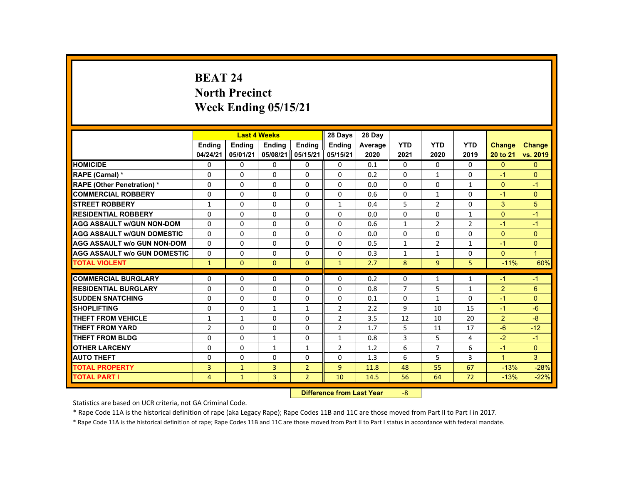# **BEAT 24 North Precinct Week Ending 05/15/21**

|                                     |                | <b>Last 4 Weeks</b> |                |                | 28 Days                           | 28 Day  |                |                |                |                |                |
|-------------------------------------|----------------|---------------------|----------------|----------------|-----------------------------------|---------|----------------|----------------|----------------|----------------|----------------|
|                                     | <b>Endina</b>  | Ending              | Ending         | Ending         | <b>Endina</b>                     | Average | <b>YTD</b>     | <b>YTD</b>     | <b>YTD</b>     | <b>Change</b>  | <b>Change</b>  |
|                                     | 04/24/21       | 05/01/21            | 05/08/21       | 05/15/21       | 05/15/21                          | 2020    | 2021           | 2020           | 2019           | 20 to 21       | vs. 2019       |
| <b>HOMICIDE</b>                     | 0              | $\Omega$            | $\Omega$       | $\Omega$       | 0                                 | 0.1     | 0              | $\Omega$       | $\mathbf{0}$   | $\mathbf{0}$   | $\mathbf{0}$   |
| RAPE (Carnal) *                     | 0              | $\Omega$            | $\Omega$       | $\Omega$       | $\Omega$                          | 0.2     | $\Omega$       | $\mathbf{1}$   | $\Omega$       | $-1$           | $\Omega$       |
| <b>RAPE (Other Penetration) *</b>   | 0              | $\Omega$            | $\Omega$       | $\Omega$       | $\Omega$                          | 0.0     | $\Omega$       | $\Omega$       | $\mathbf{1}$   | $\Omega$       | $-1$           |
| <b>COMMERCIAL ROBBERY</b>           | $\Omega$       | $\Omega$            | $\Omega$       | $\Omega$       | $\Omega$                          | 0.6     | $\Omega$       | $\mathbf{1}$   | $\Omega$       | $-1$           | $\overline{0}$ |
| <b>STREET ROBBERY</b>               | $\mathbf{1}$   | $\Omega$            | $\Omega$       | $\Omega$       | $\mathbf{1}$                      | 0.4     | 5              | $\overline{2}$ | $\Omega$       | 3              | 5              |
| <b>RESIDENTIAL ROBBERY</b>          | 0              | $\mathbf{0}$        | $\mathbf{0}$   | $\mathbf{0}$   | 0                                 | 0.0     | 0              | 0              | $\mathbf{1}$   | $\Omega$       | $-1$           |
| <b>AGG ASSAULT W/GUN NON-DOM</b>    | $\Omega$       | $\Omega$            | $\Omega$       | $\Omega$       | 0                                 | 0.6     | $\mathbf{1}$   | $\overline{2}$ | $\overline{2}$ | $-1$           | $-1$           |
| <b>AGG ASSAULT W/GUN DOMESTIC</b>   | $\Omega$       | $\Omega$            | $\Omega$       | $\Omega$       | $\Omega$                          | 0.0     | $\Omega$       | $\Omega$       | $\Omega$       | $\Omega$       | $\mathbf{0}$   |
| <b>AGG ASSAULT w/o GUN NON-DOM</b>  | $\Omega$       | $\Omega$            | $\Omega$       | $\Omega$       | $\Omega$                          | 0.5     | $\mathbf{1}$   | $\overline{2}$ | $\mathbf{1}$   | $-1$           | $\Omega$       |
| <b>AGG ASSAULT W/o GUN DOMESTIC</b> | $\Omega$       | $\Omega$            | $\mathbf{0}$   | $\mathbf{0}$   | 0                                 | 0.3     | $\mathbf{1}$   | $\mathbf{1}$   | 0              | $\mathbf{0}$   | $\mathbf{1}$   |
| <b>TOTAL VIOLENT</b>                | $\mathbf{1}$   | $\Omega$            | $\mathbf{0}$   | $\mathbf{0}$   | $\mathbf{1}$                      | 2.7     | 8              | 9              | 5              | $-11%$         | 60%            |
| <b>COMMERCIAL BURGLARY</b>          | $\Omega$       | $\Omega$            | $\Omega$       | $\Omega$       | $\Omega$                          | 0.2     | $\Omega$       | $\mathbf{1}$   | $\mathbf{1}$   | $-1$           | $-1$           |
| <b>RESIDENTIAL BURGLARY</b>         | 0              | $\Omega$            | $\Omega$       | $\Omega$       | $\Omega$                          | 0.8     | $\overline{7}$ | 5              | $\mathbf{1}$   | $\overline{2}$ | 6              |
| <b>SUDDEN SNATCHING</b>             | $\Omega$       | $\Omega$            | $\Omega$       | $\Omega$       | $\Omega$                          | 0.1     | 0              | $\mathbf{1}$   | $\Omega$       | $-1$           | $\Omega$       |
| <b>SHOPLIFTING</b>                  | $\Omega$       | $\Omega$            | $\mathbf{1}$   | $\mathbf{1}$   | $\overline{2}$                    | 2.2     | 9              | 10             | 15             | $-1$           | $-6$           |
| <b>THEFT FROM VEHICLE</b>           | $\mathbf{1}$   | $\mathbf{1}$        | $\Omega$       | $\Omega$       | $\overline{2}$                    | 3.5     | 12             | 10             | 20             | $\overline{2}$ | $-8$           |
| <b>THEFT FROM YARD</b>              | $\overline{2}$ | $\Omega$            | $\Omega$       | $\Omega$       | $\overline{2}$                    | 1.7     | 5              | 11             | 17             | $-6$           | $-12$          |
| <b>THEFT FROM BLDG</b>              | $\Omega$       | $\Omega$            | $\mathbf{1}$   | 0              | $\mathbf{1}$                      | 0.8     | 3              | 5              | 4              | $-2$           | $-1$           |
| <b>OTHER LARCENY</b>                | $\Omega$       | $\Omega$            | $\mathbf{1}$   | $\mathbf{1}$   | 2                                 | 1.2     | 6              | $\overline{7}$ | 6              | $-1$           | $\Omega$       |
| <b>AUTO THEFT</b>                   | $\Omega$       | $\Omega$            | $\Omega$       | $\Omega$       | $\Omega$                          | 1.3     | 6              | 5              | 3              | $\mathbf{1}$   | 3              |
| <b>TOTAL PROPERTY</b>               | $\overline{3}$ | $\mathbf{1}$        | $\overline{3}$ | $\overline{2}$ | $\overline{9}$                    | 11.8    | 48             | 55             | 67             | $-13%$         | $-28%$         |
| <b>TOTAL PART I</b>                 | 4              | $\mathbf{1}$        | 3              | $\overline{2}$ | 10                                | 14.5    | 56             | 64             | 72             | $-13%$         | $-22%$         |
|                                     |                |                     |                |                | <b>Difference from Least Vanc</b> |         | $\Omega$       |                |                |                |                |

 **Difference from Last Year**‐8

Statistics are based on UCR criteria, not GA Criminal Code.

\* Rape Code 11A is the historical definition of rape (aka Legacy Rape); Rape Codes 11B and 11C are those moved from Part II to Part I in 2017.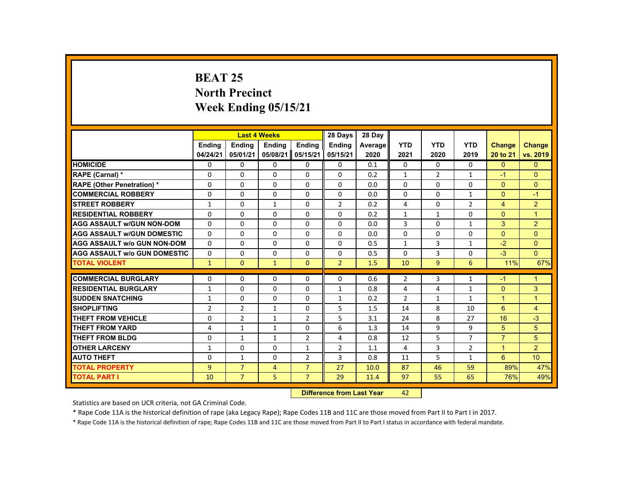# **BEAT 25 North Precinct Week Ending 05/15/21**

|                                     |                                   |                | <b>Last 4 Weeks</b> |                | 28 Days        | 28 Day  |                |                |                |                      |                      |
|-------------------------------------|-----------------------------------|----------------|---------------------|----------------|----------------|---------|----------------|----------------|----------------|----------------------|----------------------|
|                                     | <b>Ending</b>                     | <b>Endina</b>  | <b>Ending</b>       | Ending         | Ending         | Average | <b>YTD</b>     | <b>YTD</b>     | <b>YTD</b>     | <b>Change</b>        | <b>Change</b>        |
|                                     | 04/24/21                          | 05/01/21       | 05/08/21            | 05/15/21       | 05/15/21       | 2020    | 2021           | 2020           | 2019           | 20 to 21             | vs. 2019             |
| <b>HOMICIDE</b>                     | $\Omega$                          | $\Omega$       | $\mathbf{0}$        | $\Omega$       | 0              | 0.1     | 0              | $\Omega$       | $\Omega$       | $\Omega$             | $\Omega$             |
| RAPE (Carnal) *                     | 0                                 | $\Omega$       | $\Omega$            | $\Omega$       | $\Omega$       | 0.2     | $\mathbf{1}$   | $\overline{2}$ | $\mathbf{1}$   | $-1$                 | $\Omega$             |
| <b>RAPE (Other Penetration) *</b>   | $\Omega$                          | $\Omega$       | $\Omega$            | $\Omega$       | $\Omega$       | 0.0     | $\Omega$       | $\Omega$       | $\Omega$       | $\Omega$             | $\Omega$             |
| <b>COMMERCIAL ROBBERY</b>           | $\Omega$                          | $\Omega$       | $\Omega$            | $\Omega$       | $\Omega$       | 0.0     | $\Omega$       | $\Omega$       | $\mathbf{1}$   | $\Omega$             | $-1$                 |
| <b>STREET ROBBERY</b>               | $\mathbf{1}$                      | $\Omega$       | $\mathbf{1}$        | $\Omega$       | $\overline{2}$ | 0.2     | 4              | $\Omega$       | $\overline{2}$ | $\overline{4}$       | $\overline{2}$       |
| <b>RESIDENTIAL ROBBERY</b>          | $\mathbf{0}$                      | $\mathbf{0}$   | $\Omega$            | 0              | $\Omega$       | 0.2     | $\mathbf{1}$   | $\mathbf{1}$   | $\Omega$       | $\Omega$             | $\mathbf{1}$         |
| <b>AGG ASSAULT W/GUN NON-DOM</b>    | $\Omega$                          | $\Omega$       | $\Omega$            | $\Omega$       | $\Omega$       | 0.0     | 3              | $\Omega$       | $\mathbf{1}$   | 3                    | 2                    |
| <b>AGG ASSAULT W/GUN DOMESTIC</b>   | $\Omega$                          | $\Omega$       | $\Omega$            | $\Omega$       | $\Omega$       | 0.0     | $\Omega$       | $\Omega$       | $\Omega$       | $\Omega$             | $\Omega$             |
| <b>AGG ASSAULT w/o GUN NON-DOM</b>  | $\Omega$                          | $\Omega$       | $\Omega$            | $\Omega$       | $\Omega$       | 0.5     | $\mathbf{1}$   | $\overline{3}$ | $\mathbf{1}$   | $-2$                 | $\Omega$             |
| <b>AGG ASSAULT W/o GUN DOMESTIC</b> | $\Omega$                          | $\Omega$       | $\Omega$            | $\Omega$       | $\Omega$       | 0.5     | $\Omega$       | 3              | $\Omega$       | $-3$                 | $\Omega$             |
| <b>TOTAL VIOLENT</b>                | $\mathbf{1}$                      | $\Omega$       | $\mathbf{1}$        | $\mathbf{0}$   | $\overline{2}$ | 1.5     | 10             | 9 <sup>°</sup> | 6              | 11%                  | 67%                  |
|                                     |                                   |                |                     |                |                |         |                |                |                |                      |                      |
| <b>COMMERCIAL BURGLARY</b>          | $\mathbf{0}$                      | $\Omega$       | $\Omega$            | $\mathbf{0}$   | 0              | 0.6     | $\overline{2}$ | 3              | $\mathbf{1}$   | $-1$                 | $\mathbf{1}$         |
| <b>RESIDENTIAL BURGLARY</b>         | $\mathbf{1}$                      | $\Omega$       | $\Omega$            | $\Omega$       | $\mathbf{1}$   | 0.8     | 4              | 4              | $\mathbf{1}$   | $\Omega$             | 3                    |
| <b>SUDDEN SNATCHING</b>             | 1                                 | $\mathbf{0}$   | $\mathbf{0}$        | 0              | $\mathbf{1}$   | 0.2     | $\overline{2}$ | $\mathbf{1}$   | $\mathbf{1}$   | $\blacktriangleleft$ | $\blacktriangleleft$ |
| <b>SHOPLIFTING</b>                  | $\overline{2}$                    | $\overline{2}$ | $\mathbf{1}$        | $\Omega$       | 5              | 1.5     | 14             | 8              | 10             | 6                    | $\overline{4}$       |
| <b>THEFT FROM VEHICLE</b>           | $\Omega$                          | $\overline{2}$ | $\mathbf{1}$        | $\overline{2}$ | 5              | 3.1     | 24             | 8              | 27             | 16                   | $-3$                 |
| <b>THEFT FROM YARD</b>              | 4                                 | $\mathbf{1}$   | $\mathbf{1}$        | $\Omega$       | 6              | 1.3     | 14             | 9              | 9              | 5                    | 5                    |
| <b>THEFT FROM BLDG</b>              | 0                                 | $\mathbf{1}$   | $\mathbf{1}$        | $\overline{2}$ | 4              | 0.8     | 12             | 5              | $\overline{7}$ | $\overline{7}$       | 5                    |
| <b>OTHER LARCENY</b>                | 1                                 | $\Omega$       | $\Omega$            | $\mathbf{1}$   | $\overline{2}$ | 1.1     | 4              | 3              | $\overline{2}$ | $\overline{1}$       | 2 <sup>1</sup>       |
| <b>AUTO THEFT</b>                   | $\Omega$                          | $\mathbf{1}$   | $\Omega$            | $\overline{2}$ | 3              | 0.8     | 11             | 5              | $\mathbf{1}$   | 6                    | 10 <sup>1</sup>      |
| <b>TOTAL PROPERTY</b>               | $\overline{9}$                    | $\overline{7}$ | $\overline{4}$      | $\overline{7}$ | 27             | 10.0    | 87             | 46             | 59             | 89%                  | 47%                  |
| <b>TOTAL PART I</b>                 | 10                                | $\overline{7}$ | 5                   | $\overline{7}$ | 29             | 11.4    | 97             | 55             | 65             | 76%                  | 49%                  |
|                                     | <b>Difference from Least Vanc</b> |                |                     |                |                |         | $\sqrt{2}$     |                |                |                      |                      |

 **Difference from Last Year**r 42

Statistics are based on UCR criteria, not GA Criminal Code.

\* Rape Code 11A is the historical definition of rape (aka Legacy Rape); Rape Codes 11B and 11C are those moved from Part II to Part I in 2017.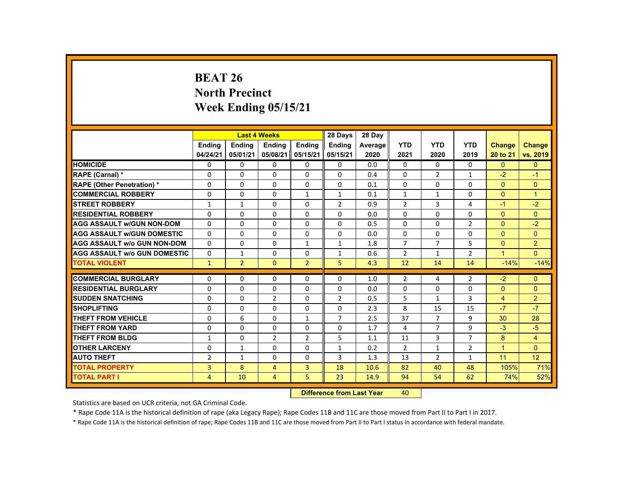# **BEAT 26 North Precinct Week Ending 05/15/21**

|                                     |                |                | <b>Last 4 Weeks</b> |                 | 28 Days                                                                                                                                                                                                                        | 28 Day  |                |                |                |                |                |
|-------------------------------------|----------------|----------------|---------------------|-----------------|--------------------------------------------------------------------------------------------------------------------------------------------------------------------------------------------------------------------------------|---------|----------------|----------------|----------------|----------------|----------------|
|                                     | <b>Ending</b>  | <b>Ending</b>  | <b>Ending</b>       | <b>Endina</b>   | <b>Ending</b>                                                                                                                                                                                                                  | Average | <b>YTD</b>     | <b>YTD</b>     | <b>YTD</b>     | <b>Change</b>  | <b>Change</b>  |
|                                     | 04/24/21       | 05/01/21       | 05/08/21            | 05/15/21        | 05/15/21                                                                                                                                                                                                                       | 2020    | 2021           | 2020           | 2019           | 20 to 21       | vs. 2019       |
| <b>HOMICIDE</b>                     | 0              | $\Omega$       | 0                   | $\Omega$        | 0                                                                                                                                                                                                                              | 0.0     | $\mathbf{0}$   | 0              | $\mathbf{0}$   | $\mathbf{0}$   | $\mathbf{0}$   |
| RAPE (Carnal) *                     | 0              | $\mathbf{0}$   | 0                   | $\Omega$        | $\Omega$                                                                                                                                                                                                                       | 0.4     | $\Omega$       | 2              | 1              | $-2$           | $-1$           |
| <b>RAPE (Other Penetration) *</b>   | $\Omega$       | $\Omega$       | $\Omega$            | $\Omega$        | $\Omega$                                                                                                                                                                                                                       | 0.1     | $\Omega$       | $\Omega$       | $\Omega$       | $\Omega$       | $\Omega$       |
| <b>COMMERCIAL ROBBERY</b>           | $\Omega$       | $\Omega$       | $\Omega$            | $\mathbf{1}$    | $\mathbf{1}$                                                                                                                                                                                                                   | 0.1     | $\mathbf{1}$   | $\mathbf{1}$   | $\Omega$       | $\Omega$       | $\overline{1}$ |
| <b>STREET ROBBERY</b>               | $\mathbf{1}$   | $\mathbf{1}$   | $\Omega$            | $\Omega$        | $\overline{2}$                                                                                                                                                                                                                 | 0.9     | $\overline{2}$ | 3              | 4              | $-1$           | $-2$           |
| <b>RESIDENTIAL ROBBERY</b>          | 0              | $\mathbf{0}$   | 0                   | 0               | 0                                                                                                                                                                                                                              | 0.0     | 0              | 0              | 0              | $\mathbf{0}$   | $\mathbf{0}$   |
| <b>AGG ASSAULT W/GUN NON-DOM</b>    | $\Omega$       | $\Omega$       | 0                   | $\Omega$        | $\Omega$                                                                                                                                                                                                                       | 0.5     | $\Omega$       | 0              | $\overline{2}$ | $\Omega$       | $-2$           |
| <b>AGG ASSAULT W/GUN DOMESTIC</b>   | $\Omega$       | $\Omega$       | $\Omega$            | $\Omega$        | $\Omega$                                                                                                                                                                                                                       | 0.0     | $\Omega$       | $\Omega$       | $\Omega$       | $\Omega$       | $\Omega$       |
| <b>AGG ASSAULT W/o GUN NON-DOM</b>  | $\Omega$       | $\Omega$       | $\Omega$            | $\mathbf{1}$    | $\mathbf{1}$                                                                                                                                                                                                                   | 1.8     | $\overline{7}$ | $\overline{7}$ | 5              | $\Omega$       | $\overline{2}$ |
| <b>AGG ASSAULT W/o GUN DOMESTIC</b> | $\Omega$       | $\mathbf{1}$   | $\Omega$            | $\Omega$        | $\mathbf{1}$                                                                                                                                                                                                                   | 0.6     | $\overline{2}$ | $\mathbf{1}$   | $\overline{2}$ | $\mathbf{1}$   | $\Omega$       |
| <b>TOTAL VIOLENT</b>                | $\mathbf{1}$   | $\overline{2}$ | $\mathbf{0}$        | $\overline{2}$  | 5                                                                                                                                                                                                                              | 4.3     | 12             | 14             | 14             | $-14%$         | $-14%$         |
|                                     |                |                |                     |                 |                                                                                                                                                                                                                                |         |                |                |                |                |                |
| <b>COMMERCIAL BURGLARY</b>          | $\Omega$       | $\Omega$       | $\Omega$            | 0               | 0                                                                                                                                                                                                                              | 1.0     | $\overline{2}$ | 4              | $\overline{2}$ | $-2$           | $\mathbf{0}$   |
| <b>RESIDENTIAL BURGLARY</b>         | $\Omega$       | $\Omega$       | $\Omega$            | $\Omega$        | $\Omega$                                                                                                                                                                                                                       | 0.0     | $\Omega$       | $\Omega$       | $\Omega$       | $\Omega$       | $\Omega$       |
| <b>SUDDEN SNATCHING</b>             | 0              | $\mathbf{0}$   | $\overline{2}$      | 0               | $\overline{2}$                                                                                                                                                                                                                 | 0.5     | 5              | $\mathbf{1}$   | 3              | $\overline{4}$ | $\overline{2}$ |
| <b>SHOPLIFTING</b>                  | $\Omega$       | $\Omega$       | $\Omega$            | $\Omega$        | $\Omega$                                                                                                                                                                                                                       | 2.3     | 8              | 15             | 15             | $-7$           | $-7$           |
| <b>THEFT FROM VEHICLE</b>           | $\Omega$       | 6              | $\Omega$            | $\mathbf{1}$    | $\overline{7}$                                                                                                                                                                                                                 | 2.5     | 37             | $\overline{7}$ | 9              | 30             | 28             |
| <b>THEFT FROM YARD</b>              | $\Omega$       | $\Omega$       | $\Omega$            | $\Omega$        | $\Omega$                                                                                                                                                                                                                       | 1.7     | 4              | $\overline{7}$ | 9              | $-3$           | $-5$           |
| <b>THEFT FROM BLDG</b>              | $\mathbf{1}$   | $\Omega$       | 2                   | 2               | 5                                                                                                                                                                                                                              | 1.1     | 11             | 3              | $\overline{7}$ | 8              | 4              |
| <b>OTHER LARCENY</b>                | $\Omega$       | $\mathbf{1}$   | $\Omega$            | 0               | $\mathbf{1}$                                                                                                                                                                                                                   | 0.2     | $\overline{2}$ | $\mathbf{1}$   | $\overline{2}$ | $\mathbf{1}$   | $\Omega$       |
| <b>AUTO THEFT</b>                   | $\overline{2}$ | $\mathbf{1}$   | $\Omega$            | $\Omega$        | 3                                                                                                                                                                                                                              | 1.3     | 13             | $\overline{2}$ | $\mathbf{1}$   | 11             | 12             |
| <b>TOTAL PROPERTY</b>               | 3              | 8              | $\overline{4}$      | $\overline{3}$  | 18                                                                                                                                                                                                                             | 10.6    | 82             | 40             | 48             | 105%           | 71%            |
| <b>TOTAL PART I</b>                 | $\overline{4}$ | 10             | $\overline{4}$      | 5               | 23                                                                                                                                                                                                                             | 14.9    | 94             | 54             | 62             | 74%            | 52%            |
|                                     |                |                |                     | <b>CALLED A</b> | and the second control of the second second the second second second second second second second second second second second second second second second second second second second second second second second second second |         | $\sim$         |                |                |                |                |

 **Difference from Last Year**r 40

Statistics are based on UCR criteria, not GA Criminal Code.

\* Rape Code 11A is the historical definition of rape (aka Legacy Rape); Rape Codes 11B and 11C are those moved from Part II to Part I in 2017.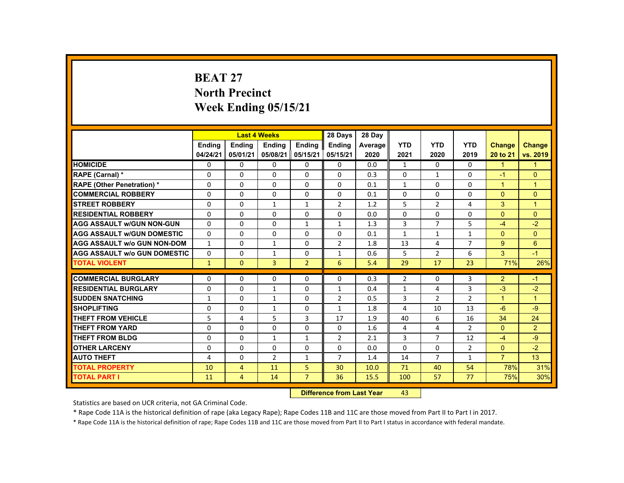# **BEAT 27 North Precinct Week Ending 05/15/21**

|                                     |               |                                   | <b>Last 4 Weeks</b> |                | 28 Days        | 28 Day  |                |                |                |                |                |
|-------------------------------------|---------------|-----------------------------------|---------------------|----------------|----------------|---------|----------------|----------------|----------------|----------------|----------------|
|                                     | <b>Ending</b> | <b>Ending</b>                     | <b>Ending</b>       | <b>Ending</b>  | Ending         | Average | <b>YTD</b>     | <b>YTD</b>     | <b>YTD</b>     | <b>Change</b>  | <b>Change</b>  |
|                                     | 04/24/21      | 05/01/21                          | 05/08/21            | 05/15/21       | 05/15/21       | 2020    | 2021           | 2020           | 2019           | 20 to 21       | vs. 2019       |
| <b>HOMICIDE</b>                     | $\Omega$      | $\Omega$                          | $\Omega$            | $\Omega$       | 0              | 0.0     | $\mathbf{1}$   | $\Omega$       | $\Omega$       | $\mathbf{1}$   | $\mathbf{1}$   |
| RAPE (Carnal) *                     | 0             | $\Omega$                          | $\Omega$            | $\Omega$       | $\Omega$       | 0.3     | $\Omega$       | 1              | $\Omega$       | $-1$           | $\mathbf{0}$   |
| <b>RAPE (Other Penetration) *</b>   | $\Omega$      | $\Omega$                          | $\Omega$            | $\Omega$       | $\Omega$       | 0.1     | $\mathbf{1}$   | $\Omega$       | $\Omega$       | $\mathbf{1}$   | $\overline{1}$ |
| <b>COMMERCIAL ROBBERY</b>           | $\Omega$      | $\Omega$                          | $\Omega$            | $\Omega$       | $\Omega$       | 0.1     | $\Omega$       | $\Omega$       | $\Omega$       | $\Omega$       | $\Omega$       |
| <b>STREET ROBBERY</b>               | $\Omega$      | $\Omega$                          | $\mathbf{1}$        | $\mathbf{1}$   | $\overline{2}$ | 1.2     | 5              | $\overline{2}$ | 4              | 3              | $\mathbf{1}$   |
| <b>RESIDENTIAL ROBBERY</b>          | $\Omega$      | $\Omega$                          | $\Omega$            | 0              | $\Omega$       | 0.0     | $\Omega$       | $\Omega$       | $\Omega$       | $\Omega$       | $\Omega$       |
| <b>AGG ASSAULT W/GUN NON-GUN</b>    | $\Omega$      | $\Omega$                          | $\Omega$            | $\mathbf{1}$   | $\mathbf{1}$   | 1.3     | 3              | $\overline{7}$ | 5              | $-4$           | $-2$           |
| <b>AGG ASSAULT W/GUN DOMESTIC</b>   | $\Omega$      | $\Omega$                          | $\Omega$            | $\Omega$       | $\Omega$       | 0.1     | $\mathbf{1}$   | $\mathbf{1}$   | $\mathbf{1}$   | $\Omega$       | $\Omega$       |
| <b>AGG ASSAULT w/o GUN NON-DOM</b>  | $\mathbf{1}$  | $\Omega$                          | $\mathbf{1}$        | $\Omega$       | $\overline{2}$ | 1.8     | 13             | 4              | $\overline{7}$ | 9              | 6              |
| <b>AGG ASSAULT W/o GUN DOMESTIC</b> | $\Omega$      | $\Omega$                          | $\mathbf{1}$        | $\Omega$       | $\mathbf{1}$   | 0.6     | 5              | $\overline{2}$ | 6              | $\mathbf{3}$   | $-1$           |
| <b>TOTAL VIOLENT</b>                | $\mathbf{1}$  | $\mathbf{0}$                      | 3                   | $\overline{2}$ | 6              | 5.4     | 29             | 17             | 23             | 71%            | 26%            |
|                                     |               |                                   |                     |                |                |         |                |                |                |                |                |
| <b>COMMERCIAL BURGLARY</b>          | $\Omega$      | $\Omega$                          | $\Omega$            | 0              | 0              | 0.3     | $\overline{2}$ | 0              | 3              | $\overline{2}$ | $-1$           |
| <b>RESIDENTIAL BURGLARY</b>         | $\Omega$      | $\Omega$                          | $\mathbf{1}$        | $\Omega$       | $\mathbf{1}$   | 0.4     | $\mathbf{1}$   | 4              | 3              | $-3$           | $-2$           |
| <b>SUDDEN SNATCHING</b>             | $\mathbf{1}$  | $\mathbf{0}$                      | 1                   | $\mathbf{0}$   | 2              | 0.5     | 3              | $\overline{2}$ | $\overline{2}$ | $\mathbf{1}$   | $\mathbf{1}$   |
| <b>SHOPLIFTING</b>                  | $\Omega$      | $\Omega$                          | $\mathbf{1}$        | $\Omega$       | $\mathbf{1}$   | 1.8     | 4              | 10             | 13             | $-6$           | $-9$           |
| <b>THEFT FROM VEHICLE</b>           | 5             | 4                                 | 5                   | $\overline{3}$ | 17             | 1.9     | 40             | 6              | 16             | 34             | 24             |
| <b>THEFT FROM YARD</b>              | $\Omega$      | $\Omega$                          | $\Omega$            | $\Omega$       | $\Omega$       | 1.6     | 4              | 4              | $\overline{2}$ | $\Omega$       | $\overline{2}$ |
| <b>THEFT FROM BLDG</b>              | 0             | $\Omega$                          | $\mathbf{1}$        | $\mathbf{1}$   | $\overline{2}$ | 2.1     | 3              | $\overline{7}$ | 12             | $-4$           | $-9$           |
| <b>OTHER LARCENY</b>                | $\Omega$      | $\Omega$                          | $\Omega$            | $\Omega$       | $\Omega$       | 0.0     | $\Omega$       | $\Omega$       | $\overline{2}$ | $\Omega$       | $-2$           |
| <b>AUTO THEFT</b>                   | 4             | $\Omega$                          | $\overline{2}$      | $\mathbf{1}$   | $\overline{7}$ | 1.4     | 14             | $\overline{7}$ | $\mathbf{1}$   | $\overline{7}$ | 13             |
| <b>TOTAL PROPERTY</b>               | 10            | $\overline{4}$                    | 11                  | 5              | 30             | 10.0    | 71             | 40             | 54             | 78%            | 31%            |
| <b>TOTAL PART I</b>                 | 11            | $\overline{4}$                    | 14                  | $\overline{7}$ | 36             | 15.5    | 100            | 57             | 77             | 75%            | 30%            |
|                                     |               | <b>Difference from Least Vanc</b> |                     | $\sqrt{2}$     |                |         |                |                |                |                |                |

 **Difference from Last Year**r 43

Statistics are based on UCR criteria, not GA Criminal Code.

\* Rape Code 11A is the historical definition of rape (aka Legacy Rape); Rape Codes 11B and 11C are those moved from Part II to Part I in 2017.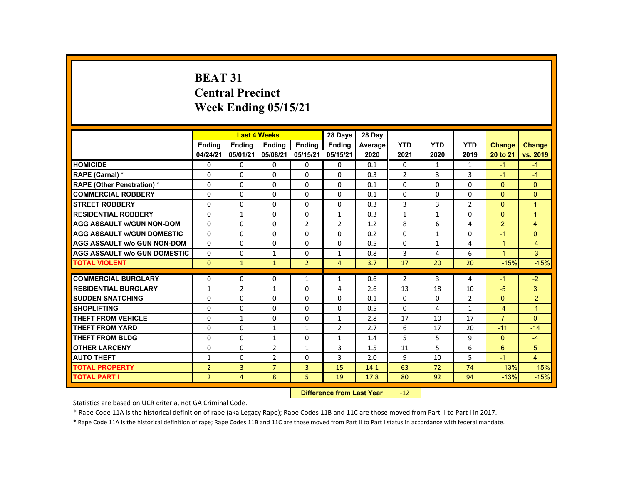# **BEAT 31 Central Precinct Week Ending 05/15/21**

|                                     |                           |                | <b>Last 4 Weeks</b> |                | 28 Days        | 28 Day  |                |                |                |                |                |
|-------------------------------------|---------------------------|----------------|---------------------|----------------|----------------|---------|----------------|----------------|----------------|----------------|----------------|
|                                     | <b>Endina</b>             | <b>Endina</b>  | <b>Endina</b>       | <b>Endina</b>  | <b>Endina</b>  | Average | <b>YTD</b>     | <b>YTD</b>     | <b>YTD</b>     | <b>Change</b>  | <b>Change</b>  |
|                                     | 04/24/21                  | 05/01/21       | 05/08/21            | 05/15/21       | 05/15/21       | 2020    | 2021           | 2020           | 2019           | 20 to 21       | vs. 2019       |
| <b>HOMICIDE</b>                     | $\mathbf{0}$              | 0              | $\Omega$            | $\Omega$       | 0              | 0.1     | $\mathbf{0}$   | 1              | $\mathbf{1}$   | $-1$           | $-1$           |
| RAPE (Carnal) *                     | 0                         | $\Omega$       | $\Omega$            | $\Omega$       | $\Omega$       | 0.3     | $\overline{2}$ | 3              | 3              | $-1$           | $-1$           |
| <b>RAPE (Other Penetration) *</b>   | $\Omega$                  | $\Omega$       | $\Omega$            | $\Omega$       | $\Omega$       | 0.1     | $\Omega$       | $\Omega$       | $\Omega$       | $\Omega$       | $\Omega$       |
| <b>COMMERCIAL ROBBERY</b>           | $\Omega$                  | $\Omega$       | $\Omega$            | $\Omega$       | $\Omega$       | 0.1     | $\Omega$       | $\Omega$       | $\Omega$       | $\Omega$       | $\Omega$       |
| <b>STREET ROBBERY</b>               | $\Omega$                  | $\Omega$       | $\Omega$            | $\Omega$       | $\Omega$       | 0.3     | 3              | $\overline{3}$ | $\overline{2}$ | $\Omega$       | $\mathbf{1}$   |
| <b>RESIDENTIAL ROBBERY</b>          | 0                         | 1              | 0                   | 0              | 1              | 0.3     | $\mathbf{1}$   | $\mathbf{1}$   | $\Omega$       | $\Omega$       | $\overline{1}$ |
| <b>AGG ASSAULT w/GUN NON-DOM</b>    | $\Omega$                  | $\Omega$       | $\Omega$            | $\overline{2}$ | $\overline{2}$ | 1.2     | 8              | 6              | 4              | $\overline{2}$ | $\overline{4}$ |
| <b>AGG ASSAULT W/GUN DOMESTIC</b>   | $\Omega$                  | $\Omega$       | $\Omega$            | $\Omega$       | $\Omega$       | 0.2     | $\Omega$       | $\mathbf{1}$   | $\Omega$       | $-1$           | $\Omega$       |
| <b>AGG ASSAULT w/o GUN NON-DOM</b>  | $\Omega$                  | $\Omega$       | $\Omega$            | $\Omega$       | $\Omega$       | 0.5     | $\Omega$       | $\mathbf{1}$   | 4              | $-1$           | $-4$           |
| <b>AGG ASSAULT w/o GUN DOMESTIC</b> | $\mathbf{0}$              | $\Omega$       | 1                   | $\Omega$       | 1              | 0.8     | 3              | 4              | 6              | $-1$           | $-3$           |
| <b>TOTAL VIOLENT</b>                | $\mathbf{0}$              | $\mathbf{1}$   | $\mathbf{1}$        | $\overline{2}$ | $\overline{4}$ | 3.7     | 17             | 20             | 20             | $-15%$         | $-15%$         |
| <b>COMMERCIAL BURGLARY</b>          | $\Omega$                  | $\Omega$       | $\Omega$            | $\mathbf{1}$   | $\mathbf{1}$   | 0.6     | $\overline{2}$ | 3              | 4              | $-1$           | $-2$           |
| <b>RESIDENTIAL BURGLARY</b>         | $\mathbf{1}$              | $\overline{2}$ | $\mathbf{1}$        | $\Omega$       | $\overline{4}$ | 2.6     | 13             | 18             | 10             | $-5$           | 3              |
| <b>SUDDEN SNATCHING</b>             | 0                         | $\Omega$       | 0                   | $\Omega$       | 0              | 0.1     | $\Omega$       | 0              | $\overline{2}$ | $\Omega$       | $-2$           |
| <b>SHOPLIFTING</b>                  | $\Omega$                  | $\Omega$       | $\Omega$            | $\Omega$       | $\Omega$       | 0.5     | $\Omega$       | 4              | $\mathbf{1}$   | $-4$           | $-1$           |
| <b>THEFT FROM VEHICLE</b>           | $\Omega$                  | $\mathbf{1}$   | $\Omega$            | $\Omega$       | $\mathbf{1}$   | 2.8     | 17             | 10             | 17             | $\overline{7}$ | $\Omega$       |
| <b>THEFT FROM YARD</b>              | $\Omega$                  | $\Omega$       | $\mathbf{1}$        | $\mathbf{1}$   | $\overline{2}$ | 2.7     | 6              | 17             | 20             | $-11$          | $-14$          |
| <b>THEFT FROM BLDG</b>              | $\Omega$                  | $\Omega$       | $\mathbf{1}$        | $\Omega$       | $\mathbf{1}$   | 1.4     | 5              | 5              | 9              | $\Omega$       | $-4$           |
| <b>OTHER LARCENY</b>                | 0                         | $\Omega$       | $\overline{2}$      | $\mathbf{1}$   | 3              | 1.5     | 11             | 5              | 6              | 6              | 5              |
| <b>AUTO THEFT</b>                   | $\mathbf{1}$              | $\Omega$       | $\overline{2}$      | $\Omega$       | $\overline{3}$ | 2.0     | 9              | 10             | 5.             | $-1$           | $\overline{4}$ |
| <b>TOTAL PROPERTY</b>               | $\overline{2}$            | $\overline{3}$ | $\overline{7}$      | $\overline{3}$ | 15             | 14.1    | 63             | 72             | 74             | $-13%$         | $-15%$         |
| <b>TOTAL PART I</b>                 | $\overline{2}$            | $\overline{4}$ | 8                   | 5              | 19             | 17.8    | 80             | 92             | 94             | $-13%$         | $-15%$         |
|                                     | Difference from Last Vear |                |                     |                |                |         | $-12$          |                |                |                |                |

 **Difference from Last Year**r -12

Statistics are based on UCR criteria, not GA Criminal Code.

\* Rape Code 11A is the historical definition of rape (aka Legacy Rape); Rape Codes 11B and 11C are those moved from Part II to Part I in 2017.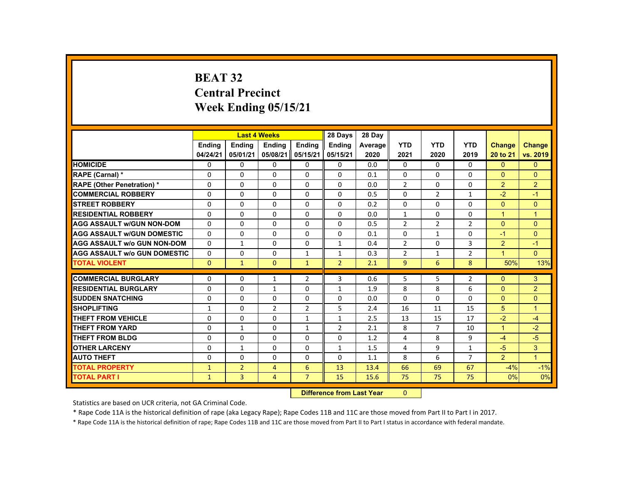# **BEAT 32 Central PrecinctWeek Ending 05/15/21**

|                                     |               |                | <b>Last 4 Weeks</b> |                 | 28 Days                                                                                                                                                                                                                        | 28 Day  |                |                |                |                |                |
|-------------------------------------|---------------|----------------|---------------------|-----------------|--------------------------------------------------------------------------------------------------------------------------------------------------------------------------------------------------------------------------------|---------|----------------|----------------|----------------|----------------|----------------|
|                                     | <b>Ending</b> | <b>Ending</b>  | <b>Ending</b>       | <b>Endina</b>   | <b>Ending</b>                                                                                                                                                                                                                  | Average | <b>YTD</b>     | <b>YTD</b>     | <b>YTD</b>     | <b>Change</b>  | <b>Change</b>  |
|                                     | 04/24/21      | 05/01/21       | 05/08/21            | 05/15/21        | 05/15/21                                                                                                                                                                                                                       | 2020    | 2021           | 2020           | 2019           | 20 to 21       | vs. 2019       |
| <b>HOMICIDE</b>                     | 0             | $\Omega$       | 0                   | $\Omega$        | 0                                                                                                                                                                                                                              | 0.0     | $\mathbf{0}$   | 0              | $\mathbf{0}$   | $\mathbf{0}$   | $\mathbf{0}$   |
| <b>RAPE (Carnal) *</b>              | 0             | $\Omega$       | 0                   | $\Omega$        | $\Omega$                                                                                                                                                                                                                       | 0.1     | $\Omega$       | 0              | 0              | $\Omega$       | $\Omega$       |
| <b>RAPE (Other Penetration) *</b>   | $\Omega$      | $\Omega$       | $\Omega$            | $\Omega$        | $\Omega$                                                                                                                                                                                                                       | 0.0     | $\overline{2}$ | $\Omega$       | $\Omega$       | $\overline{2}$ | $\overline{2}$ |
| <b>COMMERCIAL ROBBERY</b>           | $\Omega$      | $\Omega$       | $\Omega$            | $\Omega$        | $\Omega$                                                                                                                                                                                                                       | 0.5     | $\Omega$       | $\overline{2}$ | $\mathbf{1}$   | $-2$           | $-1$           |
| <b>STREET ROBBERY</b>               | $\Omega$      | $\Omega$       | $\Omega$            | $\Omega$        | $\Omega$                                                                                                                                                                                                                       | 0.2     | $\Omega$       | $\Omega$       | $\Omega$       | $\Omega$       | $\Omega$       |
| <b>RESIDENTIAL ROBBERY</b>          | 0             | $\mathbf{0}$   | 0                   | 0               | 0                                                                                                                                                                                                                              | 0.0     | $\mathbf{1}$   | 0              | 0              | $\mathbf{1}$   | $\mathbf 1$    |
| <b>AGG ASSAULT W/GUN NON-DOM</b>    | $\Omega$      | $\Omega$       | 0                   | $\Omega$        | 0                                                                                                                                                                                                                              | 0.5     | $\overline{2}$ | 2              | $\overline{2}$ | $\Omega$       | $\Omega$       |
| <b>AGG ASSAULT W/GUN DOMESTIC</b>   | $\Omega$      | $\Omega$       | $\Omega$            | $\Omega$        | $\Omega$                                                                                                                                                                                                                       | 0.1     | $\Omega$       | $\mathbf{1}$   | $\Omega$       | $-1$           | $\Omega$       |
| <b>AGG ASSAULT W/o GUN NON-DOM</b>  | $\Omega$      | $\mathbf{1}$   | $\Omega$            | $\Omega$        | $\mathbf{1}$                                                                                                                                                                                                                   | 0.4     | $\overline{2}$ | $\Omega$       | $\overline{3}$ | 2              | $-1$           |
| <b>AGG ASSAULT W/o GUN DOMESTIC</b> | $\Omega$      | $\Omega$       | $\Omega$            | $\mathbf{1}$    | $\mathbf{1}$                                                                                                                                                                                                                   | 0.3     | $\overline{2}$ | $\mathbf{1}$   | $\overline{2}$ | $\mathbf{1}$   | $\Omega$       |
| <b>TOTAL VIOLENT</b>                | $\mathbf{0}$  | $\mathbf{1}$   | $\mathbf{0}$        | $\mathbf{1}$    | $\overline{2}$                                                                                                                                                                                                                 | 2.1     | 9              | 6              | 8              | 50%            | 13%            |
|                                     |               |                |                     |                 |                                                                                                                                                                                                                                |         |                |                |                |                |                |
| <b>COMMERCIAL BURGLARY</b>          | $\Omega$      | $\Omega$       | $\mathbf{1}$        | $\overline{2}$  | 3                                                                                                                                                                                                                              | 0.6     | 5              | 5              | $\overline{2}$ | $\Omega$       | 3              |
| <b>RESIDENTIAL BURGLARY</b>         | $\Omega$      | $\Omega$       | $\mathbf{1}$        | $\Omega$        | $\mathbf{1}$                                                                                                                                                                                                                   | 1.9     | 8              | 8              | 6              | $\Omega$       | $\overline{2}$ |
| <b>SUDDEN SNATCHING</b>             | 0             | $\mathbf{0}$   | 0                   | 0               | 0                                                                                                                                                                                                                              | 0.0     | 0              | 0              | $\Omega$       | $\Omega$       | $\mathbf{0}$   |
| <b>SHOPLIFTING</b>                  | $\mathbf{1}$  | $\Omega$       | $\overline{2}$      | $\overline{2}$  | 5                                                                                                                                                                                                                              | 2.4     | 16             | 11             | 15             | 5              | $\overline{1}$ |
| <b>THEFT FROM VEHICLE</b>           | $\Omega$      | $\Omega$       | $\Omega$            | $\mathbf{1}$    | $\mathbf{1}$                                                                                                                                                                                                                   | 2.5     | 13             | 15             | 17             | $-2$           | $-4$           |
| <b>THEFT FROM YARD</b>              | $\Omega$      | $\mathbf{1}$   | $\Omega$            | $\mathbf{1}$    | $\overline{2}$                                                                                                                                                                                                                 | 2.1     | 8              | $\overline{7}$ | 10             | $\mathbf{1}$   | $-2$           |
| <b>THEFT FROM BLDG</b>              | $\Omega$      | $\Omega$       | $\Omega$            | 0               | 0                                                                                                                                                                                                                              | 1.2     | 4              | 8              | 9              | $-4$           | $-5$           |
| <b>OTHER LARCENY</b>                | $\Omega$      | $\mathbf{1}$   | $\Omega$            | 0               | 1                                                                                                                                                                                                                              | 1.5     | 4              | 9              | $\mathbf{1}$   | $-5$           | 3              |
| <b>AUTO THEFT</b>                   | $\Omega$      | $\Omega$       | $\Omega$            | $\Omega$        | $\Omega$                                                                                                                                                                                                                       | 1.1     | 8              | 6              | $\overline{7}$ | $\overline{2}$ | $\overline{1}$ |
| <b>TOTAL PROPERTY</b>               | $\mathbf{1}$  | $\overline{2}$ | $\overline{4}$      | 6               | 13                                                                                                                                                                                                                             | 13.4    | 66             | 69             | 67             | $-4%$          | $-1%$          |
| <b>TOTAL PART I</b>                 | $\mathbf{1}$  | 3              | $\overline{4}$      | $\overline{7}$  | 15                                                                                                                                                                                                                             | 15.6    | 75             | 75             | 75             | 0%             | 0%             |
|                                     |               |                |                     | <b>CALLED A</b> | and the second control of the second second the second second second second second second second second second second second second second second second second second second second second second second second second second |         | $\sim$         |                |                |                |                |

 **Difference from Last Year**r 0

Statistics are based on UCR criteria, not GA Criminal Code.

\* Rape Code 11A is the historical definition of rape (aka Legacy Rape); Rape Codes 11B and 11C are those moved from Part II to Part I in 2017.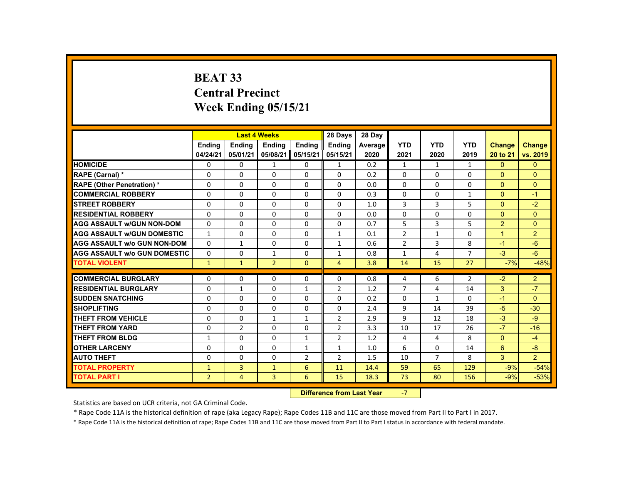# **BEAT 33 Central Precinct Week Ending 05/15/21**

|                                     |                |                | <b>Last 4 Weeks</b> |                | 28 Days        | 28 Day  |                |                |                |                |                |
|-------------------------------------|----------------|----------------|---------------------|----------------|----------------|---------|----------------|----------------|----------------|----------------|----------------|
|                                     | <b>Endina</b>  | <b>Endina</b>  | <b>Ending</b>       | Ending         | <b>Endina</b>  | Average | <b>YTD</b>     | <b>YTD</b>     | <b>YTD</b>     | <b>Change</b>  | <b>Change</b>  |
|                                     | 04/24/21       | 05/01/21       | 05/08/21            | 05/15/21       | 05/15/21       | 2020    | 2021           | 2020           | 2019           | 20 to 21       | vs. 2019       |
| <b>HOMICIDE</b>                     | 0              | 0              | $\mathbf{1}$        | 0              | $\mathbf{1}$   | 0.2     | $\mathbf{1}$   | $\mathbf{1}$   | $\mathbf{1}$   | $\mathbf{0}$   | $\Omega$       |
| RAPE (Carnal) *                     | 0              | 0              | 0                   | 0              | $\Omega$       | 0.2     | $\Omega$       | 0              | $\mathbf{0}$   | $\overline{0}$ | $\Omega$       |
| <b>RAPE (Other Penetration) *</b>   | $\Omega$       | $\Omega$       | $\Omega$            | $\Omega$       | $\Omega$       | 0.0     | $\Omega$       | $\Omega$       | $\Omega$       | $\Omega$       | $\Omega$       |
| <b>COMMERCIAL ROBBERY</b>           | $\Omega$       | $\Omega$       | $\Omega$            | $\Omega$       | $\Omega$       | 0.3     | $\Omega$       | $\Omega$       | $\mathbf{1}$   | $\mathbf{0}$   | $-1$           |
| <b>STREET ROBBERY</b>               | $\Omega$       | $\Omega$       | $\Omega$            | $\Omega$       | $\Omega$       | 1.0     | 3              | 3              | 5              | $\Omega$       | $-2$           |
| <b>RESIDENTIAL ROBBERY</b>          | $\Omega$       | 0              | 0                   | 0              | $\Omega$       | 0.0     | $\Omega$       | 0              | $\Omega$       | $\Omega$       | $\Omega$       |
| <b>AGG ASSAULT w/GUN NON-DOM</b>    | $\Omega$       | $\Omega$       | $\Omega$            | $\Omega$       | $\Omega$       | 0.7     | 5              | 3              | 5              | $\overline{2}$ | $\Omega$       |
| <b>AGG ASSAULT W/GUN DOMESTIC</b>   | $\mathbf{1}$   | $\Omega$       | $\Omega$            | $\Omega$       | 1              | 0.1     | $\overline{2}$ | $\mathbf{1}$   | $\Omega$       | $\overline{1}$ | $\overline{2}$ |
| <b>AGG ASSAULT w/o GUN NON-DOM</b>  | $\Omega$       | $\mathbf{1}$   | $\Omega$            | $\Omega$       | $\mathbf{1}$   | 0.6     | $\overline{2}$ | 3              | 8              | $-1$           | $-6$           |
| <b>AGG ASSAULT W/o GUN DOMESTIC</b> | 0              | 0              | 1                   | 0              | 1              | 0.8     | $\mathbf{1}$   | 4              | $\overline{7}$ | $-3$           | $-6$           |
| <b>TOTAL VIOLENT</b>                | $\mathbf{1}$   | $\mathbf{1}$   | $\overline{2}$      | $\mathbf{0}$   | $\overline{4}$ | 3.8     | 14             | 15             | 27             | $-7%$          | $-48%$         |
| <b>COMMERCIAL BURGLARY</b>          | $\Omega$       | 0              | $\Omega$            | 0              | 0              | 0.8     | 4              | 6              | $\overline{2}$ | $-2$           | $\overline{2}$ |
| <b>RESIDENTIAL BURGLARY</b>         | 0              | 1              | $\Omega$            | $\mathbf{1}$   | $\overline{2}$ | 1.2     | $\overline{7}$ | 4              | 14             | 3              | $-7$           |
| <b>SUDDEN SNATCHING</b>             | 0              | 0              | 0                   | 0              | $\Omega$       | 0.2     | $\Omega$       | $\mathbf{1}$   | 0              | $-1$           | $\Omega$       |
| <b>SHOPLIFTING</b>                  | $\Omega$       | $\Omega$       | $\Omega$            | $\Omega$       | $\Omega$       | 2.4     | 9              | 14             | 39             | $-5$           | $-30$          |
| <b>THEFT FROM VEHICLE</b>           | $\Omega$       | $\Omega$       | $\mathbf{1}$        | $\mathbf{1}$   | $\overline{2}$ | 2.9     | 9              | 12             | 18             | $-3$           | $-9$           |
| <b>THEFT FROM YARD</b>              | $\Omega$       | $\overline{2}$ | $\Omega$            | 0              | $\overline{2}$ | 3.3     | 10             | 17             | 26             | $-7$           | $-16$          |
| THEFT FROM BLDG                     | $\mathbf{1}$   | 0              | 0                   | $\mathbf{1}$   | $\overline{2}$ | 1.2     | 4              | 4              | 8              | $\overline{0}$ | $-4$           |
| <b>OTHER LARCENY</b>                | 0              | 0              | 0                   | 1              | 1              | 1.0     | 6              | 0              | 14             | 6              | $-8$           |
| <b>AUTO THEFT</b>                   | $\Omega$       | $\Omega$       | $\Omega$            | $\overline{2}$ | $\overline{2}$ | 1.5     | 10             | $\overline{7}$ | 8              | $\overline{3}$ | 2 <sup>1</sup> |
| <b>TOTAL PROPERTY</b>               | $\mathbf{1}$   | $\overline{3}$ | $\mathbf{1}$        | 6              | 11             | 14.4    | 59             | 65             | 129            | $-9%$          | $-54%$         |
| <b>TOTAL PART I</b>                 | $\overline{2}$ | $\overline{4}$ | 3                   | 6              | 15             | 18.3    | 73             | 80             | 156            | $-9%$          | $-53%$         |
|                                     |                |                |                     |                |                |         | $-7$           |                |                |                |                |

 **Difference from Last Year**‐7

Statistics are based on UCR criteria, not GA Criminal Code.

\* Rape Code 11A is the historical definition of rape (aka Legacy Rape); Rape Codes 11B and 11C are those moved from Part II to Part I in 2017.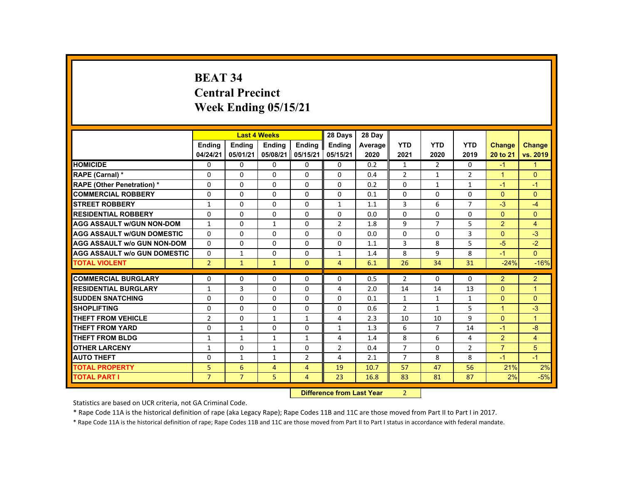# **BEAT 34 Central Precinct Week Ending 05/15/21**

|                                     |                |                | <b>Last 4 Weeks</b> |                | 28 Days                   | 28 Day  |                |                |                |                      |                |
|-------------------------------------|----------------|----------------|---------------------|----------------|---------------------------|---------|----------------|----------------|----------------|----------------------|----------------|
|                                     | <b>Endina</b>  | <b>Endina</b>  | <b>Endina</b>       | <b>Endina</b>  | <b>Endina</b>             | Average | <b>YTD</b>     | <b>YTD</b>     | <b>YTD</b>     | <b>Change</b>        | <b>Change</b>  |
|                                     | 04/24/21       | 05/01/21       | 05/08/21            | 05/15/21       | 05/15/21                  | 2020    | 2021           | 2020           | 2019           | 20 to 21             | vs. 2019       |
| <b>HOMICIDE</b>                     | 0              | 0              | $\Omega$            | $\Omega$       | 0                         | 0.2     | $\mathbf{1}$   | 2              | $\Omega$       | $-1$                 | $\mathbf{1}$   |
| RAPE (Carnal) *                     | 0              | $\Omega$       | $\Omega$            | 0              | $\Omega$                  | 0.4     | $\overline{2}$ | 1              | $\overline{2}$ | $\blacktriangleleft$ | $\Omega$       |
| <b>RAPE (Other Penetration) *</b>   | $\Omega$       | $\Omega$       | $\Omega$            | $\Omega$       | $\Omega$                  | 0.2     | $\Omega$       | $\mathbf{1}$   | $\mathbf{1}$   | $-1$                 | $-1$           |
| <b>COMMERCIAL ROBBERY</b>           | $\Omega$       | $\Omega$       | $\Omega$            | $\mathbf{0}$   | $\Omega$                  | 0.1     | $\Omega$       | $\Omega$       | $\Omega$       | $\Omega$             | $\Omega$       |
| <b>STREET ROBBERY</b>               | $\mathbf{1}$   | $\Omega$       | $\Omega$            | $\Omega$       | $\mathbf{1}$              | 1.1     | 3              | 6              | $\overline{7}$ | $-3$                 | $-4$           |
| <b>RESIDENTIAL ROBBERY</b>          | $\Omega$       | 0              | $\Omega$            | $\Omega$       | 0                         | 0.0     | $\Omega$       | $\Omega$       | $\Omega$       | $\mathbf{0}$         | $\Omega$       |
| <b>AGG ASSAULT W/GUN NON-DOM</b>    | $\mathbf{1}$   | $\Omega$       | $\mathbf{1}$        | $\Omega$       | $\overline{2}$            | 1.8     | 9              | $\overline{7}$ | 5              | 2                    | $\overline{4}$ |
| <b>AGG ASSAULT w/GUN DOMESTIC</b>   | $\Omega$       | $\Omega$       | $\Omega$            | $\Omega$       | 0                         | 0.0     | 0              | $\Omega$       | 3              | $\Omega$             | $-3$           |
| <b>AGG ASSAULT w/o GUN NON-DOM</b>  | $\Omega$       | $\Omega$       | $\Omega$            | $\Omega$       | $\Omega$                  | 1.1     | 3              | 8              | 5              | $-5$                 | $-2$           |
| <b>AGG ASSAULT w/o GUN DOMESTIC</b> | 0              | $\mathbf{1}$   | 0                   | 0              | 1                         | 1.4     | 8              | 9              | 8              | $-1$                 | $\Omega$       |
| <b>TOTAL VIOLENT</b>                | $\overline{2}$ | $\mathbf{1}$   | $\mathbf{1}$        | $\mathbf{0}$   | $\overline{4}$            | 6.1     | 26             | 34             | 31             | $-24%$               | $-16%$         |
| <b>COMMERCIAL BURGLARY</b>          | 0              | 0              | 0                   | 0              | 0                         | 0.5     | $\overline{2}$ | $\Omega$       | $\Omega$       | 2                    | $\overline{2}$ |
| <b>RESIDENTIAL BURGLARY</b>         | $\mathbf{1}$   | 3              | $\Omega$            | $\Omega$       | 4                         | 2.0     | 14             | 14             | 13             | $\Omega$             | $\overline{1}$ |
| <b>SUDDEN SNATCHING</b>             | $\Omega$       | $\Omega$       | $\Omega$            | $\Omega$       | $\Omega$                  | 0.1     | $\mathbf{1}$   | $\mathbf{1}$   | $\mathbf{1}$   | $\Omega$             | $\Omega$       |
| <b>SHOPLIFTING</b>                  | $\Omega$       | $\Omega$       | $\Omega$            | $\Omega$       | $\Omega$                  | 0.6     | $\overline{2}$ | $\mathbf{1}$   | 5              | $\overline{1}$       | $-3$           |
| <b>THEFT FROM VEHICLE</b>           | $\overline{2}$ | $\Omega$       | $\mathbf{1}$        | $\mathbf{1}$   | 4                         | 2.3     | 10             | 10             | 9              | $\Omega$             | $\mathbf{1}$   |
| <b>THEFT FROM YARD</b>              | 0              | $\mathbf{1}$   | 0                   | 0              | 1                         | 1.3     | 6              | $\overline{7}$ | 14             | $-1$                 | $-8$           |
| <b>THEFT FROM BLDG</b>              | $\mathbf{1}$   | $\mathbf{1}$   | $\mathbf{1}$        | $\mathbf{1}$   | 4                         | 1.4     | 8              | 6              | 4              | $\overline{2}$       | $\overline{4}$ |
| <b>OTHER LARCENY</b>                | $\mathbf{1}$   | $\Omega$       | 1                   | $\Omega$       | $\overline{2}$            | 0.4     | $\overline{7}$ | $\Omega$       | $\overline{2}$ | $\overline{7}$       | 5              |
| <b>AUTO THEFT</b>                   | 0              | $\mathbf{1}$   | $\mathbf{1}$        | $\overline{2}$ | 4                         | 2.1     | $\overline{7}$ | 8              | 8              | $-1$                 | $-1$           |
| <b>TOTAL PROPERTY</b>               | 5              | 6              | $\overline{4}$      | $\overline{4}$ | 19                        | 10.7    | 57             | 47             | 56             | 21%                  | 2%             |
| <b>TOTAL PART I</b>                 | $\overline{7}$ | $\overline{7}$ | 5                   | $\overline{4}$ | 23                        | 16.8    | 83             | 81             | 87             | 2%                   | $-5%$          |
|                                     |                |                |                     |                | Difference from Loot Vear |         | $\mathcal{D}$  |                |                |                      |                |

 **Difference from Last Year**r 2

Statistics are based on UCR criteria, not GA Criminal Code.

\* Rape Code 11A is the historical definition of rape (aka Legacy Rape); Rape Codes 11B and 11C are those moved from Part II to Part I in 2017.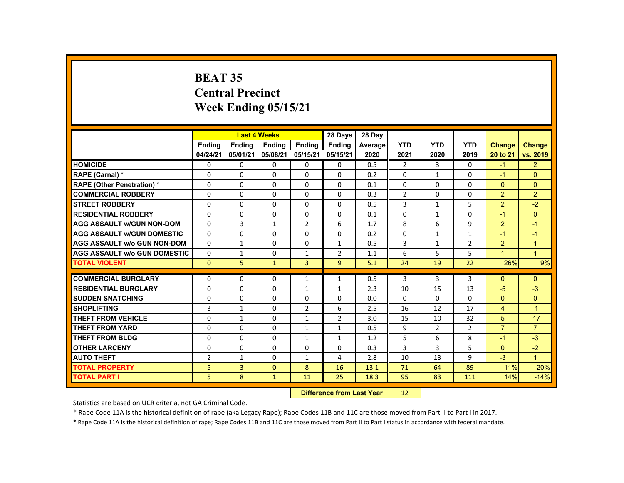# **BEAT 35 Central Precinct Week Ending 05/15/21**

|                                     |                |                           | <b>Last 4 Weeks</b> |                 | 28 Days        | 28 Day  |                |                |                |                |                      |
|-------------------------------------|----------------|---------------------------|---------------------|-----------------|----------------|---------|----------------|----------------|----------------|----------------|----------------------|
|                                     | <b>Endina</b>  | <b>Ending</b>             | <b>Ending</b>       | Ending          | <b>Endina</b>  | Average | <b>YTD</b>     | <b>YTD</b>     | <b>YTD</b>     | Change         | <b>Change</b>        |
|                                     | 04/24/21       | 05/01/21                  | 05/08/21            | 05/15/21        | 05/15/21       | 2020    | 2021           | 2020           | 2019           | 20 to 21       | vs. 2019             |
| <b>HOMICIDE</b>                     | $\Omega$       | $\Omega$                  | $\Omega$            | $\Omega$        | 0              | 0.5     | $\overline{2}$ | $\mathbf{3}$   | $\Omega$       | $-1$           | 2 <sup>1</sup>       |
| RAPE (Carnal) *                     | $\mathbf{0}$   | $\Omega$                  | $\Omega$            | $\Omega$        | $\Omega$       | 0.2     | $\Omega$       | 1              | $\Omega$       | $-1$           | $\Omega$             |
| <b>RAPE (Other Penetration) *</b>   | $\Omega$       | $\Omega$                  | $\Omega$            | $\Omega$        | $\Omega$       | 0.1     | $\Omega$       | $\Omega$       | $\Omega$       | $\Omega$       | $\Omega$             |
| <b>COMMERCIAL ROBBERY</b>           | $\mathbf{0}$   | $\Omega$                  | $\Omega$            | $\Omega$        | $\Omega$       | 0.3     | $\overline{2}$ | $\Omega$       | $\Omega$       | $\overline{2}$ | $\overline{2}$       |
| <b>STREET ROBBERY</b>               | $\Omega$       | $\Omega$                  | $\Omega$            | $\Omega$        | $\Omega$       | 0.5     | 3              | $\mathbf{1}$   | 5              | $\overline{2}$ | $-2$                 |
| <b>RESIDENTIAL ROBBERY</b>          | $\mathbf{0}$   | $\mathbf{0}$              | $\mathbf{0}$        | $\mathbf{0}$    | 0              | 0.1     | $\Omega$       | 1              | $\Omega$       | $-1$           | $\Omega$             |
| <b>AGG ASSAULT W/GUN NON-DOM</b>    | $\mathbf{0}$   | 3                         | $\mathbf{1}$        | $\overline{2}$  | 6              | 1.7     | 8              | 6              | 9              | $\overline{2}$ | $-1$                 |
| <b>AGG ASSAULT W/GUN DOMESTIC</b>   | $\Omega$       | $\Omega$                  | $\Omega$            | $\Omega$        | $\Omega$       | 0.2     | $\Omega$       | $\mathbf{1}$   | $\mathbf{1}$   | $-1$           | $-1$                 |
| <b>AGG ASSAULT w/o GUN NON-DOM</b>  | $\Omega$       | $\mathbf{1}$              | $\Omega$            | $\Omega$        | $\mathbf{1}$   | 0.5     | 3              | $\mathbf{1}$   | $\overline{2}$ | $\overline{2}$ | $\mathbf{1}$         |
| <b>AGG ASSAULT W/o GUN DOMESTIC</b> | $\Omega$       | $\mathbf{1}$              | $\mathbf{0}$        | $\mathbf{1}$    | $\overline{2}$ | 1.1     | 6              | 5              | 5              | 1              | $\blacktriangleleft$ |
| <b>TOTAL VIOLENT</b>                | $\mathbf{0}$   | 5                         | $\mathbf{1}$        | $\overline{3}$  | 9              | 5.1     | 24             | 19             | 22             | 26%            | 9%                   |
| <b>COMMERCIAL BURGLARY</b>          | $\Omega$       | $\Omega$                  | $\Omega$            | $\mathbf{1}$    | $\mathbf{1}$   | 0.5     | 3              | 3              | 3              | $\Omega$       | $\Omega$             |
| <b>RESIDENTIAL BURGLARY</b>         | $\Omega$       | $\Omega$                  | $\Omega$            | 1               | 1              | 2.3     | 10             | 15             | 13             | $-5$           | $-3$                 |
| <b>SUDDEN SNATCHING</b>             | $\Omega$       | $\mathbf{0}$              | $\Omega$            | 0               | 0              | 0.0     | 0              | 0              | $\Omega$       | $\Omega$       | $\Omega$             |
| <b>SHOPLIFTING</b>                  | 3              | $\mathbf{1}$              | $\Omega$            | $\overline{2}$  | 6              | 2.5     | 16             | 12             | 17             | $\overline{4}$ | $-1$                 |
| <b>THEFT FROM VEHICLE</b>           | $\Omega$       | $\mathbf{1}$              | $\Omega$            | $\mathbf{1}$    | $\overline{2}$ | 3.0     | 15             | 10             | 32             | 5              | $-17$                |
| <b>THEFT FROM YARD</b>              | $\Omega$       | $\Omega$                  | $\Omega$            | 1               | 1              | 0.5     | 9              | $\overline{2}$ | $\overline{2}$ | $\overline{7}$ | $\overline{7}$       |
| <b>THEFT FROM BLDG</b>              | $\Omega$       | $\Omega$                  | $\Omega$            | $\mathbf{1}$    | $\mathbf{1}$   | 1.2     | 5              | 6              | 8              | $-1$           | $-3$                 |
| <b>OTHER LARCENY</b>                | $\mathbf{0}$   | $\Omega$                  | $\Omega$            | $\Omega$        | 0              | 0.3     | 3              | 3              | 5              | $\Omega$       | $-2$                 |
| <b>AUTO THEFT</b>                   | $\overline{2}$ | $\mathbf{1}$              | $\Omega$            | $\mathbf{1}$    | 4              | 2.8     | 10             | 13             | 9              | $-3$           | $\mathbf{1}$         |
| <b>TOTAL PROPERTY</b>               | 5              | $\overline{3}$            | $\mathbf{0}$        | 8               | 16             | 13.1    | 71             | 64             | 89             | 11%            | $-20%$               |
| <b>TOTAL PART I</b>                 | 5              | 8                         | $\bullet$           | 11              | 25             | 18.3    | 95             | 83             | 111            | 14%            | $-14%$               |
|                                     |                | Difference from Last Voar |                     | 12 <sub>1</sub> |                |         |                |                |                |                |                      |

 **Difference from Last Year**r 12

Statistics are based on UCR criteria, not GA Criminal Code.

\* Rape Code 11A is the historical definition of rape (aka Legacy Rape); Rape Codes 11B and 11C are those moved from Part II to Part I in 2017.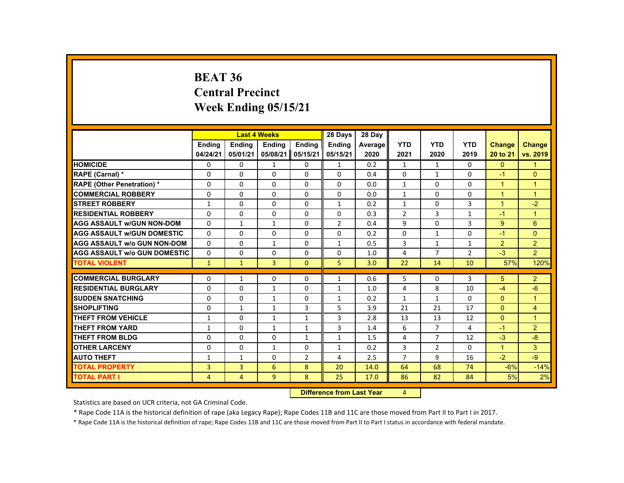#### **BEAT 36 Central PrecinctWeek Ending 05/15/21**

|                                     |               | <b>Last 4 Weeks</b>       |               |                | 28 Days       | 28 Day  |                |                |                |                      |                      |
|-------------------------------------|---------------|---------------------------|---------------|----------------|---------------|---------|----------------|----------------|----------------|----------------------|----------------------|
|                                     | <b>Endina</b> | <b>Endina</b>             | <b>Ending</b> | <b>Endina</b>  | <b>Ending</b> | Average | <b>YTD</b>     | <b>YTD</b>     | <b>YTD</b>     | <b>Change</b>        | <b>Change</b>        |
|                                     | 04/24/21      | 05/01/21                  | 05/08/21      | 05/15/21       | 05/15/21      | 2020    | 2021           | 2020           | 2019           | 20 to 21             | vs. 2019             |
| <b>HOMICIDE</b>                     | 0             | $\Omega$                  | $\mathbf{1}$  | $\Omega$       | $\mathbf{1}$  | 0.2     | $\mathbf{1}$   | 1              | 0              | $\mathbf{0}$         | $\mathbf{1}$         |
| RAPE (Carnal) *                     | $\Omega$      | $\Omega$                  | $\Omega$      | $\Omega$       | $\Omega$      | 0.4     | $\Omega$       | $\mathbf{1}$   | $\Omega$       | $-1$                 | $\Omega$             |
| <b>RAPE (Other Penetration) *</b>   | 0             | $\Omega$                  | $\Omega$      | $\Omega$       | $\Omega$      | 0.0     | $\mathbf{1}$   | $\Omega$       | $\Omega$       | $\mathbf{1}$         | $\overline{1}$       |
| <b>COMMERCIAL ROBBERY</b>           | $\Omega$      | $\Omega$                  | $\Omega$      | $\Omega$       | $\Omega$      | 0.0     | $\mathbf{1}$   | $\Omega$       | 0              | $\blacktriangleleft$ | $\blacktriangleleft$ |
| <b>STREET ROBBERY</b>               | 1             | $\Omega$                  | $\Omega$      | $\Omega$       | 1             | 0.2     | $\mathbf{1}$   | $\Omega$       | 3              | $\overline{1}$       | $-2$                 |
| <b>RESIDENTIAL ROBBERY</b>          | $\Omega$      | 0                         | $\Omega$      | $\Omega$       | $\Omega$      | 0.3     | $\overline{2}$ | 3              | $\mathbf{1}$   | $-1$                 | $\overline{1}$       |
| <b>AGG ASSAULT w/GUN NON-DOM</b>    | 0             | $\mathbf{1}$              | $\mathbf{1}$  | 0              | 2             | 0.4     | 9              | 0              | 3              | 9                    | 6                    |
| <b>AGG ASSAULT w/GUN DOMESTIC</b>   | $\Omega$      | 0                         | $\Omega$      | 0              | $\Omega$      | 0.2     | $\Omega$       | $\mathbf{1}$   | 0              | $-1$                 | $\Omega$             |
| <b>AGG ASSAULT w/o GUN NON-DOM</b>  | $\Omega$      | $\Omega$                  | $\mathbf{1}$  | $\Omega$       | $\mathbf{1}$  | 0.5     | 3              | $\mathbf{1}$   | $\mathbf{1}$   | 2                    | $\overline{2}$       |
| <b>AGG ASSAULT W/o GUN DOMESTIC</b> | $\Omega$      | $\Omega$                  | $\Omega$      | $\Omega$       | $\Omega$      | 1.0     | 4              | $\overline{7}$ | $\overline{2}$ | $-3$                 | 2                    |
| <b>TOTAL VIOLENT</b>                | $\mathbf{1}$  | $\mathbf{1}$              | 3             | $\mathbf{0}$   | 5             | 3.0     | 22             | 14             | 10             | 57%                  | 120%                 |
| <b>COMMERCIAL BURGLARY</b>          | $\Omega$      | $\mathbf{1}$              | $\Omega$      | $\Omega$       |               | 0.6     | 5              | $\Omega$       | 3              | 5                    | 2                    |
| <b>RESIDENTIAL BURGLARY</b>         | $\Omega$      | $\Omega$                  |               | $\Omega$       | 1             |         | 4              | 8              | 10             |                      | $-6$                 |
|                                     |               |                           | $\mathbf{1}$  |                | $\mathbf{1}$  | 1.0     |                |                |                | $-4$                 |                      |
| <b>SUDDEN SNATCHING</b>             | $\Omega$      | 0                         | 1             | 0              | 1             | 0.2     | $\mathbf{1}$   | $\mathbf{1}$   | 0              | $\Omega$             | $\mathbf 1$          |
| <b>SHOPLIFTING</b>                  | $\Omega$      | $\mathbf{1}$              | $\mathbf{1}$  | 3              | 5             | 3.9     | 21             | 21             | 17             | $\Omega$             | 4                    |
| <b>THEFT FROM VEHICLE</b>           | $\mathbf{1}$  | $\Omega$                  | $\mathbf{1}$  | $\mathbf{1}$   | 3             | 2.8     | 13             | 13             | 12             | $\Omega$             | $\overline{1}$       |
| <b>THEFT FROM YARD</b>              | $\mathbf{1}$  | $\Omega$                  | $\mathbf{1}$  | $\mathbf{1}$   | 3             | 1.4     | 6              | $\overline{7}$ | 4              | $-1$                 | $\overline{2}$       |
| <b>THEFT FROM BLDG</b>              | $\Omega$      | $\Omega$                  | $\Omega$      | $\mathbf{1}$   | $\mathbf{1}$  | 1.5     | 4              | $\overline{7}$ | 12             | $-3$                 | -8                   |
| <b>OTHER LARCENY</b>                | $\Omega$      | 0                         | $\mathbf{1}$  | 0              | $\mathbf{1}$  | 0.2     | 3              | 2              | $\Omega$       | $\overline{1}$       | 3                    |
| <b>AUTO THEFT</b>                   | $\mathbf{1}$  | $\mathbf{1}$              | $\Omega$      | $\overline{2}$ | 4             | 2.5     | $\overline{7}$ | 9              | 16             | $-2$                 | $-9$                 |
| <b>TOTAL PROPERTY</b>               | 3             | 3                         | 6             | 8              | 20            | 14.0    | 64             | 68             | 74             | $-6%$                | $-14%$               |
| <b>TOTAL PART I</b>                 | 4             | $\overline{4}$            | 9             | 8              | 25            | 17.0    | 86             | 82             | 84             | 5%                   | 2%                   |
|                                     |               | Difference from Loot Voor |               | $\mathbf{A}$   |               |         |                |                |                |                      |                      |

**Difference from Last Year** 4 4.

Statistics are based on UCR criteria, not GA Criminal Code.

\* Rape Code 11A is the historical definition of rape (aka Legacy Rape); Rape Codes 11B and 11C are those moved from Part II to Part I in 2017.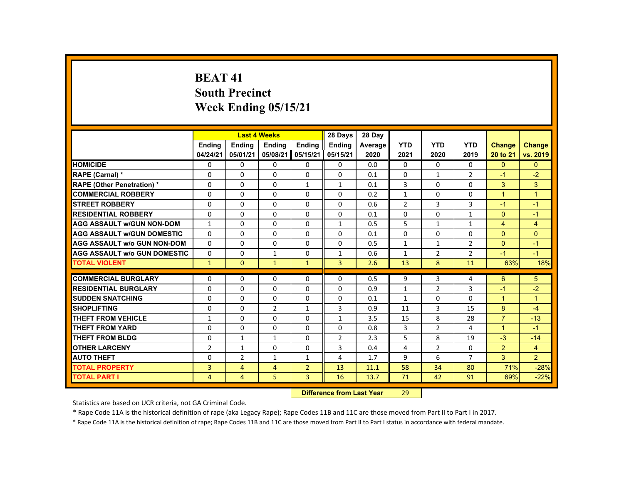# **BEAT 41South Precinct Week Ending 05/15/21**

|                                     |                | <b>Last 4 Weeks</b>               |                 |                | 28 Days        | 28 Day  |                |                |                |                      |                |
|-------------------------------------|----------------|-----------------------------------|-----------------|----------------|----------------|---------|----------------|----------------|----------------|----------------------|----------------|
|                                     | <b>Ending</b>  | <b>Ending</b>                     | <b>Ending</b>   | <b>Ending</b>  | <b>Endina</b>  | Average | <b>YTD</b>     | <b>YTD</b>     | <b>YTD</b>     | <b>Change</b>        | <b>Change</b>  |
|                                     | 04/24/21       | 05/01/21                          | 05/08/21        | 05/15/21       | 05/15/21       | 2020    | 2021           | 2020           | 2019           | 20 to 21             | vs. 2019       |
| <b>HOMICIDE</b>                     | $\Omega$       | $\Omega$                          | $\Omega$        | $\Omega$       | 0              | 0.0     | $\Omega$       | $\Omega$       | $\Omega$       | $\Omega$             | $\Omega$       |
| RAPE (Carnal) *                     | $\Omega$       | $\Omega$                          | $\Omega$        | $\Omega$       | $\Omega$       | 0.1     | $\Omega$       | $\mathbf{1}$   | $\overline{2}$ | $-1$                 | $-2$           |
| <b>RAPE (Other Penetration) *</b>   | $\mathbf{0}$   | $\Omega$                          | $\Omega$        | $\mathbf{1}$   | $\mathbf{1}$   | 0.1     | 3              | $\Omega$       | $\Omega$       | 3                    | 3 <sup>1</sup> |
| <b>COMMERCIAL ROBBERY</b>           | $\Omega$       | $\Omega$                          | $\Omega$        | $\Omega$       | $\Omega$       | 0.2     | $\mathbf{1}$   | $\Omega$       | 0              | $\overline{1}$       | $\overline{1}$ |
| <b>STREET ROBBERY</b>               | $\Omega$       | $\Omega$                          | $\Omega$        | $\Omega$       | $\Omega$       | 0.6     | $\overline{2}$ | 3              | 3              | $-1$                 | $-1$           |
| <b>RESIDENTIAL ROBBERY</b>          | 0              | $\Omega$                          | $\Omega$        | $\mathbf{0}$   | 0              | 0.1     | 0              | 0              | $\mathbf{1}$   | $\mathbf{0}$         | $-1$           |
| <b>AGG ASSAULT W/GUN NON-DOM</b>    | $\mathbf{1}$   | $\Omega$                          | $\Omega$        | $\Omega$       | $\mathbf{1}$   | 0.5     | 5              | $\mathbf{1}$   | $\mathbf{1}$   | $\overline{4}$       | $\overline{4}$ |
| <b>AGG ASSAULT W/GUN DOMESTIC</b>   | $\Omega$       | $\Omega$                          | $\Omega$        | $\Omega$       | $\Omega$       | 0.1     | $\Omega$       | $\Omega$       | $\Omega$       | $\Omega$             | $\mathbf{0}$   |
| <b>AGG ASSAULT w/o GUN NON-DOM</b>  | $\Omega$       | $\Omega$                          | $\Omega$        | $\Omega$       | $\Omega$       | 0.5     | $\mathbf{1}$   | $\mathbf{1}$   | $\overline{2}$ | $\Omega$             | $-1$           |
| <b>AGG ASSAULT W/o GUN DOMESTIC</b> | $\Omega$       | $\Omega$                          | $\mathbf{1}$    | $\Omega$       | $\mathbf{1}$   | 0.6     | $\mathbf{1}$   | $\overline{2}$ | $\overline{2}$ | $-1$                 | $-1$           |
| <b>TOTAL VIOLENT</b>                | $\mathbf{1}$   | $\mathbf{0}$                      | $\blacklozenge$ | $\mathbf{1}$   | $\overline{3}$ | 2.6     | 13             | 8              | 11             | 63%                  | 18%            |
| <b>COMMERCIAL BURGLARY</b>          | $\Omega$       | $\Omega$                          | $\Omega$        | $\Omega$       | $\Omega$       | 0.5     | 9              | 3              | 4              | 6                    |                |
|                                     |                |                                   |                 |                |                |         |                |                |                |                      | 5              |
| <b>RESIDENTIAL BURGLARY</b>         | $\Omega$       | $\Omega$                          | $\Omega$        | $\Omega$       | $\Omega$       | 0.9     | $\mathbf{1}$   | $\overline{2}$ | 3              | $-1$                 | $-2$           |
| <b>SUDDEN SNATCHING</b>             | $\mathbf{0}$   | $\Omega$                          | $\mathbf{0}$    | $\mathbf{0}$   | $\Omega$       | 0.1     | $\mathbf{1}$   | 0              | $\Omega$       | $\mathbf{1}$         | $\mathbf{1}$   |
| <b>SHOPLIFTING</b>                  | $\Omega$       | $\Omega$                          | $\overline{2}$  | $\mathbf{1}$   | 3              | 0.9     | 11             | 3              | 15             | 8                    | $-4$           |
| <b>THEFT FROM VEHICLE</b>           | $\mathbf{1}$   | $\Omega$                          | $\Omega$        | $\Omega$       | $\mathbf{1}$   | 3.5     | 15             | 8              | 28             | $\overline{7}$       | $-13$          |
| <b>THEFT FROM YARD</b>              | $\Omega$       | $\Omega$                          | $\Omega$        | $\Omega$       | $\Omega$       | 0.8     | 3              | $\overline{2}$ | 4              | $\blacktriangleleft$ | $-1$           |
| <b>THEFT FROM BLDG</b>              | $\Omega$       | $\mathbf{1}$                      | $\mathbf{1}$    | $\Omega$       | $\overline{2}$ | 2.3     | 5              | 8              | 19             | $-3$                 | $-14$          |
| <b>OTHER LARCENY</b>                | $\overline{2}$ | $\mathbf{1}$                      | $\Omega$        | $\Omega$       | 3              | 0.4     | 4              | $\overline{2}$ | $\Omega$       | $\overline{2}$       | $\overline{4}$ |
| <b>AUTO THEFT</b>                   | $\mathbf{0}$   | $\overline{2}$                    | $\mathbf{1}$    | $\mathbf{1}$   | 4              | 1.7     | 9              | 6              | $\overline{7}$ | 3                    | $\overline{2}$ |
| <b>TOTAL PROPERTY</b>               | $\overline{3}$ | $\overline{4}$                    | $\overline{4}$  | $\overline{2}$ | 13             | 11.1    | 58             | 34             | 80             | 71%                  | $-28%$         |
| <b>TOTAL PART I</b>                 | 4              | $\overline{4}$                    | 5               | 3              | 16             | 13.7    | 71             | 42             | 91             | 69%                  | $-22%$         |
|                                     |                | <b>Difference from Least Vage</b> |                 | $20^{\circ}$   |                |         |                |                |                |                      |                |

 **Difference from Last Year**r 29

Statistics are based on UCR criteria, not GA Criminal Code.

\* Rape Code 11A is the historical definition of rape (aka Legacy Rape); Rape Codes 11B and 11C are those moved from Part II to Part I in 2017.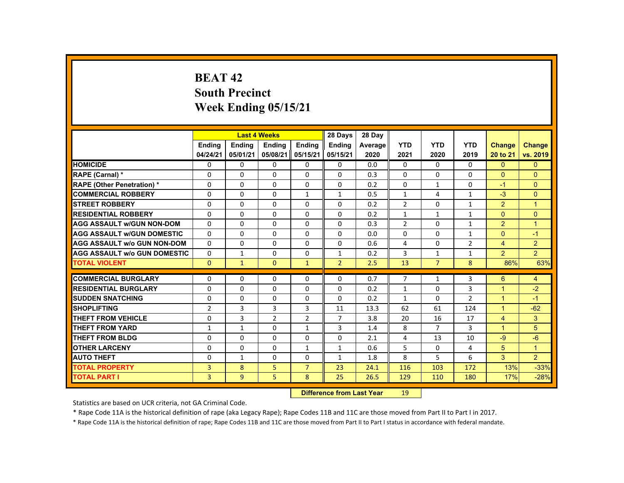# **BEAT 42South Precinct Week Ending 05/15/21**

|                                     |                |               | <b>Last 4 Weeks</b> |                | 28 Days                           | 28 Day  |                 |                |                |                      |                      |
|-------------------------------------|----------------|---------------|---------------------|----------------|-----------------------------------|---------|-----------------|----------------|----------------|----------------------|----------------------|
|                                     | <b>Ending</b>  | <b>Ending</b> | <b>Ending</b>       | <b>Endina</b>  | <b>Endina</b>                     | Average | <b>YTD</b>      | <b>YTD</b>     | <b>YTD</b>     | <b>Change</b>        | Change               |
|                                     | 04/24/21       | 05/01/21      | 05/08/21            | 05/15/21       | 05/15/21                          | 2020    | 2021            | 2020           | 2019           | 20 to 21             | vs. 2019             |
| <b>HOMICIDE</b>                     | 0              | $\Omega$      | $\Omega$            | $\Omega$       | $\mathbf 0$                       | 0.0     | 0               | $\Omega$       | 0              | $\Omega$             | $\mathbf{0}$         |
| <b>RAPE (Carnal) *</b>              | $\Omega$       | $\Omega$      | $\Omega$            | $\Omega$       | $\Omega$                          | 0.3     | $\Omega$        | $\Omega$       | $\Omega$       | $\Omega$             | $\mathbf{0}$         |
| <b>RAPE (Other Penetration) *</b>   | $\mathbf 0$    | $\Omega$      | $\Omega$            | 0              | $\Omega$                          | 0.2     | 0               | 1              | 0              | $-1$                 | $\overline{0}$       |
| <b>COMMERCIAL ROBBERY</b>           | $\Omega$       | $\Omega$      | $\Omega$            | $\mathbf{1}$   | $\mathbf{1}$                      | 0.5     | $\mathbf{1}$    | 4              | $\mathbf{1}$   | $-3$                 | $\Omega$             |
| <b>STREET ROBBERY</b>               | $\Omega$       | $\Omega$      | $\Omega$            | $\Omega$       | $\Omega$                          | 0.2     | $\overline{2}$  | $\Omega$       | $\mathbf{1}$   | $\overline{2}$       | $\blacktriangleleft$ |
| <b>RESIDENTIAL ROBBERY</b>          | $\Omega$       | $\Omega$      | $\mathbf{0}$        | $\mathbf{0}$   | 0                                 | 0.2     | $\mathbf{1}$    | $\mathbf{1}$   | $\mathbf{1}$   | $\mathbf{0}$         | $\overline{0}$       |
| <b>AGG ASSAULT W/GUN NON-DOM</b>    | $\mathbf{0}$   | $\Omega$      | $\Omega$            | $\Omega$       | $\Omega$                          | 0.3     | $\overline{2}$  | $\Omega$       | $\mathbf{1}$   | 2                    | $\blacktriangleleft$ |
| <b>AGG ASSAULT W/GUN DOMESTIC</b>   | $\Omega$       | $\Omega$      | $\Omega$            | $\Omega$       | $\Omega$                          | 0.0     | $\Omega$        | $\Omega$       | $\mathbf{1}$   | $\Omega$             | $-1$                 |
| <b>AGG ASSAULT W/o GUN NON-DOM</b>  | $\Omega$       | $\Omega$      | $\Omega$            | $\Omega$       | $\Omega$                          | 0.6     | 4               | $\Omega$       | $\overline{2}$ | $\overline{4}$       | $\overline{2}$       |
| <b>AGG ASSAULT W/o GUN DOMESTIC</b> | 0              | $\mathbf{1}$  | $\mathbf{0}$        | $\mathbf{0}$   | $\mathbf{1}$                      | 0.2     | 3               | $\mathbf{1}$   | $\mathbf{1}$   | $\overline{2}$       | 2 <sup>1</sup>       |
| <b>TOTAL VIOLENT</b>                | $\Omega$       | $\mathbf{1}$  | $\Omega$            | $\mathbf{1}$   | $\overline{2}$                    | 2.5     | 13              | $\overline{7}$ | 8              | 86%                  | 63%                  |
| <b>COMMERCIAL BURGLARY</b>          | $\Omega$       | $\Omega$      | $\Omega$            | $\Omega$       | $\Omega$                          | 0.7     | $\overline{7}$  | $\mathbf{1}$   | $\overline{3}$ | 6                    | $\overline{4}$       |
| <b>RESIDENTIAL BURGLARY</b>         | $\Omega$       | $\Omega$      | $\Omega$            | $\Omega$       | $\Omega$                          | 0.2     | $\mathbf{1}$    | $\Omega$       | 3              | $\mathbf{1}$         | $-2$                 |
| <b>SUDDEN SNATCHING</b>             | $\mathbf{0}$   | $\Omega$      | $\Omega$            | $\Omega$       | $\Omega$                          | 0.2     | $\mathbf{1}$    | $\Omega$       | $\overline{2}$ | $\blacktriangleleft$ | $-1$                 |
| <b>SHOPLIFTING</b>                  | $\overline{2}$ | 3             | 3                   | 3              | 11                                | 13.3    | 62              | 61             | 124            | $\overline{1}$       | $-62$                |
| <b>THEFT FROM VEHICLE</b>           | $\Omega$       | 3             | $\overline{2}$      | $\overline{2}$ | $\overline{7}$                    | 3.8     | 20              | 16             | 17             | $\overline{4}$       | 3 <sup>1</sup>       |
| <b>THEFT FROM YARD</b>              | $\mathbf{1}$   | $\mathbf{1}$  | $\Omega$            | $\mathbf{1}$   | 3                                 | 1.4     | 8               | $\overline{7}$ | 3              | $\blacktriangleleft$ | 5                    |
| THEFT FROM BLDG                     | $\Omega$       | $\Omega$      | $\Omega$            | $\Omega$       | $\Omega$                          | 2.1     | 4               | 13             | 10             | $-9$                 | $-6$                 |
| <b>OTHER LARCENY</b>                | $\Omega$       | $\Omega$      | $\Omega$            | $\mathbf{1}$   | $\mathbf{1}$                      | 0.6     | 5               | $\Omega$       | 4              | 5                    | $\blacktriangleleft$ |
| <b>AUTO THEFT</b>                   | $\Omega$       | $\mathbf{1}$  | $\Omega$            | $\Omega$       | $\mathbf{1}$                      | 1.8     | 8               | 5              | 6              | 3                    | $\overline{2}$       |
| <b>TOTAL PROPERTY</b>               | 3              | 8             | 5                   | $\overline{7}$ | 23                                | 24.1    | 116             | 103            | 172            | 13%                  | $-33%$               |
| <b>TOTAL PART I</b>                 | 3              | 9             | 5                   | 8              | 25                                | 26.5    | 129             | 110            | 180            | 17%                  | $-28%$               |
|                                     |                |               |                     |                | <b>Difference from Least Vanc</b> |         | 10 <sup>1</sup> |                |                |                      |                      |

 **Difference from Last Year**r 19

Statistics are based on UCR criteria, not GA Criminal Code.

\* Rape Code 11A is the historical definition of rape (aka Legacy Rape); Rape Codes 11B and 11C are those moved from Part II to Part I in 2017.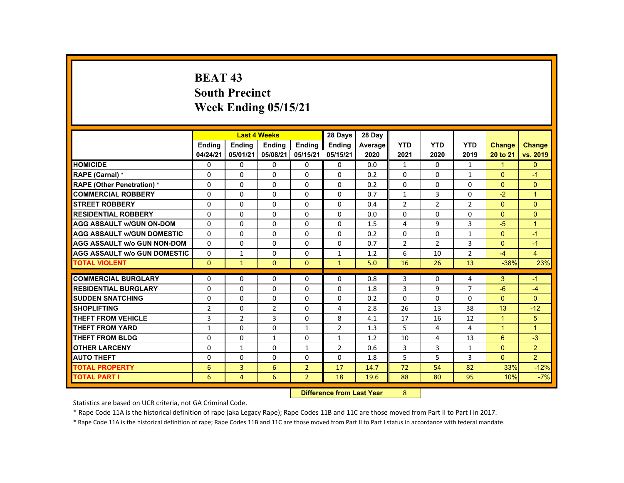## **BEAT 43 South Precinct Week Ending 05/15/21**

|                                     |                | <b>Last 4 Weeks</b> |                |                | 28 Days                           | 28 Day  |                |                |                |                      |                      |
|-------------------------------------|----------------|---------------------|----------------|----------------|-----------------------------------|---------|----------------|----------------|----------------|----------------------|----------------------|
|                                     | <b>Ending</b>  | <b>Ending</b>       | <b>Ending</b>  | <b>Ending</b>  | Ending                            | Average | <b>YTD</b>     | <b>YTD</b>     | <b>YTD</b>     | <b>Change</b>        | Change               |
|                                     | 04/24/21       | 05/01/21            | 05/08/21       | 05/15/21       | 05/15/21                          | 2020    | 2021           | 2020           | 2019           | 20 to 21             | vs. 2019             |
| <b>HOMICIDE</b>                     | $\Omega$       | $\Omega$            | $\mathbf{0}$   | $\Omega$       | $\Omega$                          | 0.0     | $\mathbf{1}$   | $\Omega$       | $\mathbf{1}$   | $\blacktriangleleft$ | $\overline{0}$       |
| RAPE (Carnal) *                     | $\Omega$       | $\Omega$            | $\Omega$       | $\Omega$       | $\Omega$                          | 0.2     | $\Omega$       | $\Omega$       | $\mathbf{1}$   | $\mathbf{0}$         | $-1$                 |
| <b>RAPE (Other Penetration) *</b>   | $\Omega$       | $\Omega$            | $\Omega$       | $\Omega$       | $\Omega$                          | 0.2     | $\Omega$       | $\Omega$       | $\Omega$       | $\Omega$             | $\overline{0}$       |
| <b>COMMERCIAL ROBBERY</b>           | $\Omega$       | $\Omega$            | $\Omega$       | $\Omega$       | $\Omega$                          | 0.7     | $\mathbf{1}$   | 3              | 0              | $-2$                 | $\overline{1}$       |
| <b>STREET ROBBERY</b>               | $\Omega$       | $\Omega$            | $\Omega$       | $\Omega$       | $\Omega$                          | 0.4     | $\overline{2}$ | $\overline{2}$ | $\overline{2}$ | $\Omega$             | $\Omega$             |
| <b>RESIDENTIAL ROBBERY</b>          | $\Omega$       | $\mathbf{0}$        | $\Omega$       | $\mathbf{0}$   | 0                                 | 0.0     | 0              | 0              | 0              | $\mathbf{0}$         | $\overline{0}$       |
| <b>AGG ASSAULT w/GUN ON-DOM</b>     | $\Omega$       | $\Omega$            | $\Omega$       | $\Omega$       | $\Omega$                          | 1.5     | 4              | 9              | 3              | $-5$                 | $\blacktriangleleft$ |
| <b>AGG ASSAULT W/GUN DOMESTIC</b>   | $\Omega$       | $\Omega$            | $\Omega$       | $\Omega$       | $\Omega$                          | 0.2     | $\Omega$       | $\Omega$       | $\mathbf{1}$   | $\Omega$             | $-1$                 |
| <b>AGG ASSAULT W/o GUN NON-DOM</b>  | $\Omega$       | $\Omega$            | $\Omega$       | $\Omega$       | $\Omega$                          | 0.7     | $\overline{2}$ | $\overline{2}$ | 3              | $\Omega$             | $-1$                 |
| <b>AGG ASSAULT w/o GUN DOMESTIC</b> | $\Omega$       | $\mathbf{1}$        | $\Omega$       | $\Omega$       | $\mathbf{1}$                      | 1.2     | 6              | 10             | $\overline{2}$ | $-4$                 | $\overline{4}$       |
| <b>TOTAL VIOLENT</b>                | $\Omega$       | $\mathbf{1}$        | $\Omega$       | $\mathbf{0}$   | $\mathbf{1}$                      | 5.0     | 16             | 26             | 13             | $-38%$               | 23%                  |
| <b>COMMERCIAL BURGLARY</b>          | $\Omega$       | $\Omega$            | $\Omega$       | $\Omega$       | $\Omega$                          | 0.8     | 3              | $\Omega$       | 4              | 3                    | $-1$                 |
| <b>RESIDENTIAL BURGLARY</b>         | $\Omega$       | $\Omega$            | $\Omega$       | $\Omega$       | $\Omega$                          | 1.8     | 3              | 9              | $\overline{7}$ | $-6$                 | $-4$                 |
| <b>SUDDEN SNATCHING</b>             | $\Omega$       | $\mathbf{0}$        | $\Omega$       | $\mathbf{0}$   | 0                                 | 0.2     | $\Omega$       | $\Omega$       | $\Omega$       | $\mathbf{0}$         | $\mathbf{0}$         |
| <b>SHOPLIFTING</b>                  | $\overline{2}$ | $\Omega$            | $\overline{2}$ | $\Omega$       | 4                                 | 2.8     | 26             | 13             | 38             | 13                   | $-12$                |
| <b>THEFT FROM VEHICLE</b>           | 3              | $\overline{2}$      | 3              | $\Omega$       | 8                                 | 4.1     | 17             | 16             | 12             | $\overline{1}$       | 5                    |
| <b>THEFT FROM YARD</b>              | $\mathbf{1}$   | $\Omega$            | $\Omega$       | $\mathbf{1}$   | $\overline{2}$                    | 1.3     | 5              | 4              | 4              | $\blacktriangleleft$ | $\mathbf{1}$         |
| <b>THEFT FROM BLDG</b>              | $\Omega$       | $\Omega$            | $\mathbf{1}$   | $\Omega$       | 1                                 | 1.2     | 10             | 4              | 13             | 6                    | $-3$                 |
| <b>OTHER LARCENY</b>                | $\Omega$       | $\mathbf{1}$        | $\Omega$       | $\mathbf{1}$   | 2                                 | 0.6     | 3              | $\overline{3}$ | $\mathbf{1}$   | $\Omega$             | 2 <sup>1</sup>       |
| <b>AUTO THEFT</b>                   |                |                     |                |                |                                   |         | 5              |                |                | $\Omega$             |                      |
|                                     | $\Omega$       | $\Omega$            | $\Omega$       | $\Omega$       | $\Omega$                          | 1.8     |                | 5              | 3              |                      | $\overline{2}$       |
| <b>TOTAL PROPERTY</b>               | 6              | $\overline{3}$      | 6              | $\overline{2}$ | 17                                | 14.7    | 72             | 54             | 82             | 33%                  | $-12%$               |
| <b>TOTAL PART I</b>                 | 6              | $\overline{4}$      | 6              | $2^{\circ}$    | 18                                | 19.6    | 88             | 80             | 95             | 10%                  | $-7%$                |
|                                     |                |                     |                |                | <b>Difference from Least Vage</b> |         | $\Omega$       |                |                |                      |                      |

 **Difference from Last Year**8

Statistics are based on UCR criteria, not GA Criminal Code.

\* Rape Code 11A is the historical definition of rape (aka Legacy Rape); Rape Codes 11B and 11C are those moved from Part II to Part I in 2017.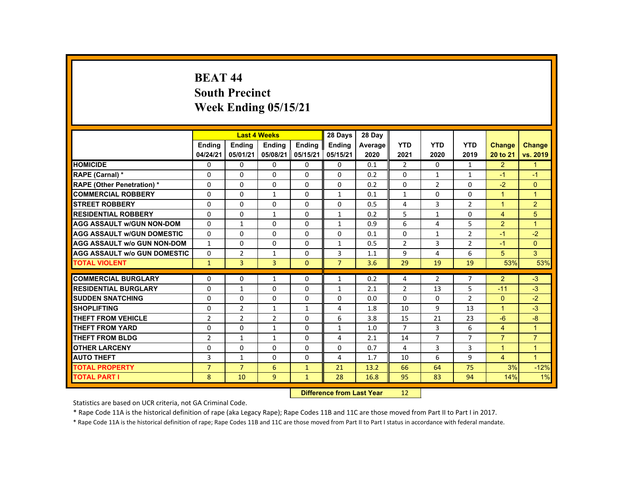#### **BEAT 44 South Precinct Week Ending 05/15/21**

|                                     |                |                | <b>Last 4 Weeks</b>              |               | 28 Days        | 28 Day  |                |                |                |                      |                      |
|-------------------------------------|----------------|----------------|----------------------------------|---------------|----------------|---------|----------------|----------------|----------------|----------------------|----------------------|
|                                     | <b>Ending</b>  | <b>Ending</b>  | <b>Ending</b>                    | <b>Ending</b> | <b>Ending</b>  | Average | <b>YTD</b>     | <b>YTD</b>     | <b>YTD</b>     | <b>Change</b>        | Change               |
|                                     | 04/24/21       | 05/01/21       | 05/08/21                         | 05/15/21      | 05/15/21       | 2020    | 2021           | 2020           | 2019           | 20 to 21             | vs. 2019             |
| <b>HOMICIDE</b>                     | $\Omega$       | $\Omega$       | $\Omega$                         | $\Omega$      | 0              | 0.1     | $\overline{2}$ | $\Omega$       | $\mathbf{1}$   | $\overline{2}$       | $\mathbf{1}$         |
| RAPE (Carnal) *                     | $\Omega$       | $\Omega$       | $\Omega$                         | $\Omega$      | $\Omega$       | 0.2     | $\Omega$       | $\mathbf{1}$   | $\mathbf{1}$   | $-1$                 | $-1$                 |
| <b>RAPE (Other Penetration) *</b>   | $\Omega$       | $\Omega$       | $\Omega$                         | $\Omega$      | $\Omega$       | 0.2     | $\Omega$       | $\overline{2}$ | $\Omega$       | $-2$                 | $\Omega$             |
| <b>COMMERCIAL ROBBERY</b>           | $\Omega$       | $\Omega$       | $\mathbf{1}$                     | $\Omega$      | $\mathbf{1}$   | 0.1     | $\mathbf{1}$   | $\Omega$       | $\Omega$       | $\overline{1}$       | $\overline{1}$       |
| <b>STREET ROBBERY</b>               | $\Omega$       | $\Omega$       | $\Omega$                         | $\Omega$      | $\Omega$       | 0.5     | 4              | 3              | $\overline{2}$ | $\blacktriangleleft$ | $\overline{2}$       |
| <b>RESIDENTIAL ROBBERY</b>          | $\Omega$       | $\Omega$       | $\mathbf{1}$                     | $\Omega$      | $\mathbf{1}$   | 0.2     | 5              | 1              | 0              | $\overline{4}$       | 5                    |
| <b>AGG ASSAULT w/GUN NON-DOM</b>    | $\Omega$       | $\mathbf{1}$   | $\Omega$                         | $\Omega$      | $\mathbf{1}$   | 0.9     | 6              | 4              | 5              | 2                    | $\mathbf{1}$         |
| <b>AGG ASSAULT W/GUN DOMESTIC</b>   | $\Omega$       | $\Omega$       | $\Omega$                         | $\Omega$      | $\Omega$       | 0.1     | $\Omega$       | $\mathbf{1}$   | $\overline{2}$ | $-1$                 | $-2$                 |
| <b>AGG ASSAULT w/o GUN NON-DOM</b>  | $\mathbf{1}$   | $\mathbf 0$    | $\Omega$                         | $\mathbf{0}$  | $\mathbf{1}$   | 0.5     | $\overline{2}$ | 3              | $\overline{2}$ | $-1$                 | $\overline{0}$       |
| <b>AGG ASSAULT W/o GUN DOMESTIC</b> | $\Omega$       | $\overline{2}$ | $\mathbf{1}$                     | $\Omega$      | 3              | 1.1     | 9              | 4              | 6              | 5                    | $\mathbf{3}$         |
| <b>TOTAL VIOLENT</b>                | $\mathbf{1}$   | $\overline{3}$ | $\overline{3}$                   | $\mathbf{0}$  | $\overline{7}$ | 3.6     | 29             | 19             | 19             | 53%                  | 53%                  |
| <b>COMMERCIAL BURGLARY</b>          | $\mathbf{0}$   | $\Omega$       | $\mathbf{1}$                     | $\mathbf{0}$  | 1              | 0.2     | 4              | $\overline{2}$ | $\overline{7}$ | $\overline{2}$       | $-3$                 |
| <b>RESIDENTIAL BURGLARY</b>         | $\Omega$       | $\mathbf{1}$   | $\Omega$                         | $\Omega$      | $\mathbf{1}$   | 2.1     | $\overline{2}$ | 13             | 5              | $-11$                | $-3$                 |
| <b>SUDDEN SNATCHING</b>             | $\Omega$       | $\Omega$       | $\Omega$                         | $\Omega$      | $\Omega$       | 0.0     | $\Omega$       | $\Omega$       | $\overline{2}$ | $\Omega$             | $-2$                 |
| <b>SHOPLIFTING</b>                  | $\Omega$       | $\overline{2}$ | $\mathbf{1}$                     | $\mathbf{1}$  | 4              | 1.8     | 10             | 9              | 13             | $\blacktriangleleft$ | $-3$                 |
| <b>THEFT FROM VEHICLE</b>           | $\overline{2}$ | $\overline{2}$ | $\overline{2}$                   | $\Omega$      | 6              | 3.8     | 15             | 21             | 23             | $-6$                 | $-8$                 |
| <b>THEFT FROM YARD</b>              | $\Omega$       | $\Omega$       | $\mathbf{1}$                     | $\Omega$      | $\mathbf{1}$   | 1.0     | $\overline{7}$ | $\overline{3}$ | 6              | $\overline{4}$       | $\mathbf{1}$         |
| <b>THEFT FROM BLDG</b>              | $\overline{2}$ | $\mathbf{1}$   | $\mathbf{1}$                     | $\Omega$      | 4              | 2.1     | 14             | $\overline{7}$ | $\overline{7}$ | $\overline{7}$       | $\overline{7}$       |
| <b>OTHER LARCENY</b>                | $\Omega$       | $\Omega$       | $\Omega$                         | $\Omega$      | $\Omega$       | 0.7     | 4              | 3              | 3              | $\mathbf{1}$         | $\mathbf{1}$         |
| <b>AUTO THEFT</b>                   | 3              | $\mathbf{1}$   | $\Omega$                         | $\Omega$      | 4              | 1.7     | 10             | 6              | 9              | $\overline{4}$       | $\blacktriangleleft$ |
| <b>TOTAL PROPERTY</b>               | $\overline{7}$ | $\overline{7}$ | 6                                | $\mathbf{1}$  | 21             | 13.2    | 66             | 64             | 75             | 3%                   | $-12%$               |
| <b>TOTAL PART I</b>                 | 8              | 10             | 9                                | $\mathbf{1}$  | 28             | 16.8    | 95             | 83             | 94             | 14%                  | 1%                   |
|                                     |                |                | <b>Difference from Last Year</b> |               | 12             |         |                |                |                |                      |                      |

Statistics are based on UCR criteria, not GA Criminal Code.

\* Rape Code 11A is the historical definition of rape (aka Legacy Rape); Rape Codes 11B and 11C are those moved from Part II to Part I in 2017.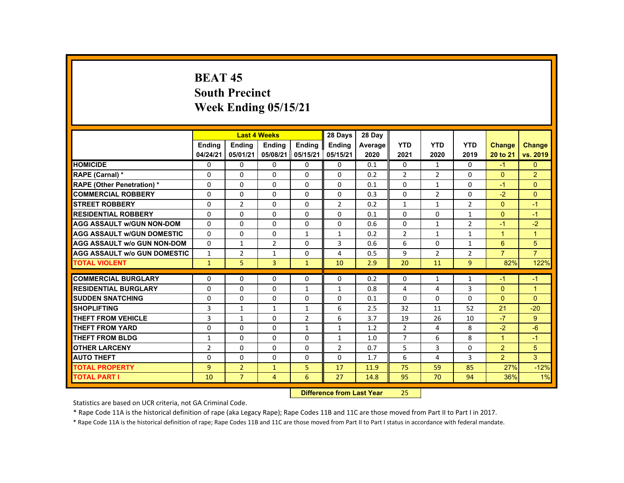## **BEAT 45 South Precinct Week Ending 05/15/21**

|                                     |                | <b>Last 4 Weeks</b> |                                  |                | 28 Days        | 28 Day  |                |                |                |                      |                      |
|-------------------------------------|----------------|---------------------|----------------------------------|----------------|----------------|---------|----------------|----------------|----------------|----------------------|----------------------|
|                                     | <b>Ending</b>  | <b>Ending</b>       | <b>Ending</b>                    | <b>Ending</b>  | <b>Ending</b>  | Average | <b>YTD</b>     | <b>YTD</b>     | <b>YTD</b>     | <b>Change</b>        | <b>Change</b>        |
|                                     | 04/24/21       | 05/01/21            | 05/08/21                         | 05/15/21       | 05/15/21       | 2020    | 2021           | 2020           | 2019           | 20 to 21             | vs. 2019             |
| <b>HOMICIDE</b>                     | 0              | $\Omega$            | $\Omega$                         | $\mathbf 0$    | $\mathbf 0$    | 0.1     | 0              | $\mathbf{1}$   | 0              | $-1$                 | $\mathbf{0}$         |
| RAPE (Carnal) *                     | $\Omega$       | $\Omega$            | $\Omega$                         | $\Omega$       | $\Omega$       | 0.2     | $\overline{2}$ | $\overline{2}$ | $\Omega$       | $\Omega$             | $\overline{2}$       |
| <b>RAPE (Other Penetration) *</b>   | 0              | $\Omega$            | $\Omega$                         | $\Omega$       | $\Omega$       | 0.1     | 0              | $\mathbf{1}$   | 0              | $-1$                 | $\overline{0}$       |
| <b>COMMERCIAL ROBBERY</b>           | $\Omega$       | $\Omega$            | $\Omega$                         | $\Omega$       | $\Omega$       | 0.3     | $\Omega$       | $\overline{2}$ | $\Omega$       | $-2$                 | $\Omega$             |
| <b>ISTREET ROBBERY</b>              | 0              | $\overline{2}$      | $\Omega$                         | $\Omega$       | 2              | 0.2     | $\mathbf{1}$   | $\mathbf{1}$   | $\overline{2}$ | $\mathbf{0}$         | $-1$                 |
| <b>RESIDENTIAL ROBBERY</b>          | $\Omega$       | $\Omega$            | $\Omega$                         | $\Omega$       | $\Omega$       | 0.1     | 0              | 0              | $\mathbf{1}$   | $\Omega$             | $-1$                 |
| <b>AGG ASSAULT W/GUN NON-DOM</b>    | $\mathbf{0}$   | $\Omega$            | $\Omega$                         | $\Omega$       | $\Omega$       | 0.6     | $\Omega$       | $\mathbf{1}$   | $\overline{2}$ | $-1$                 | $-2$                 |
| <b>AGG ASSAULT W/GUN DOMESTIC</b>   | $\Omega$       | $\Omega$            | $\Omega$                         | $\mathbf{1}$   | $\mathbf{1}$   | 0.2     | $\overline{2}$ | $\mathbf{1}$   | $\mathbf{1}$   | $\overline{1}$       | $\blacktriangleleft$ |
| <b>AGG ASSAULT w/o GUN NON-DOM</b>  | $\Omega$       | $\mathbf{1}$        | $\overline{2}$                   | 0              | 3              | 0.6     | 6              | 0              | $\mathbf{1}$   | 6                    | 5                    |
| <b>AGG ASSAULT W/o GUN DOMESTIC</b> | $\mathbf{1}$   | $\overline{2}$      | $\mathbf{1}$                     | $\Omega$       | 4              | 0.5     | 9              | $\overline{2}$ | $\overline{2}$ | $\overline{7}$       | $\overline{7}$       |
| <b>TOTAL VIOLENT</b>                | $\mathbf{1}$   | 5                   | $\overline{3}$                   | $\mathbf{1}$   | 10             | 2.9     | 20             | 11             | $\overline{9}$ | 82%                  | 122%                 |
| <b>COMMERCIAL BURGLARY</b>          | $\Omega$       | $\mathbf{0}$        | $\mathbf{0}$                     | 0              | 0              | 0.2     | $\Omega$       | 1              | 1              | -1                   | -1                   |
| <b>RESIDENTIAL BURGLARY</b>         | $\Omega$       | $\Omega$            | $\Omega$                         | $\mathbf{1}$   | $\mathbf{1}$   | 0.8     | 4              | 4              | 3              | $\Omega$             | $\mathbf{1}$         |
| <b>SUDDEN SNATCHING</b>             | $\Omega$       | $\Omega$            | $\Omega$                         | $\Omega$       | $\Omega$       | 0.1     | $\Omega$       | $\Omega$       | $\Omega$       | $\Omega$             | $\Omega$             |
| <b>SHOPLIFTING</b>                  | 3              | $\mathbf{1}$        | $\mathbf{1}$                     | $\mathbf{1}$   | 6              | 2.5     | 32             | 11             | 52             | 21                   | $-20$                |
| <b>THEFT FROM VEHICLE</b>           | 3              | $\mathbf{1}$        | $\Omega$                         | $\overline{2}$ | 6              | 3.7     | 19             | 26             | 10             | $-7$                 | 9                    |
| <b>THEFT FROM YARD</b>              | $\Omega$       | $\Omega$            | $\Omega$                         | $\mathbf{1}$   | $\mathbf{1}$   | 1.2     | $\overline{2}$ | 4              | 8              | $-2$                 | $-6$                 |
| <b>THEFT FROM BLDG</b>              | $\mathbf{1}$   | $\Omega$            | $\Omega$                         | $\Omega$       | $\mathbf{1}$   | 1.0     | $\overline{7}$ | 6              | 8              | $\blacktriangleleft$ | $-1$                 |
| <b>OTHER LARCENY</b>                | $\overline{2}$ | $\Omega$            | $\Omega$                         | $\Omega$       | $\overline{2}$ | 0.7     | 5              | 3              | 0              | $\overline{2}$       | 5                    |
| <b>AUTO THEFT</b>                   | $\Omega$       | $\Omega$            | $\Omega$                         | $\Omega$       | $\Omega$       | 1.7     | 6              | 4              | 3              | 2 <sup>1</sup>       | 3 <sup>1</sup>       |
| <b>TOTAL PROPERTY</b>               | $\overline{9}$ | $\overline{2}$      | $\mathbf{1}$                     | 5              | 17             | 11.9    | 75             | 59             | 85             | 27%                  | $-12%$               |
| <b>TOTAL PART I</b>                 | 10             | $\overline{7}$      | $\overline{4}$                   | 6              | 27             | 14.8    | 95             | 70             | 94             | 36%                  | 1%                   |
|                                     |                |                     | <b>Difference from Last Year</b> |                | 25             |         |                |                |                |                      |                      |

Statistics are based on UCR criteria, not GA Criminal Code.

\* Rape Code 11A is the historical definition of rape (aka Legacy Rape); Rape Codes 11B and 11C are those moved from Part II to Part I in 2017.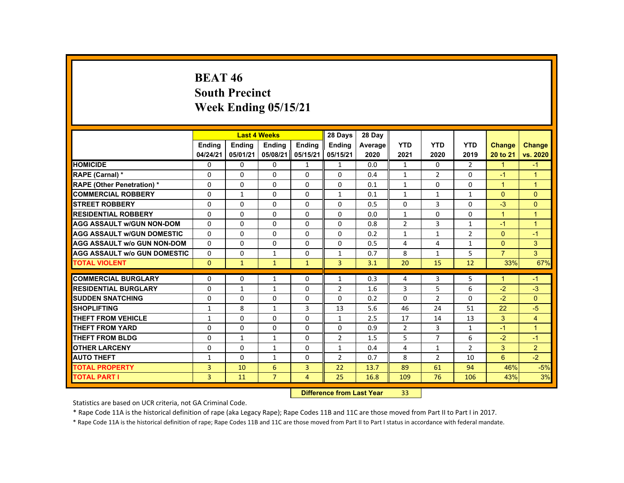# **BEAT 46 South Precinct Week Ending 05/15/21**

|                                     |                |               | <b>Last 4 Weeks</b> |                  | 28 Days                | 28 Day  |                |                |                |                |                |
|-------------------------------------|----------------|---------------|---------------------|------------------|------------------------|---------|----------------|----------------|----------------|----------------|----------------|
|                                     | <b>Ending</b>  | <b>Ending</b> | <b>Ending</b>       | <b>Endina</b>    | <b>Endina</b>          | Average | <b>YTD</b>     | <b>YTD</b>     | <b>YTD</b>     | Change         | <b>Change</b>  |
|                                     | 04/24/21       | 05/01/21      | 05/08/21            | 05/15/21         | 05/15/21               | 2020    | 2021           | 2020           | 2019           | 20 to 21       | vs. 2020       |
| <b>HOMICIDE</b>                     | 0              | $\Omega$      | 0                   | $\mathbf{1}$     | $\mathbf{1}$           | 0.0     | $\mathbf{1}$   | $\Omega$       | $\overline{2}$ | $\mathbf{1}$   | $-1$           |
| RAPE (Carnal) *                     | $\Omega$       | $\Omega$      | $\Omega$            | $\Omega$         | $\Omega$               | 0.4     | $\mathbf{1}$   | 2              | $\Omega$       | $-1$           | $\overline{1}$ |
| <b>RAPE (Other Penetration) *</b>   | $\Omega$       | $\Omega$      | $\Omega$            | $\Omega$         | $\Omega$               | 0.1     | $\mathbf{1}$   | $\Omega$       | $\Omega$       | $\mathbf{1}$   | $\overline{1}$ |
| <b>COMMERCIAL ROBBERY</b>           | $\Omega$       | $\mathbf{1}$  | $\Omega$            | $\Omega$         | $\mathbf{1}$           | 0.1     | $\mathbf{1}$   | $\mathbf{1}$   | $\mathbf{1}$   | $\mathbf{0}$   | $\mathbf{0}$   |
| <b>STREET ROBBERY</b>               | $\Omega$       | $\Omega$      | $\Omega$            | $\Omega$         | $\Omega$               | 0.5     | $\Omega$       | 3              | $\Omega$       | $-3$           | $\mathbf{0}$   |
| <b>RESIDENTIAL ROBBERY</b>          | 0              | $\mathbf{0}$  | 0                   | 0                | 0                      | 0.0     | $\mathbf{1}$   | $\Omega$       | $\Omega$       | $\mathbf{1}$   | $\overline{1}$ |
| <b>AGG ASSAULT w/GUN NON-DOM</b>    | $\Omega$       | $\Omega$      | $\Omega$            | $\Omega$         | $\Omega$               | 0.8     | $\overline{2}$ | 3              | $\mathbf{1}$   | $-1$           | $\overline{1}$ |
| <b>AGG ASSAULT W/GUN DOMESTIC</b>   | $\Omega$       | $\mathbf{0}$  | 0                   | $\Omega$         | 0                      | 0.2     | $\mathbf{1}$   | $\mathbf{1}$   | $\overline{2}$ | $\Omega$       | $-1$           |
| <b>AGG ASSAULT W/o GUN NON-DOM</b>  | $\Omega$       | $\Omega$      | $\Omega$            | $\Omega$         | $\Omega$               | 0.5     | 4              | 4              | $\mathbf{1}$   | $\Omega$       | 3              |
| <b>AGG ASSAULT W/o GUN DOMESTIC</b> | $\Omega$       | $\Omega$      | $\mathbf{1}$        | $\Omega$         | $\mathbf{1}$           | 0.7     | 8              | $\mathbf{1}$   | 5              | $\overline{7}$ | 3              |
| <b>TOTAL VIOLENT</b>                | $\Omega$       | $\mathbf{1}$  | $\mathbf{1}$        | $\mathbf{1}$     | $\overline{3}$         | 3.1     | 20             | 15             | 12             | 33%            | 67%            |
| <b>COMMERCIAL BURGLARY</b>          | $\Omega$       | $\Omega$      | $\mathbf{1}$        | $\Omega$         | $\mathbf{1}$           | 0.3     | 4              | 3              | 5              | $\mathbf{1}$   | $-1$           |
| <b>RESIDENTIAL BURGLARY</b>         | $\Omega$       | $\mathbf{1}$  | $\mathbf{1}$        | $\Omega$         | $\overline{2}$         | 1.6     | 3              | 5              | 6              | $-2$           | $-3$           |
| <b>SUDDEN SNATCHING</b>             | $\mathbf{0}$   | $\mathbf{0}$  | 0                   | 0                | 0                      | 0.2     | $\mathbf{0}$   | $\overline{2}$ | 0              | $-2$           | $\Omega$       |
| <b>SHOPLIFTING</b>                  | $\mathbf{1}$   | 8             | $\mathbf{1}$        | 3                | 13                     | 5.6     | 46             | 24             | 51             | 22             | $-5$           |
| <b>THEFT FROM VEHICLE</b>           | $\mathbf{1}$   | $\Omega$      | $\Omega$            | $\Omega$         | $\mathbf{1}$           | 2.5     | 17             | 14             | 13             | 3              | $\overline{4}$ |
| THEFT FROM YARD                     | $\Omega$       | $\Omega$      | $\Omega$            | $\Omega$         | $\Omega$               | 0.9     | $\overline{2}$ | 3              | $\mathbf{1}$   | $-1$           | $\overline{1}$ |
| <b>THEFT FROM BLDG</b>              | $\Omega$       | $\mathbf{1}$  | $\mathbf{1}$        | 0                | $\overline{2}$         | 1.5     | 5              | $\overline{7}$ | 6              | $-2$           | $-1$           |
| <b>OTHER LARCENY</b>                | 0              | $\mathbf{0}$  | $\mathbf{1}$        | 0                | 1                      | 0.4     | 4              | $\mathbf{1}$   | $\overline{2}$ | 3              | $\overline{2}$ |
| <b>AUTO THEFT</b>                   | $\mathbf{1}$   | $\Omega$      | $\mathbf{1}$        | $\Omega$         | 2                      | 0.7     | 8              | $\overline{2}$ | 10             | 6              | $-2$           |
| <b>TOTAL PROPERTY</b>               | $\overline{3}$ | 10            | 6                   | $\overline{3}$   | 22                     | 13.7    | 89             | 61             | 94             | 46%            | $-5%$          |
| <b>TOTAL PART I</b>                 | $\overline{3}$ | 11            | $\overline{7}$      | $\overline{4}$   | 25                     | 16.8    | 109            | 76             |                |                |                |
|                                     |                |               |                     |                  |                        |         |                |                | 106            | 43%            | 3%             |
|                                     |                |               |                     | <b>INSECTION</b> | an a fhean 1 an 1 Mann |         | $\mathbf{a}$   |                |                |                |                |

 **Difference from Last Year**r 33

Statistics are based on UCR criteria, not GA Criminal Code.

\* Rape Code 11A is the historical definition of rape (aka Legacy Rape); Rape Codes 11B and 11C are those moved from Part II to Part I in 2017.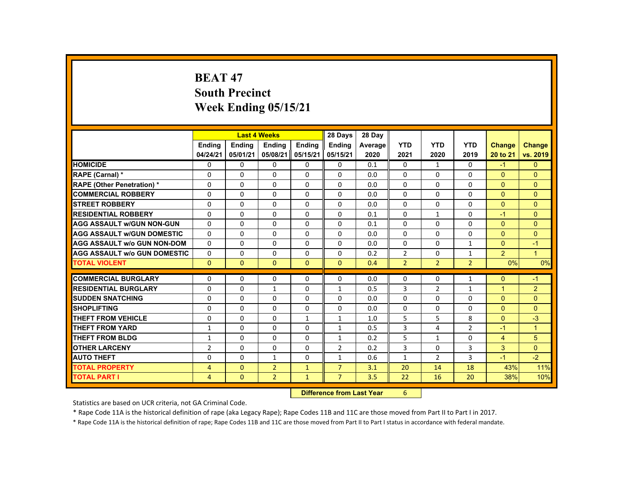# **BEAT 47 South Precinct Week Ending 05/15/21**

|                                     |                |               | <b>Last 4 Weeks</b> |                 | 28 Days                                                                                                                                                                                                                        | 28 Day  |                |                |                |                |                |
|-------------------------------------|----------------|---------------|---------------------|-----------------|--------------------------------------------------------------------------------------------------------------------------------------------------------------------------------------------------------------------------------|---------|----------------|----------------|----------------|----------------|----------------|
|                                     | <b>Ending</b>  | <b>Ending</b> | <b>Ending</b>       | <b>Ending</b>   | <b>Ending</b>                                                                                                                                                                                                                  | Average | <b>YTD</b>     | <b>YTD</b>     | <b>YTD</b>     | <b>Change</b>  | <b>Change</b>  |
|                                     | 04/24/21       | 05/01/21      | 05/08/21            | 05/15/21        | 05/15/21                                                                                                                                                                                                                       | 2020    | 2021           | 2020           | 2019           | 20 to 21       | vs. 2019       |
| <b>HOMICIDE</b>                     | 0              | $\mathbf{0}$  | $\Omega$            | $\Omega$        | 0                                                                                                                                                                                                                              | 0.1     | $\mathbf{0}$   | $\mathbf{1}$   | $\mathbf{0}$   | $-1$           | $\Omega$       |
| <b>RAPE (Carnal) *</b>              | 0              | $\mathbf{0}$  | 0                   | $\Omega$        | $\Omega$                                                                                                                                                                                                                       | 0.0     | $\Omega$       | 0              | $\Omega$       | $\Omega$       | $\Omega$       |
| <b>RAPE (Other Penetration) *</b>   | $\Omega$       | $\mathbf{0}$  | $\Omega$            | $\Omega$        | $\Omega$                                                                                                                                                                                                                       | 0.0     | $\Omega$       | $\Omega$       | $\Omega$       | $\Omega$       | $\Omega$       |
| <b>COMMERCIAL ROBBERY</b>           | $\Omega$       | $\Omega$      | $\Omega$            | $\Omega$        | $\Omega$                                                                                                                                                                                                                       | 0.0     | $\Omega$       | $\Omega$       | $\Omega$       | $\Omega$       | $\Omega$       |
| <b>STREET ROBBERY</b>               | $\Omega$       | $\Omega$      | $\Omega$            | $\Omega$        | $\Omega$                                                                                                                                                                                                                       | 0.0     | $\Omega$       | $\Omega$       | $\Omega$       | $\Omega$       | $\Omega$       |
| <b>RESIDENTIAL ROBBERY</b>          | $\Omega$       | $\mathbf{0}$  | 0                   | 0               | 0                                                                                                                                                                                                                              | 0.1     | 0              | $\mathbf{1}$   | 0              | $-1$           | $\Omega$       |
| <b>AGG ASSAULT w/GUN NON-GUN</b>    | $\Omega$       | $\Omega$      | $\Omega$            | $\Omega$        | $\Omega$                                                                                                                                                                                                                       | 0.1     | $\Omega$       | 0              | 0              | $\Omega$       | $\Omega$       |
| <b>AGG ASSAULT W/GUN DOMESTIC</b>   | $\Omega$       | $\Omega$      | $\Omega$            | $\Omega$        | $\Omega$                                                                                                                                                                                                                       | 0.0     | $\Omega$       | $\Omega$       | $\Omega$       | $\Omega$       | $\mathbf{0}$   |
| <b>AGG ASSAULT W/o GUN NON-DOM</b>  | $\Omega$       | $\Omega$      | $\Omega$            | $\Omega$        | $\Omega$                                                                                                                                                                                                                       | 0.0     | $\Omega$       | $\Omega$       | $\mathbf{1}$   | $\Omega$       | $-1$           |
| <b>AGG ASSAULT W/o GUN DOMESTIC</b> | $\Omega$       | $\Omega$      | $\Omega$            | $\Omega$        | $\Omega$                                                                                                                                                                                                                       | 0.2     | $\overline{2}$ | $\Omega$       | $\mathbf{1}$   | $\overline{2}$ | $\overline{1}$ |
| <b>TOTAL VIOLENT</b>                | $\mathbf{0}$   | $\mathbf{0}$  | $\Omega$            | $\mathbf{0}$    | $\mathbf{0}$                                                                                                                                                                                                                   | 0.4     | $\overline{2}$ | $\overline{2}$ | $\overline{2}$ | 0%             | 0%             |
|                                     |                |               |                     |                 |                                                                                                                                                                                                                                |         |                |                |                |                |                |
| <b>COMMERCIAL BURGLARY</b>          | $\Omega$       | $\Omega$      | $\Omega$            | $\Omega$        | $\Omega$                                                                                                                                                                                                                       | 0.0     | $\Omega$       | $\Omega$       | $\mathbf{1}$   | $\Omega$       | $-1$           |
| <b>RESIDENTIAL BURGLARY</b>         | $\Omega$       | $\Omega$      | $\mathbf{1}$        | $\Omega$        | $\mathbf{1}$                                                                                                                                                                                                                   | 0.5     | 3              | $\overline{2}$ | $\mathbf{1}$   | $\mathbf{1}$   | $\overline{2}$ |
| <b>SUDDEN SNATCHING</b>             | 0              | $\mathbf{0}$  | $\Omega$            | 0               | 0                                                                                                                                                                                                                              | 0.0     | 0              | 0              | 0              | $\mathbf{0}$   | $\mathbf{0}$   |
| <b>SHOPLIFTING</b>                  | $\Omega$       | $\Omega$      | $\Omega$            | $\Omega$        | $\Omega$                                                                                                                                                                                                                       | 0.0     | $\Omega$       | $\Omega$       | $\Omega$       | $\Omega$       | $\Omega$       |
| <b>THEFT FROM VEHICLE</b>           | $\Omega$       | $\Omega$      | $\Omega$            | $\mathbf{1}$    | $\mathbf{1}$                                                                                                                                                                                                                   | 1.0     | 5              | 5              | 8              | $\Omega$       | $-3$           |
| <b>THEFT FROM YARD</b>              | 1              | $\Omega$      | $\Omega$            | $\Omega$        | $\mathbf{1}$                                                                                                                                                                                                                   | 0.5     | 3              | 4              | $\overline{2}$ | $-1$           | $\overline{1}$ |
| <b>THEFT FROM BLDG</b>              | $\mathbf{1}$   | $\Omega$      | $\Omega$            | $\Omega$        | $\mathbf{1}$                                                                                                                                                                                                                   | 0.2     | 5              | $\mathbf{1}$   | $\Omega$       | $\overline{4}$ | 5              |
| <b>OTHER LARCENY</b>                | $\overline{2}$ | $\mathbf{0}$  | $\Omega$            | $\Omega$        | $\overline{2}$                                                                                                                                                                                                                 | 0.2     | 3              | 0              | 3              | 3              | $\Omega$       |
| <b>AUTO THEFT</b>                   | $\Omega$       | $\Omega$      | $\mathbf{1}$        | $\Omega$        | $\mathbf{1}$                                                                                                                                                                                                                   | 0.6     | $\mathbf{1}$   | $\overline{2}$ | 3              | $-1$           | $-2$           |
| <b>TOTAL PROPERTY</b>               | $\overline{4}$ | $\Omega$      | $\overline{2}$      | $\mathbf{1}$    | $\overline{7}$                                                                                                                                                                                                                 | 3.1     | 20             | 14             | 18             | 43%            | 11%            |
| <b>TOTAL PART I</b>                 | $\overline{4}$ | $\mathbf{0}$  | $\overline{2}$      | $\mathbf{1}$    | $\overline{7}$                                                                                                                                                                                                                 | 3.5     | 22             | 16             | 20             | 38%            | 10%            |
|                                     |                |               |                     | <b>CALLED A</b> | and the company of the second states of the second states of the second states of the second states of the second states of the second states of the second states of the second states of the second states of the second sta |         | $\sim$         |                |                |                |                |

 **Difference from Last Year**r 6

Statistics are based on UCR criteria, not GA Criminal Code.

\* Rape Code 11A is the historical definition of rape (aka Legacy Rape); Rape Codes 11B and 11C are those moved from Part II to Part I in 2017.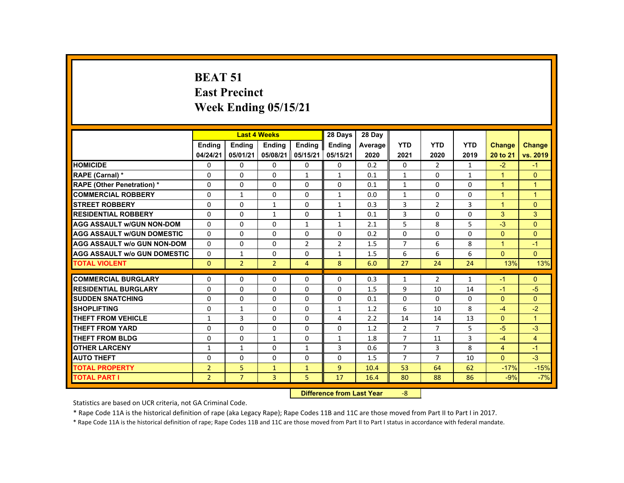# **BEAT 51 East PrecinctWeek Ending 05/15/21**

|                                     |                |                | <b>Last 4 Weeks</b>              |                | 28 Days        | 28 Day  |                |                |              |                      |                      |
|-------------------------------------|----------------|----------------|----------------------------------|----------------|----------------|---------|----------------|----------------|--------------|----------------------|----------------------|
|                                     | <b>Endina</b>  | Ending         | <b>Ending</b>                    | <b>Endina</b>  | <b>Endina</b>  | Average | <b>YTD</b>     | <b>YTD</b>     | <b>YTD</b>   | <b>Change</b>        | <b>Change</b>        |
|                                     | 04/24/21       | 05/01/21       | 05/08/21                         | 05/15/21       | 05/15/21       | 2020    | 2021           | 2020           | 2019         | 20 to 21             | vs. 2019             |
| <b>HOMICIDE</b>                     | 0              | $\Omega$       | $\Omega$                         | $\Omega$       | 0              | 0.2     | $\Omega$       | $\overline{2}$ | $\mathbf{1}$ | $-2$                 | $-1$                 |
| RAPE (Carnal) *                     | $\Omega$       | $\Omega$       | $\Omega$                         | $\mathbf{1}$   | $\mathbf{1}$   | 0.1     | $\mathbf{1}$   | $\Omega$       | $\mathbf{1}$ | $\mathbf{1}$         | $\overline{0}$       |
| <b>RAPE (Other Penetration) *</b>   | $\Omega$       | 0              | $\Omega$                         | 0              | $\Omega$       | 0.1     | $\mathbf{1}$   | $\Omega$       | $\Omega$     | $\overline{1}$       | $\overline{1}$       |
| <b>COMMERCIAL ROBBERY</b>           | $\Omega$       | $\mathbf{1}$   | $\Omega$                         | $\Omega$       | $\mathbf{1}$   | 0.0     | $\mathbf{1}$   | $\Omega$       | $\Omega$     | $\overline{1}$       | $\overline{1}$       |
| <b>STREET ROBBERY</b>               | $\Omega$       | $\Omega$       | $\mathbf{1}$                     | $\Omega$       | $\mathbf{1}$   | 0.3     | 3              | $\overline{2}$ | 3            | $\blacktriangleleft$ | $\Omega$             |
| <b>RESIDENTIAL ROBBERY</b>          | 0              | 0              | 1                                | 0              | 1              | 0.1     | 3              | 0              | 0            | 3                    | 3                    |
| <b>AGG ASSAULT w/GUN NON-DOM</b>    | $\Omega$       | $\Omega$       | $\Omega$                         | $\mathbf{1}$   | $\mathbf{1}$   | 2.1     | 5              | 8              | 5            | $-3$                 | $\Omega$             |
| <b>AGG ASSAULT W/GUN DOMESTIC</b>   | $\Omega$       | $\Omega$       | $\Omega$                         | $\Omega$       | $\Omega$       | 0.2     | $\Omega$       | $\Omega$       | 0            | $\Omega$             | $\overline{0}$       |
| <b>AGG ASSAULT w/o GUN NON-DOM</b>  | $\Omega$       | $\Omega$       | $\Omega$                         | $\overline{2}$ | $\overline{2}$ | 1.5     | $\overline{7}$ | 6              | 8            | $\blacktriangleleft$ | $-1$                 |
| <b>AGG ASSAULT w/o GUN DOMESTIC</b> | $\Omega$       | $\mathbf{1}$   | $\Omega$                         | 0              | $\mathbf{1}$   | 1.5     | 6              | 6              | 6            | $\mathbf{0}$         | $\mathbf{0}$         |
| <b>TOTAL VIOLENT</b>                | $\mathbf{0}$   | $\overline{2}$ | $\overline{2}$                   | $\overline{4}$ | 8              | 6.0     | 27             | 24             | 24           | 13%                  | 13%                  |
| <b>COMMERCIAL BURGLARY</b>          | 0              | 0              | 0                                | 0              | 0              | 0.3     | $\mathbf{1}$   | $\overline{2}$ | $\mathbf{1}$ | $-1$                 | $\Omega$             |
| <b>RESIDENTIAL BURGLARY</b>         | $\Omega$       | $\Omega$       | $\Omega$                         | $\Omega$       | $\Omega$       | 1.5     | 9              | 10             | 14           | $-1$                 | $-5$                 |
| <b>SUDDEN SNATCHING</b>             | $\Omega$       | $\Omega$       | $\Omega$                         | $\Omega$       | $\Omega$       | 0.1     | $\Omega$       | $\Omega$       | $\Omega$     | $\Omega$             | $\Omega$             |
| <b>SHOPLIFTING</b>                  | 0              | $\mathbf{1}$   | $\Omega$                         | $\Omega$       | $\mathbf{1}$   | 1.2     | 6              | 10             | 8            | $-4$                 | $-2$                 |
| <b>THEFT FROM VEHICLE</b>           | $\mathbf{1}$   | 3              | $\Omega$                         | $\Omega$       | 4              | 2.2     | 14             | 14             | 13           | $\Omega$             | $\blacktriangleleft$ |
| <b>THEFT FROM YARD</b>              | $\Omega$       | $\Omega$       | $\Omega$                         | $\Omega$       | $\Omega$       | 1.2     | $\overline{2}$ | $\overline{7}$ | 5            | $-5$                 | $-3$                 |
| <b>THEFT FROM BLDG</b>              | $\Omega$       | $\Omega$       | $\mathbf{1}$                     | $\Omega$       | $\mathbf{1}$   | 1.8     | $\overline{7}$ | 11             | 3            | $-4$                 | $\overline{4}$       |
| <b>OTHER LARCENY</b>                | $\mathbf{1}$   | $\mathbf{1}$   | $\Omega$                         | $\mathbf{1}$   | 3              | 0.6     | $\overline{7}$ | 3              | 8            | $\overline{4}$       | $-1$                 |
| <b>AUTO THEFT</b>                   | $\Omega$       | $\Omega$       | $\Omega$                         | $\Omega$       | $\Omega$       | 1.5     | $\overline{7}$ | $\overline{7}$ | 10           | $\mathbf{0}$         | $-3$                 |
| <b>TOTAL PROPERTY</b>               | $\overline{2}$ | 5              | $\mathbf{1}$                     | $\mathbf{1}$   | 9              | 10.4    | 53             | 64             | 62           | $-17%$               | $-15%$               |
| <b>TOTAL PART I</b>                 | 2 <sup>1</sup> | $\overline{7}$ | $\overline{3}$                   | 5              | 17             | 16.4    | 80             | 88             | 86           | $-9%$                | $-7%$                |
|                                     |                |                | <b>Difference from Last Year</b> |                | $-8$           |         |                |                |              |                      |                      |

Statistics are based on UCR criteria, not GA Criminal Code.

\* Rape Code 11A is the historical definition of rape (aka Legacy Rape); Rape Codes 11B and 11C are those moved from Part II to Part I in 2017.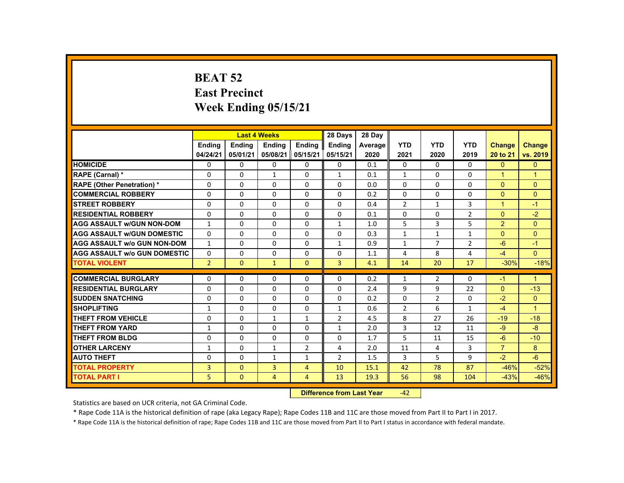# **BEAT 52 East Precinct Week Ending 05/15/21**

|                                     |                |                           | <b>Last 4 Weeks</b>  |                | 28 Days        | 28 Day  |                |                |                |                      |                      |
|-------------------------------------|----------------|---------------------------|----------------------|----------------|----------------|---------|----------------|----------------|----------------|----------------------|----------------------|
|                                     | <b>Ending</b>  | <b>Ending</b>             | <b>Ending</b>        | <b>Ending</b>  | Ending         | Average | <b>YTD</b>     | <b>YTD</b>     | <b>YTD</b>     | <b>Change</b>        | <b>Change</b>        |
|                                     | 04/24/21       | 05/01/21                  | 05/08/21             | 05/15/21       | 05/15/21       | 2020    | 2021           | 2020           | 2019           | 20 to 21             | vs. 2019             |
| <b>HOMICIDE</b>                     | $\Omega$       | $\Omega$                  | $\Omega$             | $\Omega$       | 0              | 0.1     | 0              | $\Omega$       | $\Omega$       | $\Omega$             | $\mathbf{0}$         |
| RAPE (Carnal) *                     | 0              | $\Omega$                  | $\mathbf{1}$         | $\Omega$       | 1              | 0.1     | $\mathbf{1}$   | $\Omega$       | $\Omega$       | $\blacktriangleleft$ | $\blacktriangleleft$ |
| <b>RAPE (Other Penetration) *</b>   | $\Omega$       | $\Omega$                  | $\Omega$             | $\Omega$       | $\Omega$       | 0.0     | $\Omega$       | $\Omega$       | $\Omega$       | $\Omega$             | $\Omega$             |
| <b>COMMERCIAL ROBBERY</b>           | $\Omega$       | $\Omega$                  | $\Omega$             | $\Omega$       | $\Omega$       | 0.2     | 0              | 0              | 0              | $\Omega$             | $\overline{0}$       |
| <b>STREET ROBBERY</b>               | $\Omega$       | $\Omega$                  | $\Omega$             | $\Omega$       | $\Omega$       | 0.4     | $\overline{2}$ | $\mathbf{1}$   | $\overline{3}$ | $\blacktriangleleft$ | $-1$                 |
| <b>RESIDENTIAL ROBBERY</b>          | $\Omega$       | $\Omega$                  | $\Omega$             | $\Omega$       | $\Omega$       | 0.1     | 0              | 0              | $\overline{2}$ | $\Omega$             | $-2$                 |
| <b>AGG ASSAULT W/GUN NON-DOM</b>    | $\mathbf{1}$   | $\Omega$                  | $\Omega$             | $\Omega$       | $\mathbf{1}$   | 1.0     | 5              | 3              | 5              | $\overline{2}$       | $\mathbf{0}$         |
| <b>AGG ASSAULT W/GUN DOMESTIC</b>   | $\Omega$       | $\Omega$                  | $\Omega$             | $\Omega$       | $\Omega$       | 0.3     | $\mathbf{1}$   | $\mathbf{1}$   | $\mathbf{1}$   | $\Omega$             | $\Omega$             |
| <b>AGG ASSAULT w/o GUN NON-DOM</b>  | $\mathbf{1}$   | $\Omega$                  | $\Omega$             | $\Omega$       | $\mathbf{1}$   | 0.9     | $\mathbf{1}$   | $\overline{7}$ | $\overline{2}$ | $-6$                 | $-1$                 |
| <b>AGG ASSAULT W/o GUN DOMESTIC</b> | $\Omega$       | $\Omega$                  | $\Omega$             | $\Omega$       | $\Omega$       | 1.1     | 4              | 8              | 4              | $-4$                 | $\Omega$             |
| <b>TOTAL VIOLENT</b>                | $\overline{2}$ | $\mathbf{0}$              | $\blacktriangledown$ | $\mathbf{0}$   | $\overline{3}$ | 4.1     | 14             | 20             | 17             | $-30%$               | $-18%$               |
| <b>COMMERCIAL BURGLARY</b>          | $\Omega$       | $\Omega$                  | $\Omega$             | $\Omega$       | $\Omega$       | 0.2     | $\mathbf{1}$   | 2              | $\Omega$       | $-1$                 | $\mathbf{1}$         |
| <b>RESIDENTIAL BURGLARY</b>         | $\Omega$       | $\Omega$                  | $\Omega$             | $\Omega$       | $\Omega$       | 2.4     | 9              | 9              | 22             | $\Omega$             | $-13$                |
| <b>SUDDEN SNATCHING</b>             | $\Omega$       | $\Omega$                  | $\Omega$             | $\Omega$       | $\Omega$       | 0.2     | $\Omega$       | $\overline{2}$ | 0              | $-2$                 | $\overline{0}$       |
| <b>SHOPLIFTING</b>                  | $\mathbf{1}$   | $\Omega$                  | $\Omega$             | $\Omega$       | $\mathbf{1}$   | 0.6     | $\overline{2}$ | 6              | $\mathbf{1}$   | $-4$                 | $\blacktriangleleft$ |
| <b>THEFT FROM VEHICLE</b>           | $\Omega$       | $\Omega$                  | $\mathbf{1}$         | $\mathbf{1}$   | $\overline{2}$ | 4.5     | 8              | 27             | 26             | $-19$                | $-18$                |
| <b>THEFT FROM YARD</b>              | $\mathbf{1}$   | $\Omega$                  | $\Omega$             | $\Omega$       | $\mathbf{1}$   | 2.0     | 3              | 12             | 11             | $-9$                 | $-8$                 |
| <b>THEFT FROM BLDG</b>              | $\mathbf 0$    | $\Omega$                  | $\Omega$             | $\Omega$       | $\Omega$       | 1.7     | 5              | 11             | 15             | $-6$                 | $-10$                |
| <b>OTHER LARCENY</b>                | 1              | $\Omega$                  | $\mathbf{1}$         | $\overline{2}$ | 4              | 2.0     | 11             | $\overline{4}$ | 3              | $\overline{7}$       | 8                    |
| <b>AUTO THEFT</b>                   | $\Omega$       | $\Omega$                  | $\mathbf{1}$         | $\mathbf{1}$   | $\overline{2}$ | 1.5     | 3              | 5              | 9              | $-2$                 | $-6$                 |
|                                     | $\overline{3}$ | $\Omega$                  | $\overline{3}$       |                | 10             |         |                | 78             | 87             | $-46%$               |                      |
| <b>TOTAL PROPERTY</b>               |                |                           |                      | $\overline{4}$ |                | 15.1    | 42             |                |                |                      | $-52%$               |
| <b>TOTAL PART I</b>                 | 5.             | $\mathbf{0}$              | 4                    | $\overline{4}$ | 13             | 19.3    | 56             | 98             | 104            | $-43%$               | $-46%$               |
|                                     |                | Difference from Loot Voor |                      | $\sqrt{2}$     |                |         |                |                |                |                      |                      |

 **Difference from Last Year**‐42

Statistics are based on UCR criteria, not GA Criminal Code.

\* Rape Code 11A is the historical definition of rape (aka Legacy Rape); Rape Codes 11B and 11C are those moved from Part II to Part I in 2017.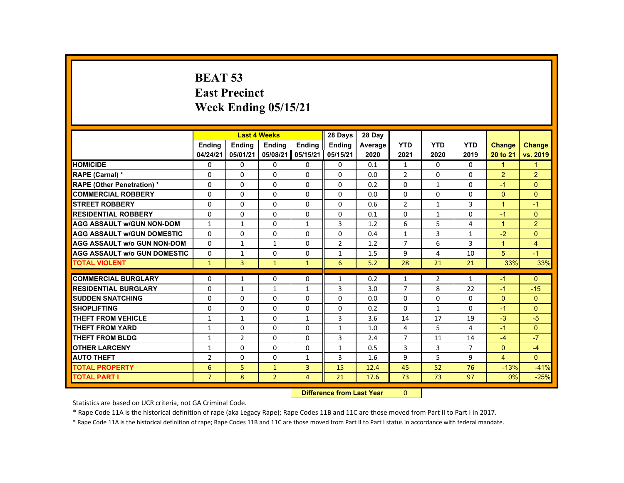# **BEAT 53 East Precinct Week Ending 05/15/21**

|                                     |                |                | <b>Last 4 Weeks</b> |                  | 28 Days                  | 28 Day  |                |                |              |                      |                |
|-------------------------------------|----------------|----------------|---------------------|------------------|--------------------------|---------|----------------|----------------|--------------|----------------------|----------------|
|                                     | <b>Endina</b>  | <b>Endina</b>  | <b>Endina</b>       | <b>Endina</b>    | <b>Endina</b>            | Average | <b>YTD</b>     | <b>YTD</b>     | <b>YTD</b>   | <b>Change</b>        | <b>Change</b>  |
|                                     | 04/24/21       | 05/01/21       | 05/08/21            | 05/15/21         | 05/15/21                 | 2020    | 2021           | 2020           | 2019         | 20 to 21             | vs. 2019       |
| <b>HOMICIDE</b>                     | $\mathbf{0}$   | 0              | $\Omega$            | 0                | 0                        | 0.1     | $\mathbf{1}$   | $\Omega$       | $\Omega$     | $\mathbf{1}$         | $\mathbf{1}$   |
| RAPE (Carnal) *                     | 0              | $\Omega$       | $\Omega$            | $\Omega$         | $\Omega$                 | 0.0     | $\overline{2}$ | $\Omega$       | $\Omega$     | $\overline{2}$       | $\overline{2}$ |
| <b>RAPE (Other Penetration) *</b>   | $\Omega$       | $\Omega$       | $\Omega$            | $\Omega$         | $\Omega$                 | 0.2     | $\Omega$       | $\mathbf{1}$   | $\Omega$     | $-1$                 | $\Omega$       |
| <b>COMMERCIAL ROBBERY</b>           | $\Omega$       | $\Omega$       | $\Omega$            | $\Omega$         | $\Omega$                 | 0.0     | $\Omega$       | $\Omega$       | $\Omega$     | $\Omega$             | $\Omega$       |
| <b>STREET ROBBERY</b>               | $\Omega$       | $\Omega$       | $\Omega$            | $\Omega$         | $\Omega$                 | 0.6     | $\overline{2}$ | $\mathbf{1}$   | 3            | $\blacktriangleleft$ | $-1$           |
| <b>RESIDENTIAL ROBBERY</b>          | 0              | $\Omega$       | $\Omega$            | $\Omega$         | $\Omega$                 | 0.1     | $\Omega$       | $\mathbf{1}$   | $\Omega$     | $-1$                 | $\Omega$       |
| <b>AGG ASSAULT w/GUN NON-DOM</b>    | $\mathbf{1}$   | $\mathbf{1}$   | $\Omega$            | $\mathbf{1}$     | 3                        | 1.2     | 6              | 5              | 4            | $\blacktriangleleft$ | $\overline{2}$ |
| <b>AGG ASSAULT w/GUN DOMESTIC</b>   | $\Omega$       | $\Omega$       | $\Omega$            | $\Omega$         | $\Omega$                 | 0.4     | $\mathbf{1}$   | 3              | $\mathbf{1}$ | $-2$                 | $\mathbf{0}$   |
| <b>AGG ASSAULT w/o GUN NON-DOM</b>  | $\Omega$       | $\mathbf{1}$   | $\mathbf{1}$        | $\Omega$         | $\overline{2}$           | 1.2     | $\overline{7}$ | 6              | 3            | $\mathbf{1}$         | $\overline{4}$ |
| <b>AGG ASSAULT w/o GUN DOMESTIC</b> | $\Omega$       | $\mathbf{1}$   | $\Omega$            | $\Omega$         | $\mathbf{1}$             | 1.5     | 9              | 4              | 10           | 5                    | $-1$           |
| <b>TOTAL VIOLENT</b>                | $\mathbf{1}$   | $\overline{3}$ | $\mathbf{1}$        | $\mathbf{1}$     | 6                        | 5.2     | 28             | 21             | 21           | 33%                  | 33%            |
|                                     |                |                |                     |                  |                          |         |                |                |              |                      |                |
| <b>COMMERCIAL BURGLARY</b>          | 0              | $\mathbf{1}$   | $\Omega$            | $\Omega$         | $\mathbf{1}$             | 0.2     | $\mathbf{1}$   | $\overline{2}$ | $\mathbf{1}$ | $-1$                 | $\Omega$       |
| <b>RESIDENTIAL BURGLARY</b>         | $\Omega$       | $\mathbf{1}$   | $\mathbf{1}$        | $\mathbf{1}$     | 3                        | 3.0     | $\overline{7}$ | 8              | 22           | $-1$                 | $-15$          |
| <b>SUDDEN SNATCHING</b>             | 0              | 0              | 0                   | $\Omega$         | $\Omega$                 | 0.0     | $\Omega$       | $\Omega$       | 0            | $\Omega$             | $\mathbf{0}$   |
| <b>SHOPLIFTING</b>                  | $\Omega$       | $\Omega$       | $\Omega$            | $\Omega$         | $\Omega$                 | 0.2     | $\Omega$       | $\mathbf{1}$   | $\Omega$     | $-1$                 | $\Omega$       |
| <b>THEFT FROM VEHICLE</b>           | $\mathbf{1}$   | $\mathbf{1}$   | $\Omega$            | $\mathbf{1}$     | 3                        | 3.6     | 14             | 17             | 19           | $-3$                 | $-5$           |
| <b>THEFT FROM YARD</b>              | $\mathbf{1}$   | $\Omega$       | $\Omega$            | $\Omega$         | $\mathbf{1}$             | 1.0     | 4              | 5              | 4            | $-1$                 | $\Omega$       |
| <b>THEFT FROM BLDG</b>              | $\mathbf{1}$   | $\overline{2}$ | 0                   | 0                | 3                        | 2.4     | 7              | 11             | 14           | $-4$                 | $-7$           |
| <b>OTHER LARCENY</b>                | $\mathbf{1}$   | $\Omega$       | $\Omega$            | $\Omega$         | $\mathbf{1}$             | 0.5     | 3              | 3              | 7            | $\Omega$             | $-4$           |
| <b>AUTO THEFT</b>                   | $\overline{2}$ | $\Omega$       | $\Omega$            | $\mathbf{1}$     | 3                        | 1.6     | $\mathbf{q}$   | 5              | 9            | $\overline{4}$       | $\Omega$       |
| <b>TOTAL PROPERTY</b>               | 6              | 5              | $\mathbf{1}$        | $\overline{3}$   | 15                       | 12.4    | 45             | 52             | 76           | $-13%$               | $-41%$         |
| <b>TOTAL PART I</b>                 | $\overline{7}$ | 8              | $\overline{2}$      | $\overline{4}$   | 21                       | 17.6    | 73             | 73             | 97           | 0%                   | $-25%$         |
|                                     |                |                |                     | <b>INSECTION</b> | an a fheann 1 na 4 Mainm |         | $\sim$         |                |              |                      |                |

 **Difference from Last Year**r 0

Statistics are based on UCR criteria, not GA Criminal Code.

\* Rape Code 11A is the historical definition of rape (aka Legacy Rape); Rape Codes 11B and 11C are those moved from Part II to Part I in 2017.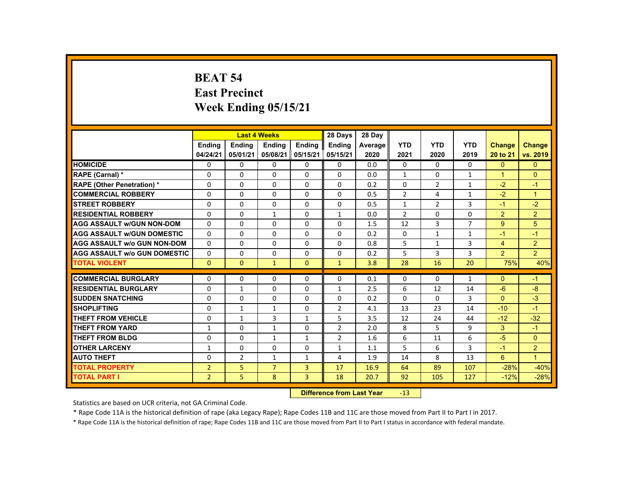#### **BEAT 54 East Precinct Week Ending 05/15/21**

|                                     |                |                | <b>Last 4 Weeks</b>              |                | 28 Days        | 28 Day  |                |                |                |                      |                |
|-------------------------------------|----------------|----------------|----------------------------------|----------------|----------------|---------|----------------|----------------|----------------|----------------------|----------------|
|                                     | <b>Ending</b>  | <b>Ending</b>  | <b>Ending</b>                    | <b>Ending</b>  | <b>Endina</b>  | Average | <b>YTD</b>     | <b>YTD</b>     | <b>YTD</b>     | <b>Change</b>        | Change         |
|                                     | 04/24/21       | 05/01/21       | 05/08/21                         | 05/15/21       | 05/15/21       | 2020    | 2021           | 2020           | 2019           | 20 to 21             | vs. 2019       |
| <b>HOMICIDE</b>                     | 0              | $\Omega$       | $\Omega$                         | $\Omega$       | 0              | 0.0     | 0              | $\Omega$       | $\Omega$       | $\Omega$             | $\mathbf{0}$   |
| RAPE (Carnal) *                     | $\Omega$       | $\Omega$       | $\Omega$                         | $\Omega$       | $\Omega$       | 0.0     | $\mathbf{1}$   | $\Omega$       | $\mathbf{1}$   | $\blacktriangleleft$ | $\Omega$       |
| <b>RAPE (Other Penetration) *</b>   | $\Omega$       | $\Omega$       | $\Omega$                         | $\Omega$       | $\Omega$       | 0.2     | $\Omega$       | $\overline{2}$ | $\mathbf{1}$   | $-2$                 | $-1$           |
| <b>COMMERCIAL ROBBERY</b>           | $\Omega$       | $\Omega$       | $\Omega$                         | $\Omega$       | $\Omega$       | 0.5     | $\overline{2}$ | 4              | $\mathbf{1}$   | $-2$                 | $\mathbf{1}$   |
| <b>STREET ROBBERY</b>               | $\Omega$       | $\Omega$       | $\Omega$                         | $\Omega$       | $\Omega$       | 0.5     | $\mathbf{1}$   | $\overline{2}$ | 3              | $-1$                 | $-2$           |
| <b>RESIDENTIAL ROBBERY</b>          | $\Omega$       | $\Omega$       | 1                                | $\Omega$       | 1              | 0.0     | $\overline{2}$ | $\Omega$       | $\Omega$       | $\overline{2}$       | 2 <sup>1</sup> |
| <b>AGG ASSAULT w/GUN NON-DOM</b>    | $\Omega$       | $\Omega$       | $\Omega$                         | $\Omega$       | $\Omega$       | 1.5     | 12             | 3              | $\overline{7}$ | 9                    | 5              |
| <b>AGG ASSAULT W/GUN DOMESTIC</b>   | $\Omega$       | $\Omega$       | $\Omega$                         | $\Omega$       | $\Omega$       | 0.2     | $\Omega$       | $\mathbf{1}$   | $\mathbf{1}$   | $-1$                 | $-1$           |
| <b>AGG ASSAULT w/o GUN NON-DOM</b>  | 0              | $\mathbf{0}$   | $\mathbf{0}$                     | $\mathbf{0}$   | 0              | 0.8     | 5              | 1              | 3              | $\overline{4}$       | $\overline{2}$ |
| <b>AGG ASSAULT w/o GUN DOMESTIC</b> | $\Omega$       | $\Omega$       | $\Omega$                         | $\Omega$       | $\Omega$       | 0.2     | 5              | 3              | 3              | $\overline{2}$       | 2 <sup>1</sup> |
| <b>TOTAL VIOLENT</b>                | $\Omega$       | $\Omega$       | $\mathbf{1}$                     | $\Omega$       | $\mathbf{1}$   | 3.8     | 28             | 16             | 20             | 75%                  | 40%            |
| <b>COMMERCIAL BURGLARY</b>          | $\Omega$       | $\mathbf{0}$   | $\mathbf{0}$                     | 0              | 0              | 0.1     | 0              | 0              | $\mathbf{1}$   | $\mathbf{0}$         | $-1$           |
| <b>RESIDENTIAL BURGLARY</b>         | $\Omega$       | $\mathbf{1}$   | $\Omega$                         | $\Omega$       | $\mathbf{1}$   | 2.5     | 6              | 12             | 14             | $-6$                 | $-8$           |
| <b>SUDDEN SNATCHING</b>             | $\Omega$       | $\Omega$       | $\Omega$                         | $\Omega$       | $\Omega$       | 0.2     | $\Omega$       | $\Omega$       | 3              | $\Omega$             | $-3$           |
| <b>SHOPLIFTING</b>                  | 0              | $\mathbf{1}$   | 1                                | 0              | $\overline{2}$ | 4.1     | 13             | 23             | 14             | $-10$                | $-1$           |
| <b>THEFT FROM VEHICLE</b>           | $\Omega$       | $\mathbf{1}$   | 3                                | $\mathbf{1}$   | 5              | 3.5     | 12             | 24             | 44             | $-12$                | $-32$          |
| <b>THEFT FROM YARD</b>              | $\mathbf{1}$   | $\Omega$       | $\mathbf{1}$                     | $\Omega$       | $\overline{2}$ | 2.0     | 8              | 5              | 9              | 3                    | $-1$           |
| <b>THEFT FROM BLDG</b>              | $\Omega$       | $\Omega$       | $\mathbf{1}$                     | $\mathbf{1}$   | $\overline{2}$ | 1.6     | 6              | 11             | 6              | $-5$                 | $\Omega$       |
| <b>OTHER LARCENY</b>                | 1              | $\Omega$       | $\Omega$                         | $\Omega$       | $\mathbf{1}$   | 1.1     | 5              | 6              | 3              | $-1$                 | 2 <sup>1</sup> |
| <b>AUTO THEFT</b>                   | $\Omega$       | $\overline{2}$ | $\mathbf{1}$                     | $\mathbf{1}$   | 4              | 1.9     | 14             | 8              | 13             | 6                    | $\mathbf{1}$   |
| <b>TOTAL PROPERTY</b>               | $\overline{2}$ | 5              | $\overline{7}$                   | $\overline{3}$ | 17             | 16.9    | 64             | 89             | 107            | $-28%$               | $-40%$         |
| <b>TOTAL PART I</b>                 | $\overline{2}$ | 5              | 8                                | $\overline{3}$ | 18             | 20.7    | 92             | 105            | 127            | $-12%$               | $-28%$         |
|                                     |                |                | <b>Difference from Last Year</b> |                | $-13$          |         |                |                |                |                      |                |

Statistics are based on UCR criteria, not GA Criminal Code.

\* Rape Code 11A is the historical definition of rape (aka Legacy Rape); Rape Codes 11B and 11C are those moved from Part II to Part I in 2017.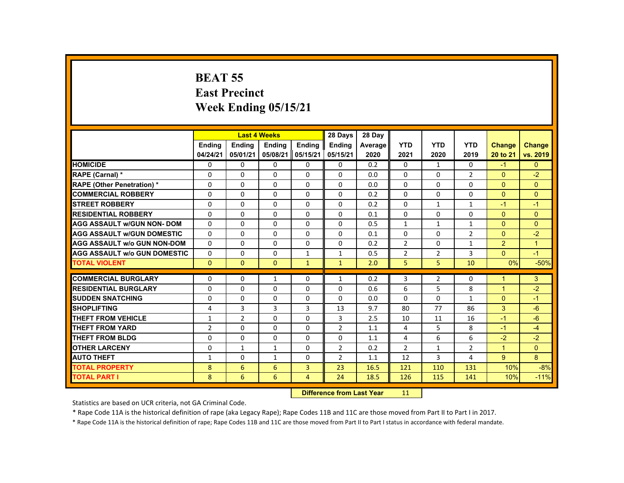## **BEAT 55 East Precinct Week Ending 05/15/21**

|                                     |                | <b>Last 4 Weeks</b> |              |                | 28 Days                    | 28 Day  |                |                |                |                      |                |
|-------------------------------------|----------------|---------------------|--------------|----------------|----------------------------|---------|----------------|----------------|----------------|----------------------|----------------|
|                                     | Ending         | Ending              | Ending       | Ending         | <b>Endina</b>              | Average | <b>YTD</b>     | <b>YTD</b>     | <b>YTD</b>     | <b>Change</b>        | <b>Change</b>  |
|                                     | 04/24/21       | 05/01/21            | 05/08/21     | 05/15/21       | 05/15/21                   | 2020    | 2021           | 2020           | 2019           | 20 to 21             | vs. 2019       |
| <b>HOMICIDE</b>                     | $\Omega$       | $\Omega$            | $\Omega$     | $\Omega$       | 0                          | 0.2     | 0              | $\mathbf{1}$   | 0              | $-1$                 | $\overline{0}$ |
| RAPE (Carnal) *                     | $\Omega$       | $\Omega$            | $\Omega$     | $\Omega$       | $\Omega$                   | 0.0     | $\Omega$       | $\Omega$       | $\overline{2}$ | $\mathbf{0}$         | $-2$           |
| <b>RAPE (Other Penetration) *</b>   | $\Omega$       | $\Omega$            | $\Omega$     | $\Omega$       | 0                          | 0.0     | 0              | $\Omega$       | $\Omega$       | $\Omega$             | $\overline{0}$ |
| <b>COMMERCIAL ROBBERY</b>           | $\Omega$       | $\Omega$            | $\Omega$     | $\Omega$       | $\Omega$                   | 0.2     | $\Omega$       | $\Omega$       | $\Omega$       | $\Omega$             | $\mathbf{0}$   |
| <b>STREET ROBBERY</b>               | $\Omega$       | $\Omega$            | $\Omega$     | $\Omega$       | $\Omega$                   | 0.2     | $\Omega$       | $\mathbf{1}$   | $\mathbf{1}$   | $-1$                 | $-1$           |
| <b>RESIDENTIAL ROBBERY</b>          | $\mathbf{0}$   | $\mathbf{0}$        | $\Omega$     | 0              | 0                          | 0.1     | 0              | 0              | 0              | $\Omega$             | $\Omega$       |
| <b>AGG ASSAULT w/GUN NON-DOM</b>    | $\Omega$       | $\Omega$            | $\Omega$     | $\Omega$       | 0                          | 0.5     | $\mathbf{1}$   | $\mathbf{1}$   | $\mathbf{1}$   | $\Omega$             | $\Omega$       |
| <b>AGG ASSAULT w/GUN DOMESTIC</b>   | $\Omega$       | $\Omega$            | $\Omega$     | $\Omega$       | $\Omega$                   | 0.1     | $\Omega$       | $\Omega$       | $\overline{2}$ | $\Omega$             | $-2$           |
| <b>AGG ASSAULT w/o GUN NON-DOM</b>  | $\Omega$       | $\Omega$            | $\Omega$     | $\Omega$       | $\Omega$                   | 0.2     | $\overline{2}$ | $\Omega$       | $\mathbf{1}$   | $\overline{2}$       | $\mathbf{1}$   |
| <b>AGG ASSAULT W/o GUN DOMESTIC</b> | $\Omega$       | $\Omega$            | $\Omega$     | $\mathbf{1}$   | $\mathbf{1}$               | 0.5     | $\overline{2}$ | $\overline{2}$ | 3              | $\mathbf{0}$         | $-1$           |
| <b>TOTAL VIOLENT</b>                | $\Omega$       | $\Omega$            | $\Omega$     | $\mathbf{1}$   | $\mathbf{1}$               | 2.0     | 5              | 5 <sup>1</sup> | 10             | 0%                   | $-50%$         |
| <b>COMMERCIAL BURGLARY</b>          | $\Omega$       | $\Omega$            |              | $\Omega$       |                            | 0.2     | 3              | $\overline{2}$ | $\Omega$       | $\blacktriangleleft$ | 3              |
|                                     |                |                     | $\mathbf{1}$ |                | $\mathbf{1}$               |         |                |                |                |                      |                |
| <b>RESIDENTIAL BURGLARY</b>         | $\Omega$       | $\Omega$            | $\Omega$     | $\Omega$       | 0                          | 0.6     | 6              | 5              | 8              | $\mathbf{1}$         | $-2$           |
| <b>SUDDEN SNATCHING</b>             | $\Omega$       | $\Omega$            | $\Omega$     | $\Omega$       | $\Omega$                   | 0.0     | $\Omega$       | $\Omega$       | $\mathbf{1}$   | $\mathbf{0}$         | $-1$           |
| <b>SHOPLIFTING</b>                  | 4              | 3                   | 3            | 3              | 13                         | 9.7     | 80             | 77             | 86             | 3                    | $-6$           |
| <b>THEFT FROM VEHICLE</b>           | $\mathbf{1}$   | $\overline{2}$      | $\Omega$     | $\Omega$       | 3                          | 2.5     | 10             | 11             | 16             | $-1$                 | $-6$           |
| <b>THEFT FROM YARD</b>              | $\overline{2}$ | $\Omega$            | $\Omega$     | $\Omega$       | $\overline{2}$             | 1.1     | 4              | 5              | 8              | $-1$                 | $-4$           |
| <b>THEFT FROM BLDG</b>              | $\mathbf{0}$   | $\Omega$            | $\mathbf{0}$ | $\Omega$       | $\Omega$                   | 1.1     | 4              | 6              | 6              | $-2$                 | $-2$           |
| <b>OTHER LARCENY</b>                | $\Omega$       | $\mathbf{1}$        | 1            | 0              | $\overline{2}$             | 0.2     | $\overline{2}$ | $\mathbf{1}$   | $\overline{2}$ | $\blacktriangleleft$ | $\Omega$       |
| <b>AUTO THEFT</b>                   | $\mathbf{1}$   | $\Omega$            | $\mathbf{1}$ | $\Omega$       | $\overline{2}$             | 1.1     | 12             | 3              | 4              | $9^{\circ}$          | 8              |
| <b>TOTAL PROPERTY</b>               | 8              | 6                   | 6            | $\overline{3}$ | 23                         | 16.5    | 121            | 110            | 131            | 10%                  | $-8%$          |
| <b>TOTAL PART I</b>                 | 8              | 6                   | 6            | 4              | 24                         | 18.5    | 126            | 115            | 141            | 10%                  | $-11%$         |
|                                     |                |                     |              |                | Difference from Look Vance |         | 44.1           |                |                |                      |                |

 **Difference from Last Year**r 11

Statistics are based on UCR criteria, not GA Criminal Code.

\* Rape Code 11A is the historical definition of rape (aka Legacy Rape); Rape Codes 11B and 11C are those moved from Part II to Part I in 2017.